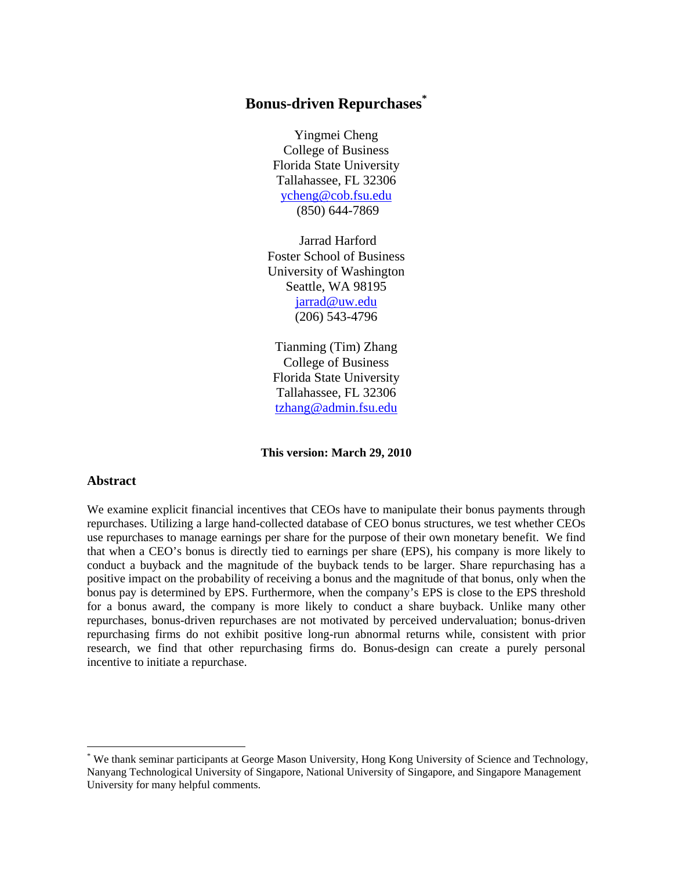# **Bonus-driven Repurchases\***

Yingmei Cheng College of Business Florida State University Tallahassee, FL 32306 ycheng@cob.fsu.edu (850) 644-7869

 Jarrad Harford Foster School of Business University of Washington Seattle, WA 98195 jarrad@uw.edu (206) 543-4796

Tianming (Tim) Zhang College of Business Florida State University Tallahassee, FL 32306 tzhang@admin.fsu.edu

**This version: March 29, 2010** 

## **Abstract**

 $\overline{a}$ 

We examine explicit financial incentives that CEOs have to manipulate their bonus payments through repurchases. Utilizing a large hand-collected database of CEO bonus structures, we test whether CEOs use repurchases to manage earnings per share for the purpose of their own monetary benefit. We find that when a CEO's bonus is directly tied to earnings per share (EPS), his company is more likely to conduct a buyback and the magnitude of the buyback tends to be larger. Share repurchasing has a positive impact on the probability of receiving a bonus and the magnitude of that bonus, only when the bonus pay is determined by EPS. Furthermore, when the company's EPS is close to the EPS threshold for a bonus award, the company is more likely to conduct a share buyback. Unlike many other repurchases, bonus-driven repurchases are not motivated by perceived undervaluation; bonus-driven repurchasing firms do not exhibit positive long-run abnormal returns while, consistent with prior research, we find that other repurchasing firms do. Bonus-design can create a purely personal incentive to initiate a repurchase.

<sup>\*</sup> We thank seminar participants at George Mason University, Hong Kong University of Science and Technology, Nanyang Technological University of Singapore, National University of Singapore, and Singapore Management University for many helpful comments.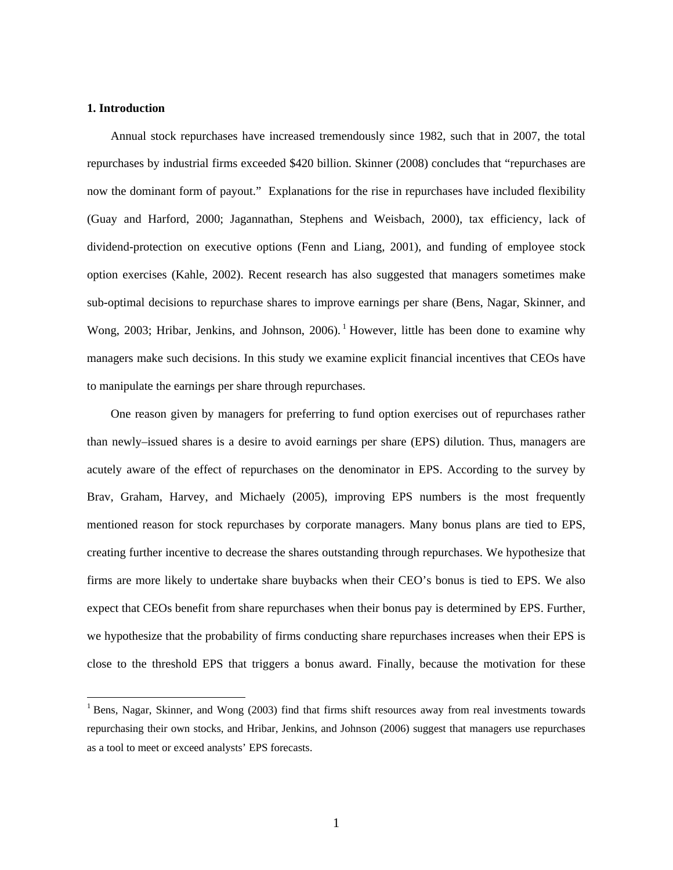## **1. Introduction**

 $\overline{a}$ 

Annual stock repurchases have increased tremendously since 1982, such that in 2007, the total repurchases by industrial firms exceeded \$420 billion. Skinner (2008) concludes that "repurchases are now the dominant form of payout." Explanations for the rise in repurchases have included flexibility (Guay and Harford, 2000; Jagannathan, Stephens and Weisbach, 2000), tax efficiency, lack of dividend-protection on executive options (Fenn and Liang, 2001), and funding of employee stock option exercises (Kahle, 2002). Recent research has also suggested that managers sometimes make sub-optimal decisions to repurchase shares to improve earnings per share (Bens, Nagar, Skinner, and Wong, 2003; Hribar, Jenkins, and Johnson, 2006). <sup>1</sup> However, little has been done to examine why managers make such decisions. In this study we examine explicit financial incentives that CEOs have to manipulate the earnings per share through repurchases.

One reason given by managers for preferring to fund option exercises out of repurchases rather than newly–issued shares is a desire to avoid earnings per share (EPS) dilution. Thus, managers are acutely aware of the effect of repurchases on the denominator in EPS. According to the survey by Brav, Graham, Harvey, and Michaely (2005), improving EPS numbers is the most frequently mentioned reason for stock repurchases by corporate managers. Many bonus plans are tied to EPS, creating further incentive to decrease the shares outstanding through repurchases. We hypothesize that firms are more likely to undertake share buybacks when their CEO's bonus is tied to EPS. We also expect that CEOs benefit from share repurchases when their bonus pay is determined by EPS. Further, we hypothesize that the probability of firms conducting share repurchases increases when their EPS is close to the threshold EPS that triggers a bonus award. Finally, because the motivation for these

<sup>&</sup>lt;sup>1</sup> Bens, Nagar, Skinner, and Wong (2003) find that firms shift resources away from real investments towards repurchasing their own stocks, and Hribar, Jenkins, and Johnson (2006) suggest that managers use repurchases as a tool to meet or exceed analysts' EPS forecasts.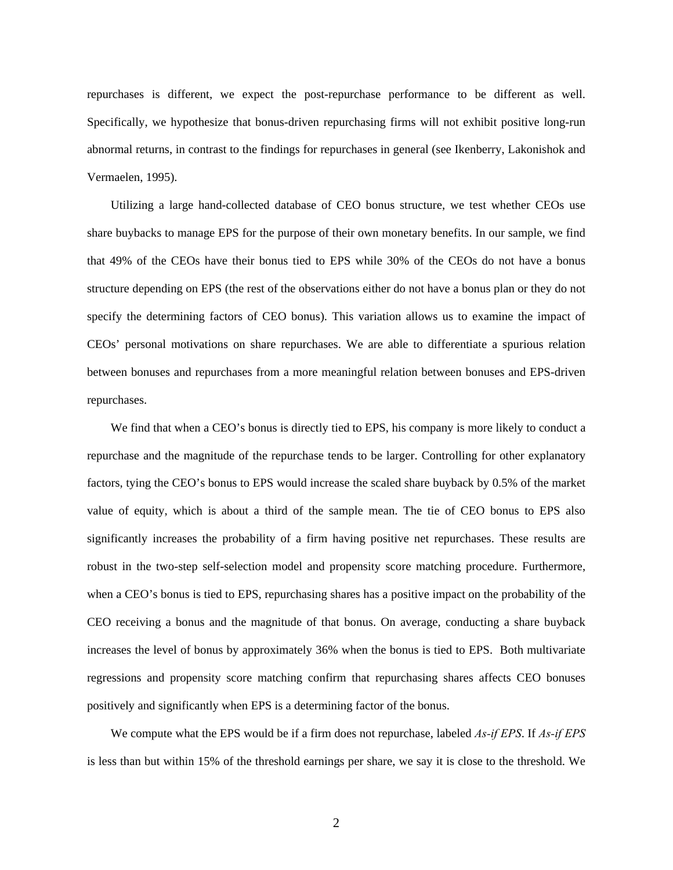repurchases is different, we expect the post-repurchase performance to be different as well. Specifically, we hypothesize that bonus-driven repurchasing firms will not exhibit positive long-run abnormal returns, in contrast to the findings for repurchases in general (see Ikenberry, Lakonishok and Vermaelen, 1995).

Utilizing a large hand-collected database of CEO bonus structure, we test whether CEOs use share buybacks to manage EPS for the purpose of their own monetary benefits. In our sample, we find that 49% of the CEOs have their bonus tied to EPS while 30% of the CEOs do not have a bonus structure depending on EPS (the rest of the observations either do not have a bonus plan or they do not specify the determining factors of CEO bonus). This variation allows us to examine the impact of CEOs' personal motivations on share repurchases. We are able to differentiate a spurious relation between bonuses and repurchases from a more meaningful relation between bonuses and EPS-driven repurchases.

We find that when a CEO's bonus is directly tied to EPS, his company is more likely to conduct a repurchase and the magnitude of the repurchase tends to be larger. Controlling for other explanatory factors, tying the CEO's bonus to EPS would increase the scaled share buyback by 0.5% of the market value of equity, which is about a third of the sample mean. The tie of CEO bonus to EPS also significantly increases the probability of a firm having positive net repurchases. These results are robust in the two-step self-selection model and propensity score matching procedure. Furthermore, when a CEO's bonus is tied to EPS, repurchasing shares has a positive impact on the probability of the CEO receiving a bonus and the magnitude of that bonus. On average, conducting a share buyback increases the level of bonus by approximately 36% when the bonus is tied to EPS. Both multivariate regressions and propensity score matching confirm that repurchasing shares affects CEO bonuses positively and significantly when EPS is a determining factor of the bonus.

We compute what the EPS would be if a firm does not repurchase, labeled *As-if EPS*. If *As-if EPS*  is less than but within 15% of the threshold earnings per share, we say it is close to the threshold. We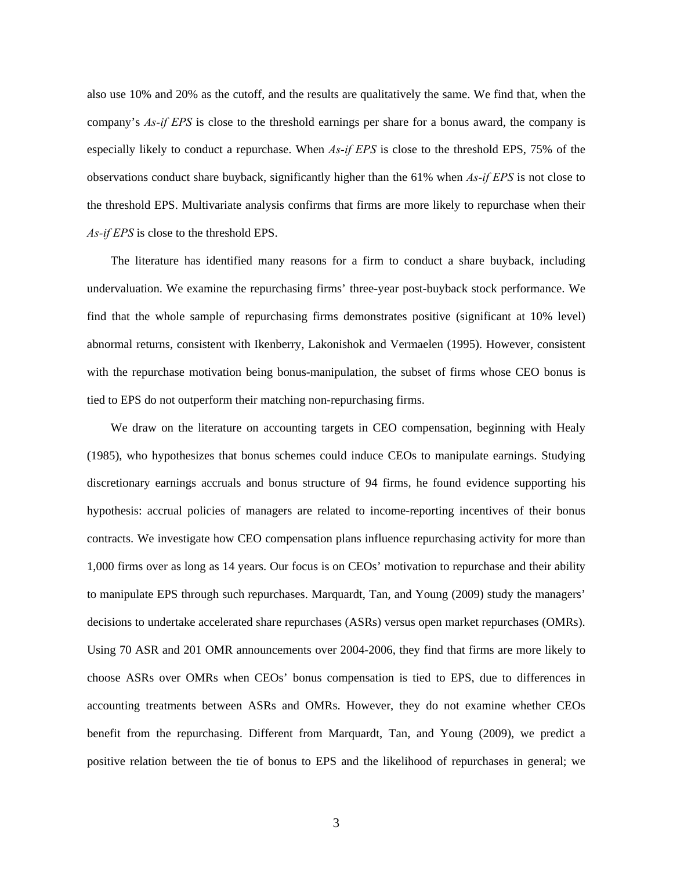also use 10% and 20% as the cutoff, and the results are qualitatively the same. We find that, when the company's *As-if EPS* is close to the threshold earnings per share for a bonus award, the company is especially likely to conduct a repurchase. When *As-if EPS* is close to the threshold EPS, 75% of the observations conduct share buyback, significantly higher than the 61% when *As-if EPS* is not close to the threshold EPS. Multivariate analysis confirms that firms are more likely to repurchase when their *As-if EPS* is close to the threshold EPS.

The literature has identified many reasons for a firm to conduct a share buyback, including undervaluation. We examine the repurchasing firms' three-year post-buyback stock performance. We find that the whole sample of repurchasing firms demonstrates positive (significant at 10% level) abnormal returns, consistent with Ikenberry, Lakonishok and Vermaelen (1995). However, consistent with the repurchase motivation being bonus-manipulation, the subset of firms whose CEO bonus is tied to EPS do not outperform their matching non-repurchasing firms.

We draw on the literature on accounting targets in CEO compensation, beginning with Healy (1985), who hypothesizes that bonus schemes could induce CEOs to manipulate earnings. Studying discretionary earnings accruals and bonus structure of 94 firms, he found evidence supporting his hypothesis: accrual policies of managers are related to income-reporting incentives of their bonus contracts. We investigate how CEO compensation plans influence repurchasing activity for more than 1,000 firms over as long as 14 years. Our focus is on CEOs' motivation to repurchase and their ability to manipulate EPS through such repurchases. Marquardt, Tan, and Young (2009) study the managers' decisions to undertake accelerated share repurchases (ASRs) versus open market repurchases (OMRs). Using 70 ASR and 201 OMR announcements over 2004-2006, they find that firms are more likely to choose ASRs over OMRs when CEOs' bonus compensation is tied to EPS, due to differences in accounting treatments between ASRs and OMRs. However, they do not examine whether CEOs benefit from the repurchasing. Different from Marquardt, Tan, and Young (2009), we predict a positive relation between the tie of bonus to EPS and the likelihood of repurchases in general; we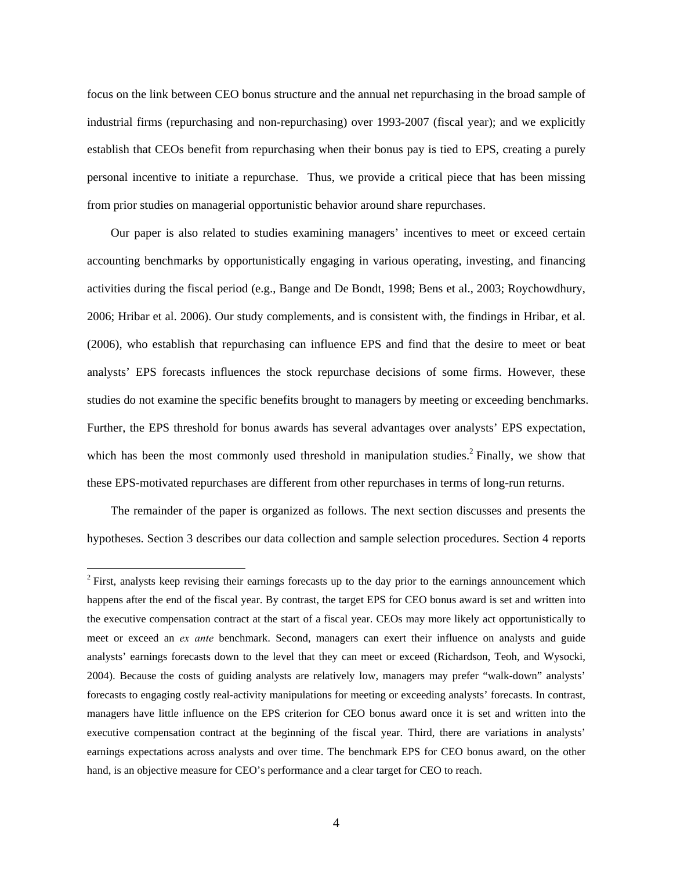focus on the link between CEO bonus structure and the annual net repurchasing in the broad sample of industrial firms (repurchasing and non-repurchasing) over 1993-2007 (fiscal year); and we explicitly establish that CEOs benefit from repurchasing when their bonus pay is tied to EPS, creating a purely personal incentive to initiate a repurchase. Thus, we provide a critical piece that has been missing from prior studies on managerial opportunistic behavior around share repurchases.

Our paper is also related to studies examining managers' incentives to meet or exceed certain accounting benchmarks by opportunistically engaging in various operating, investing, and financing activities during the fiscal period (e.g., Bange and De Bondt, 1998; Bens et al., 2003; Roychowdhury, 2006; Hribar et al. 2006). Our study complements, and is consistent with, the findings in Hribar, et al. (2006), who establish that repurchasing can influence EPS and find that the desire to meet or beat analysts' EPS forecasts influences the stock repurchase decisions of some firms. However, these studies do not examine the specific benefits brought to managers by meeting or exceeding benchmarks. Further, the EPS threshold for bonus awards has several advantages over analysts' EPS expectation, which has been the most commonly used threshold in manipulation studies.<sup>2</sup> Finally, we show that these EPS-motivated repurchases are different from other repurchases in terms of long-run returns.

The remainder of the paper is organized as follows. The next section discusses and presents the hypotheses. Section 3 describes our data collection and sample selection procedures. Section 4 reports

 $\overline{a}$ 

 $2$  First, analysts keep revising their earnings forecasts up to the day prior to the earnings announcement which happens after the end of the fiscal year. By contrast, the target EPS for CEO bonus award is set and written into the executive compensation contract at the start of a fiscal year. CEOs may more likely act opportunistically to meet or exceed an *ex ante* benchmark. Second, managers can exert their influence on analysts and guide analysts' earnings forecasts down to the level that they can meet or exceed (Richardson, Teoh, and Wysocki, 2004). Because the costs of guiding analysts are relatively low, managers may prefer "walk-down" analysts' forecasts to engaging costly real-activity manipulations for meeting or exceeding analysts' forecasts. In contrast, managers have little influence on the EPS criterion for CEO bonus award once it is set and written into the executive compensation contract at the beginning of the fiscal year. Third, there are variations in analysts' earnings expectations across analysts and over time. The benchmark EPS for CEO bonus award, on the other hand, is an objective measure for CEO's performance and a clear target for CEO to reach.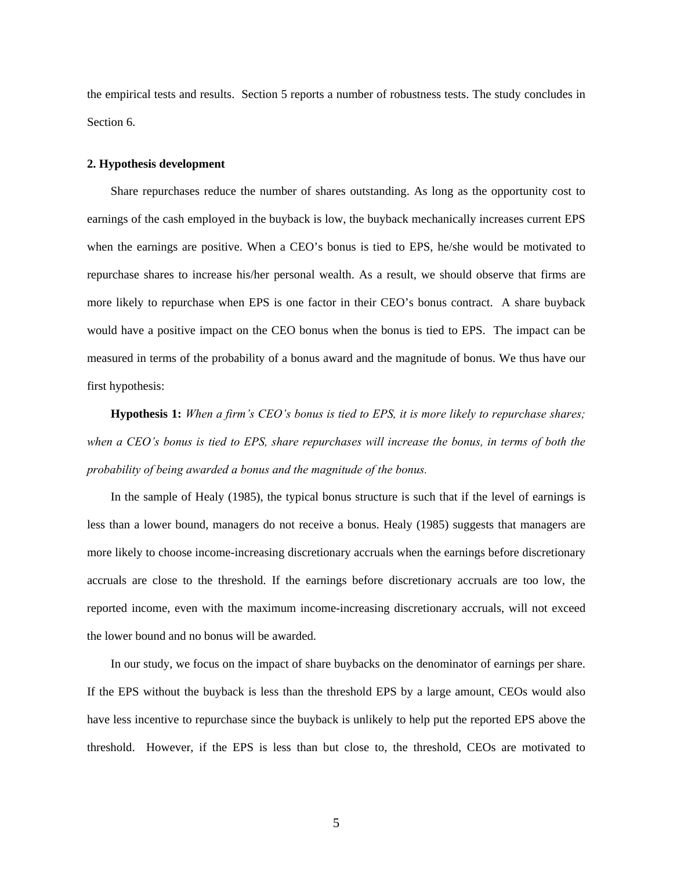the empirical tests and results. Section 5 reports a number of robustness tests. The study concludes in Section 6.

### **2. Hypothesis development**

Share repurchases reduce the number of shares outstanding. As long as the opportunity cost to earnings of the cash employed in the buyback is low, the buyback mechanically increases current EPS when the earnings are positive. When a CEO's bonus is tied to EPS, he/she would be motivated to repurchase shares to increase his/her personal wealth. As a result, we should observe that firms are more likely to repurchase when EPS is one factor in their CEO's bonus contract. A share buyback would have a positive impact on the CEO bonus when the bonus is tied to EPS. The impact can be measured in terms of the probability of a bonus award and the magnitude of bonus. We thus have our first hypothesis:

**Hypothesis 1:** *When a firm's CEO's bonus is tied to EPS, it is more likely to repurchase shares; when a CEO's bonus is tied to EPS, share repurchases will increase the bonus, in terms of both the probability of being awarded a bonus and the magnitude of the bonus.* 

In the sample of Healy (1985), the typical bonus structure is such that if the level of earnings is less than a lower bound, managers do not receive a bonus. Healy (1985) suggests that managers are more likely to choose income-increasing discretionary accruals when the earnings before discretionary accruals are close to the threshold. If the earnings before discretionary accruals are too low, the reported income, even with the maximum income-increasing discretionary accruals, will not exceed the lower bound and no bonus will be awarded.

In our study, we focus on the impact of share buybacks on the denominator of earnings per share. If the EPS without the buyback is less than the threshold EPS by a large amount, CEOs would also have less incentive to repurchase since the buyback is unlikely to help put the reported EPS above the threshold. However, if the EPS is less than but close to, the threshold, CEOs are motivated to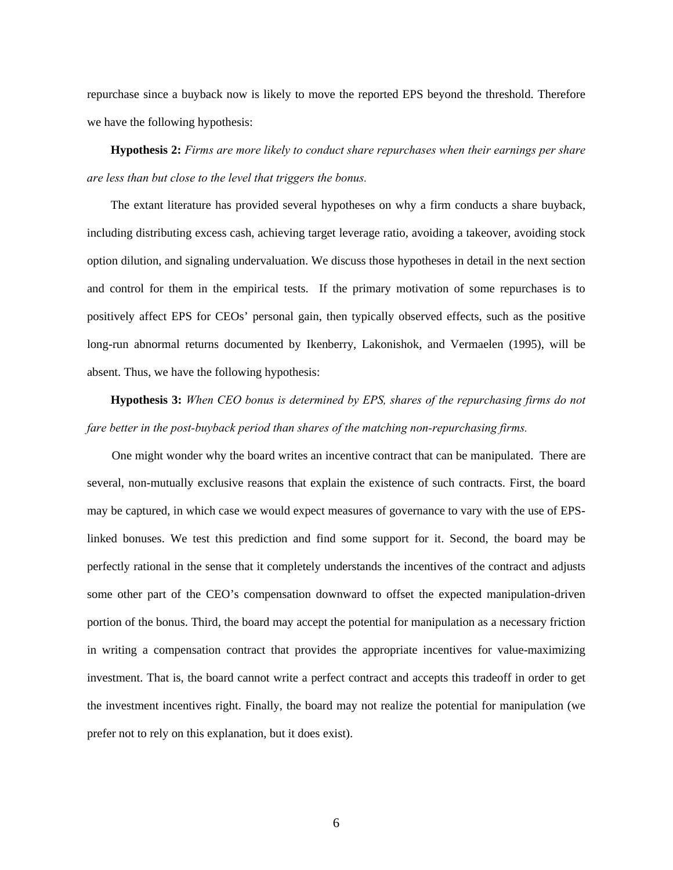repurchase since a buyback now is likely to move the reported EPS beyond the threshold. Therefore we have the following hypothesis:

**Hypothesis 2:** *Firms are more likely to conduct share repurchases when their earnings per share are less than but close to the level that triggers the bonus.* 

The extant literature has provided several hypotheses on why a firm conducts a share buyback, including distributing excess cash, achieving target leverage ratio, avoiding a takeover, avoiding stock option dilution, and signaling undervaluation. We discuss those hypotheses in detail in the next section and control for them in the empirical tests. If the primary motivation of some repurchases is to positively affect EPS for CEOs' personal gain, then typically observed effects, such as the positive long-run abnormal returns documented by Ikenberry, Lakonishok, and Vermaelen (1995), will be absent. Thus, we have the following hypothesis:

**Hypothesis 3:** *When CEO bonus is determined by EPS, shares of the repurchasing firms do not fare better in the post-buyback period than shares of the matching non-repurchasing firms.* 

One might wonder why the board writes an incentive contract that can be manipulated. There are several, non-mutually exclusive reasons that explain the existence of such contracts. First, the board may be captured, in which case we would expect measures of governance to vary with the use of EPSlinked bonuses. We test this prediction and find some support for it. Second, the board may be perfectly rational in the sense that it completely understands the incentives of the contract and adjusts some other part of the CEO's compensation downward to offset the expected manipulation-driven portion of the bonus. Third, the board may accept the potential for manipulation as a necessary friction in writing a compensation contract that provides the appropriate incentives for value-maximizing investment. That is, the board cannot write a perfect contract and accepts this tradeoff in order to get the investment incentives right. Finally, the board may not realize the potential for manipulation (we prefer not to rely on this explanation, but it does exist).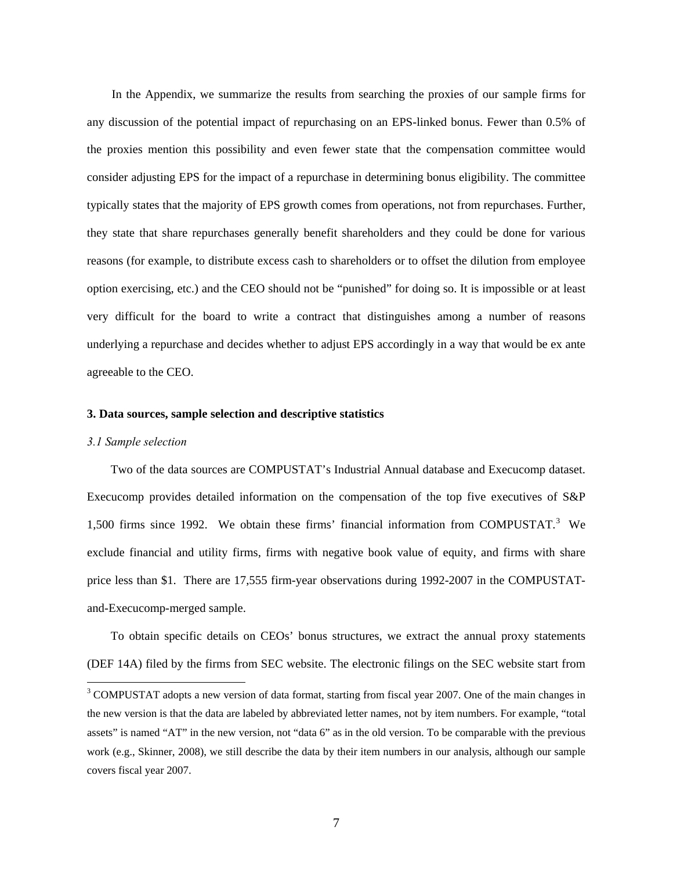In the Appendix, we summarize the results from searching the proxies of our sample firms for any discussion of the potential impact of repurchasing on an EPS-linked bonus. Fewer than 0.5% of the proxies mention this possibility and even fewer state that the compensation committee would consider adjusting EPS for the impact of a repurchase in determining bonus eligibility. The committee typically states that the majority of EPS growth comes from operations, not from repurchases. Further, they state that share repurchases generally benefit shareholders and they could be done for various reasons (for example, to distribute excess cash to shareholders or to offset the dilution from employee option exercising, etc.) and the CEO should not be "punished" for doing so. It is impossible or at least very difficult for the board to write a contract that distinguishes among a number of reasons underlying a repurchase and decides whether to adjust EPS accordingly in a way that would be ex ante agreeable to the CEO.

#### **3. Data sources, sample selection and descriptive statistics**

## *3.1 Sample selection*

 $\overline{a}$ 

Two of the data sources are COMPUSTAT's Industrial Annual database and Execucomp dataset. Execucomp provides detailed information on the compensation of the top five executives of S&P 1,500 firms since 1992. We obtain these firms' financial information from COMPUSTAT.<sup>3</sup> We exclude financial and utility firms, firms with negative book value of equity, and firms with share price less than \$1. There are 17,555 firm-year observations during 1992-2007 in the COMPUSTATand-Execucomp-merged sample.

To obtain specific details on CEOs' bonus structures, we extract the annual proxy statements (DEF 14A) filed by the firms from SEC website. The electronic filings on the SEC website start from

<sup>&</sup>lt;sup>3</sup> COMPUSTAT adopts a new version of data format, starting from fiscal year 2007. One of the main changes in the new version is that the data are labeled by abbreviated letter names, not by item numbers. For example, "total assets" is named "AT" in the new version, not "data 6" as in the old version. To be comparable with the previous work (e.g., Skinner, 2008), we still describe the data by their item numbers in our analysis, although our sample covers fiscal year 2007.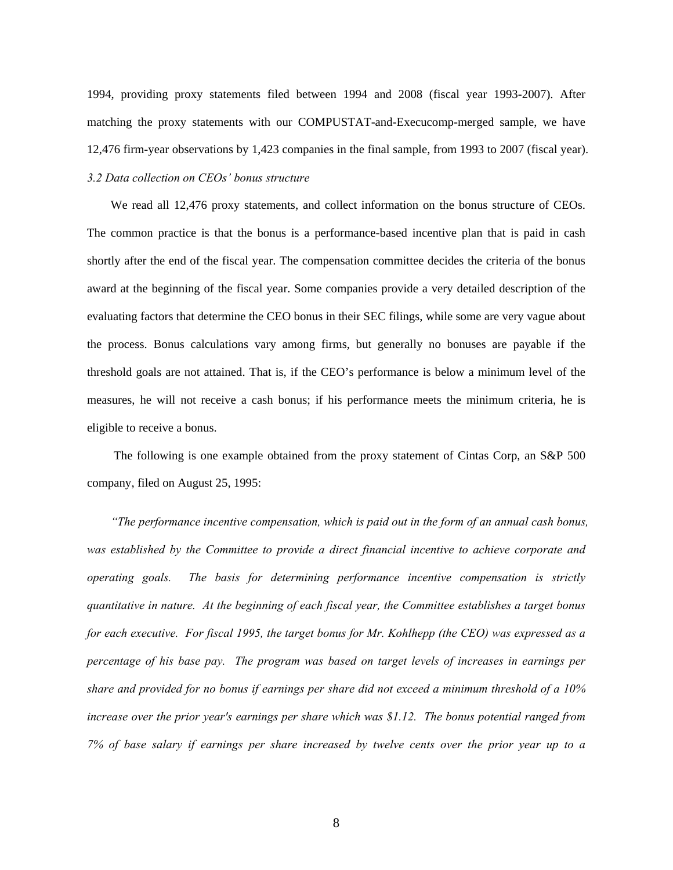1994, providing proxy statements filed between 1994 and 2008 (fiscal year 1993-2007). After matching the proxy statements with our COMPUSTAT-and-Execucomp-merged sample, we have 12,476 firm-year observations by 1,423 companies in the final sample, from 1993 to 2007 (fiscal year). *3.2 Data collection on CEOs' bonus structure* 

We read all 12,476 proxy statements, and collect information on the bonus structure of CEOs. The common practice is that the bonus is a performance-based incentive plan that is paid in cash shortly after the end of the fiscal year. The compensation committee decides the criteria of the bonus award at the beginning of the fiscal year. Some companies provide a very detailed description of the evaluating factors that determine the CEO bonus in their SEC filings, while some are very vague about the process. Bonus calculations vary among firms, but generally no bonuses are payable if the threshold goals are not attained. That is, if the CEO's performance is below a minimum level of the measures, he will not receive a cash bonus; if his performance meets the minimum criteria, he is eligible to receive a bonus.

 The following is one example obtained from the proxy statement of Cintas Corp, an S&P 500 company, filed on August 25, 1995:

*"The performance incentive compensation, which is paid out in the form of an annual cash bonus, was established by the Committee to provide a direct financial incentive to achieve corporate and operating goals. The basis for determining performance incentive compensation is strictly quantitative in nature. At the beginning of each fiscal year, the Committee establishes a target bonus for each executive. For fiscal 1995, the target bonus for Mr. Kohlhepp (the CEO) was expressed as a percentage of his base pay. The program was based on target levels of increases in earnings per share and provided for no bonus if earnings per share did not exceed a minimum threshold of a 10% increase over the prior year's earnings per share which was \$1.12. The bonus potential ranged from 7% of base salary if earnings per share increased by twelve cents over the prior year up to a*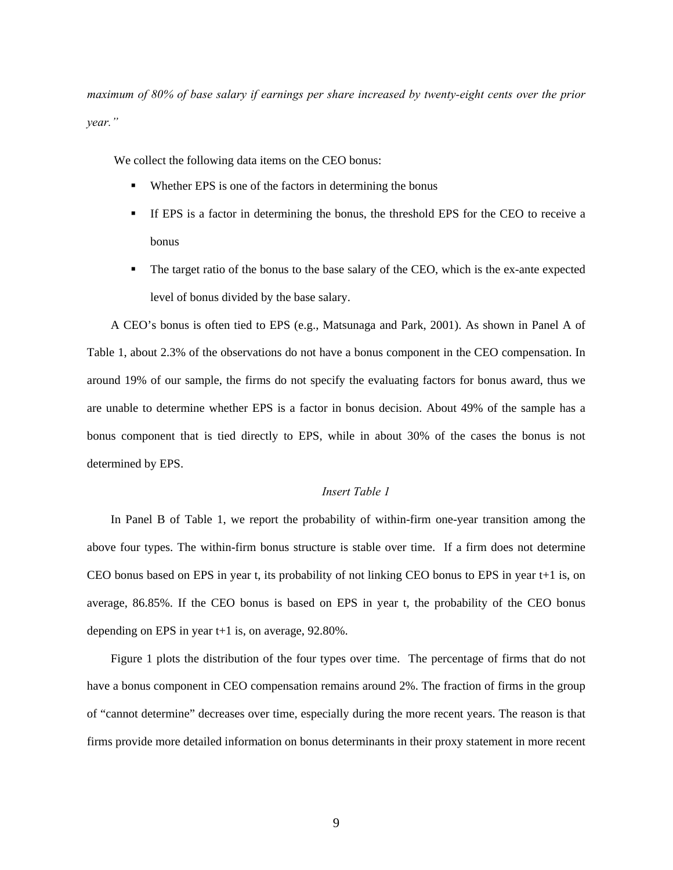*maximum of 80% of base salary if earnings per share increased by twenty-eight cents over the prior year."* 

We collect the following data items on the CEO bonus:

- Whether EPS is one of the factors in determining the bonus
- If EPS is a factor in determining the bonus, the threshold EPS for the CEO to receive a bonus
- The target ratio of the bonus to the base salary of the CEO, which is the ex-ante expected level of bonus divided by the base salary.

A CEO's bonus is often tied to EPS (e.g., Matsunaga and Park, 2001). As shown in Panel A of Table 1, about 2.3% of the observations do not have a bonus component in the CEO compensation. In around 19% of our sample, the firms do not specify the evaluating factors for bonus award, thus we are unable to determine whether EPS is a factor in bonus decision. About 49% of the sample has a bonus component that is tied directly to EPS, while in about 30% of the cases the bonus is not determined by EPS.

# *Insert Table 1*

In Panel B of Table 1, we report the probability of within-firm one-year transition among the above four types. The within-firm bonus structure is stable over time. If a firm does not determine CEO bonus based on EPS in year t, its probability of not linking CEO bonus to EPS in year t+1 is, on average, 86.85%. If the CEO bonus is based on EPS in year t, the probability of the CEO bonus depending on EPS in year t+1 is, on average, 92.80%.

Figure 1 plots the distribution of the four types over time. The percentage of firms that do not have a bonus component in CEO compensation remains around 2%. The fraction of firms in the group of "cannot determine" decreases over time, especially during the more recent years. The reason is that firms provide more detailed information on bonus determinants in their proxy statement in more recent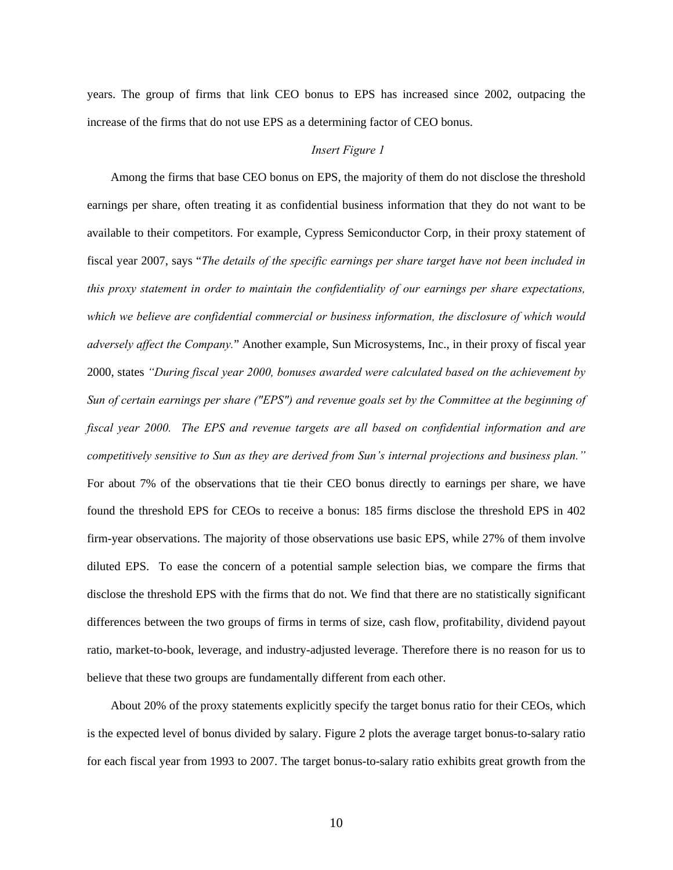years. The group of firms that link CEO bonus to EPS has increased since 2002, outpacing the increase of the firms that do not use EPS as a determining factor of CEO bonus.

### *Insert Figure 1*

Among the firms that base CEO bonus on EPS, the majority of them do not disclose the threshold earnings per share, often treating it as confidential business information that they do not want to be available to their competitors. For example, Cypress Semiconductor Corp, in their proxy statement of fiscal year 2007, says "*The details of the specific earnings per share target have not been included in this proxy statement in order to maintain the confidentiality of our earnings per share expectations, which we believe are confidential commercial or business information, the disclosure of which would adversely affect the Company.*" Another example, Sun Microsystems, Inc., in their proxy of fiscal year 2000, states *"During fiscal year 2000, bonuses awarded were calculated based on the achievement by Sun of certain earnings per share ("EPS") and revenue goals set by the Committee at the beginning of fiscal year 2000. The EPS and revenue targets are all based on confidential information and are competitively sensitive to Sun as they are derived from Sun's internal projections and business plan."* For about 7% of the observations that tie their CEO bonus directly to earnings per share, we have found the threshold EPS for CEOs to receive a bonus: 185 firms disclose the threshold EPS in 402 firm-year observations. The majority of those observations use basic EPS, while 27% of them involve diluted EPS. To ease the concern of a potential sample selection bias, we compare the firms that disclose the threshold EPS with the firms that do not. We find that there are no statistically significant differences between the two groups of firms in terms of size, cash flow, profitability, dividend payout ratio, market-to-book, leverage, and industry-adjusted leverage. Therefore there is no reason for us to believe that these two groups are fundamentally different from each other.

About 20% of the proxy statements explicitly specify the target bonus ratio for their CEOs, which is the expected level of bonus divided by salary. Figure 2 plots the average target bonus-to-salary ratio for each fiscal year from 1993 to 2007. The target bonus-to-salary ratio exhibits great growth from the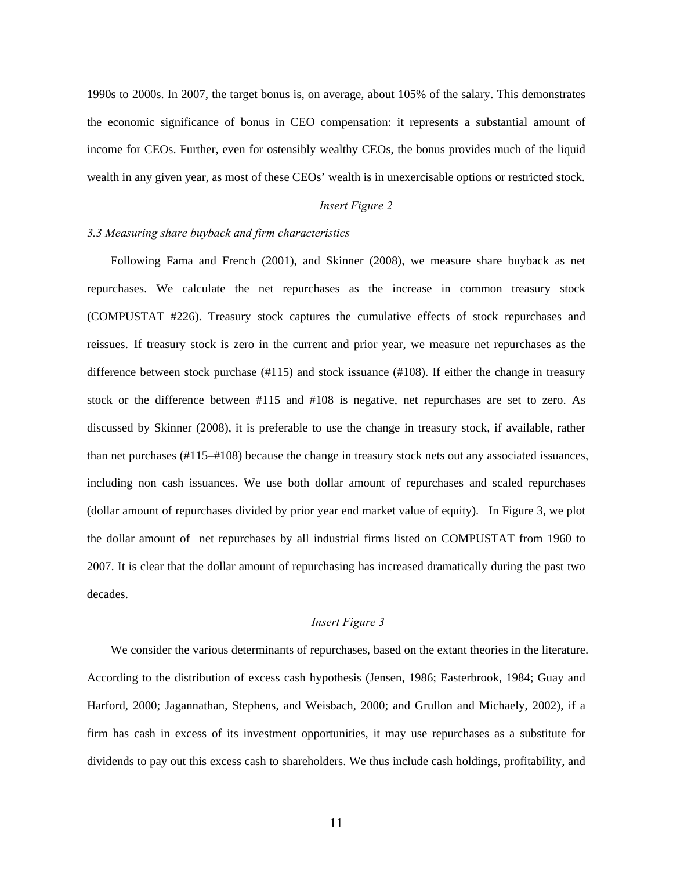1990s to 2000s. In 2007, the target bonus is, on average, about 105% of the salary. This demonstrates the economic significance of bonus in CEO compensation: it represents a substantial amount of income for CEOs. Further, even for ostensibly wealthy CEOs, the bonus provides much of the liquid wealth in any given year, as most of these CEOs' wealth is in unexercisable options or restricted stock.

## *Insert Figure 2*

#### *3.3 Measuring share buyback and firm characteristics*

Following Fama and French (2001), and Skinner (2008), we measure share buyback as net repurchases. We calculate the net repurchases as the increase in common treasury stock (COMPUSTAT #226). Treasury stock captures the cumulative effects of stock repurchases and reissues. If treasury stock is zero in the current and prior year, we measure net repurchases as the difference between stock purchase (#115) and stock issuance (#108). If either the change in treasury stock or the difference between #115 and #108 is negative, net repurchases are set to zero. As discussed by Skinner (2008), it is preferable to use the change in treasury stock, if available, rather than net purchases (#115–#108) because the change in treasury stock nets out any associated issuances, including non cash issuances. We use both dollar amount of repurchases and scaled repurchases (dollar amount of repurchases divided by prior year end market value of equity). In Figure 3, we plot the dollar amount of net repurchases by all industrial firms listed on COMPUSTAT from 1960 to 2007. It is clear that the dollar amount of repurchasing has increased dramatically during the past two decades.

# *Insert Figure 3*

We consider the various determinants of repurchases, based on the extant theories in the literature. According to the distribution of excess cash hypothesis (Jensen, 1986; Easterbrook, 1984; Guay and Harford, 2000; Jagannathan, Stephens, and Weisbach, 2000; and Grullon and Michaely, 2002), if a firm has cash in excess of its investment opportunities, it may use repurchases as a substitute for dividends to pay out this excess cash to shareholders. We thus include cash holdings, profitability, and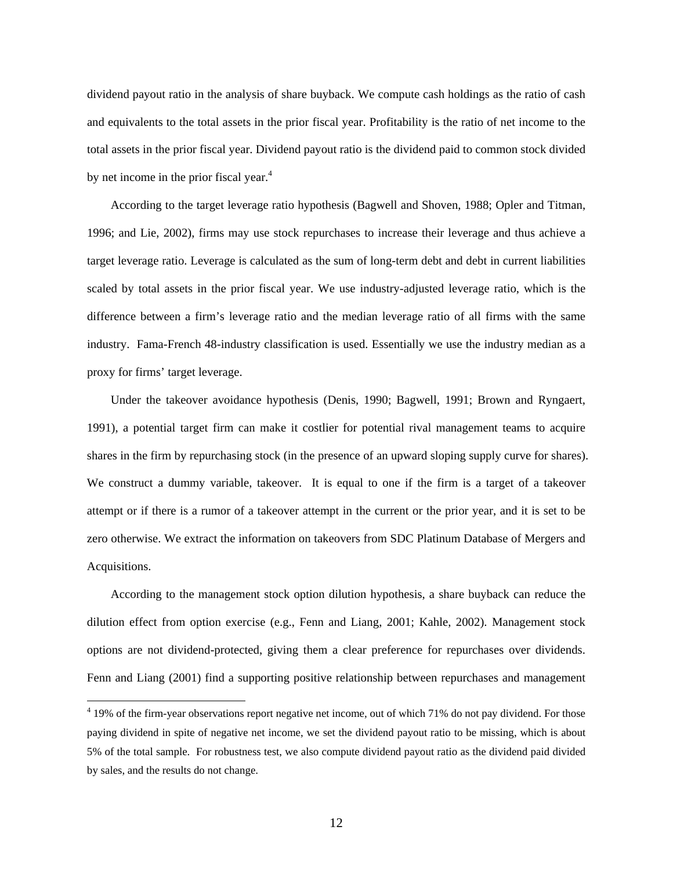dividend payout ratio in the analysis of share buyback. We compute cash holdings as the ratio of cash and equivalents to the total assets in the prior fiscal year. Profitability is the ratio of net income to the total assets in the prior fiscal year. Dividend payout ratio is the dividend paid to common stock divided by net income in the prior fiscal year.<sup>4</sup>

According to the target leverage ratio hypothesis (Bagwell and Shoven, 1988; Opler and Titman, 1996; and Lie, 2002), firms may use stock repurchases to increase their leverage and thus achieve a target leverage ratio. Leverage is calculated as the sum of long-term debt and debt in current liabilities scaled by total assets in the prior fiscal year. We use industry-adjusted leverage ratio, which is the difference between a firm's leverage ratio and the median leverage ratio of all firms with the same industry. Fama-French 48-industry classification is used. Essentially we use the industry median as a proxy for firms' target leverage.

Under the takeover avoidance hypothesis (Denis, 1990; Bagwell, 1991; Brown and Ryngaert, 1991), a potential target firm can make it costlier for potential rival management teams to acquire shares in the firm by repurchasing stock (in the presence of an upward sloping supply curve for shares). We construct a dummy variable, takeover. It is equal to one if the firm is a target of a takeover attempt or if there is a rumor of a takeover attempt in the current or the prior year, and it is set to be zero otherwise. We extract the information on takeovers from SDC Platinum Database of Mergers and Acquisitions.

According to the management stock option dilution hypothesis, a share buyback can reduce the dilution effect from option exercise (e.g., Fenn and Liang, 2001; Kahle, 2002). Management stock options are not dividend-protected, giving them a clear preference for repurchases over dividends. Fenn and Liang (2001) find a supporting positive relationship between repurchases and management

 $\overline{a}$ 

 $4$  19% of the firm-year observations report negative net income, out of which 71% do not pay dividend. For those paying dividend in spite of negative net income, we set the dividend payout ratio to be missing, which is about 5% of the total sample. For robustness test, we also compute dividend payout ratio as the dividend paid divided by sales, and the results do not change.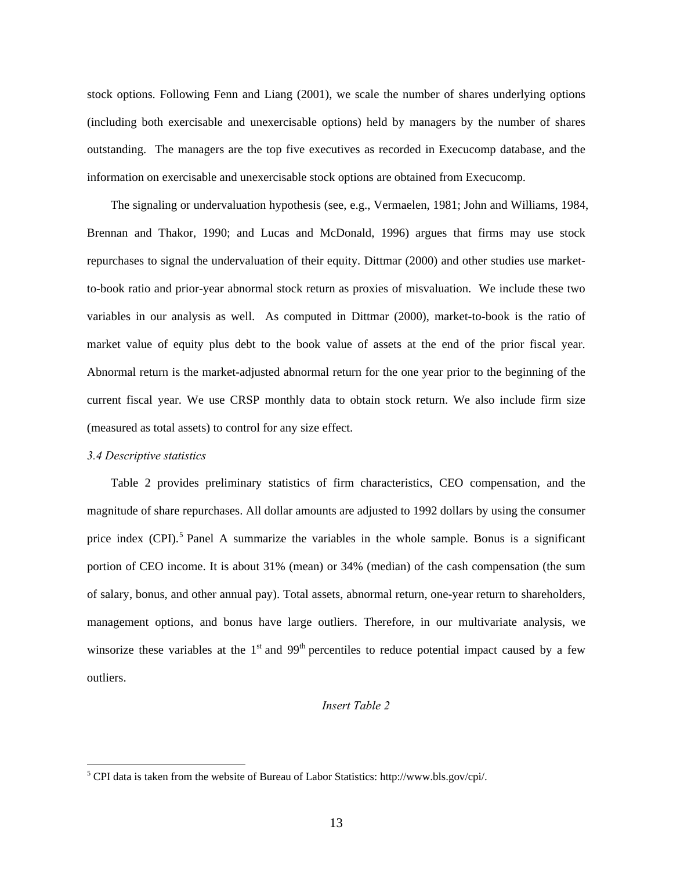stock options. Following Fenn and Liang (2001), we scale the number of shares underlying options (including both exercisable and unexercisable options) held by managers by the number of shares outstanding. The managers are the top five executives as recorded in Execucomp database, and the information on exercisable and unexercisable stock options are obtained from Execucomp.

The signaling or undervaluation hypothesis (see, e.g., Vermaelen, 1981; John and Williams, 1984, Brennan and Thakor, 1990; and Lucas and McDonald, 1996) argues that firms may use stock repurchases to signal the undervaluation of their equity. Dittmar (2000) and other studies use marketto-book ratio and prior-year abnormal stock return as proxies of misvaluation. We include these two variables in our analysis as well. As computed in Dittmar (2000), market-to-book is the ratio of market value of equity plus debt to the book value of assets at the end of the prior fiscal year. Abnormal return is the market-adjusted abnormal return for the one year prior to the beginning of the current fiscal year. We use CRSP monthly data to obtain stock return. We also include firm size (measured as total assets) to control for any size effect.

### *3.4 Descriptive statistics*

 $\overline{a}$ 

Table 2 provides preliminary statistics of firm characteristics, CEO compensation, and the magnitude of share repurchases. All dollar amounts are adjusted to 1992 dollars by using the consumer price index  $(CPI)$ .<sup>5</sup> Panel A summarize the variables in the whole sample. Bonus is a significant portion of CEO income. It is about 31% (mean) or 34% (median) of the cash compensation (the sum of salary, bonus, and other annual pay). Total assets, abnormal return, one-year return to shareholders, management options, and bonus have large outliers. Therefore, in our multivariate analysis, we winsorize these variables at the  $1<sup>st</sup>$  and 99<sup>th</sup> percentiles to reduce potential impact caused by a few outliers.

#### *Insert Table 2*

<sup>&</sup>lt;sup>5</sup> CPI data is taken from the website of Bureau of Labor Statistics: http://www.bls.gov/cpi/.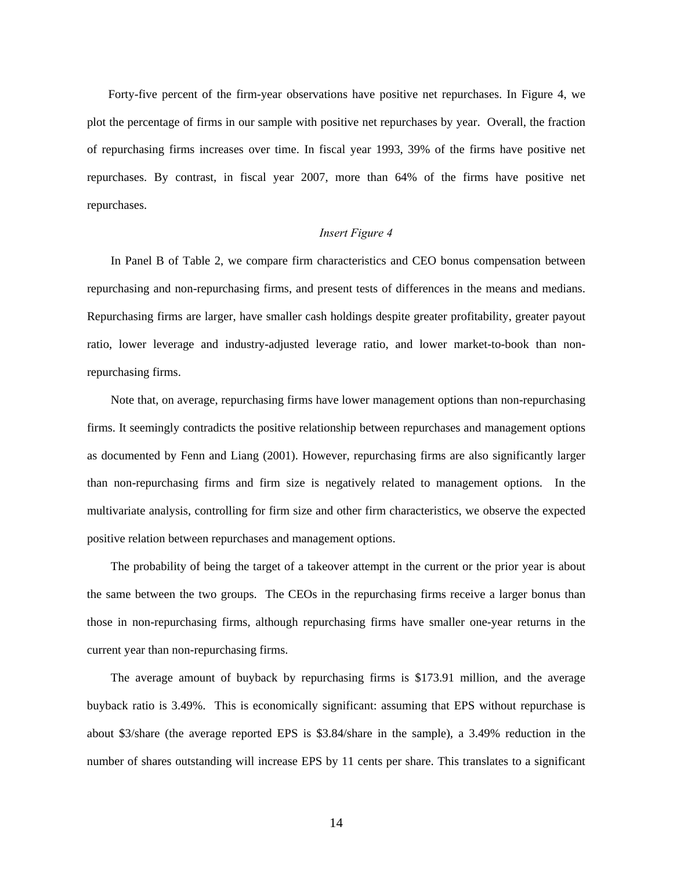Forty-five percent of the firm-year observations have positive net repurchases. In Figure 4, we plot the percentage of firms in our sample with positive net repurchases by year. Overall, the fraction of repurchasing firms increases over time. In fiscal year 1993, 39% of the firms have positive net repurchases. By contrast, in fiscal year 2007, more than 64% of the firms have positive net repurchases.

## *Insert Figure 4*

In Panel B of Table 2, we compare firm characteristics and CEO bonus compensation between repurchasing and non-repurchasing firms, and present tests of differences in the means and medians. Repurchasing firms are larger, have smaller cash holdings despite greater profitability, greater payout ratio, lower leverage and industry-adjusted leverage ratio, and lower market-to-book than nonrepurchasing firms.

Note that, on average, repurchasing firms have lower management options than non-repurchasing firms. It seemingly contradicts the positive relationship between repurchases and management options as documented by Fenn and Liang (2001). However, repurchasing firms are also significantly larger than non-repurchasing firms and firm size is negatively related to management options. In the multivariate analysis, controlling for firm size and other firm characteristics, we observe the expected positive relation between repurchases and management options.

The probability of being the target of a takeover attempt in the current or the prior year is about the same between the two groups. The CEOs in the repurchasing firms receive a larger bonus than those in non-repurchasing firms, although repurchasing firms have smaller one-year returns in the current year than non-repurchasing firms.

The average amount of buyback by repurchasing firms is \$173.91 million, and the average buyback ratio is 3.49%. This is economically significant: assuming that EPS without repurchase is about \$3/share (the average reported EPS is \$3.84/share in the sample), a 3.49% reduction in the number of shares outstanding will increase EPS by 11 cents per share. This translates to a significant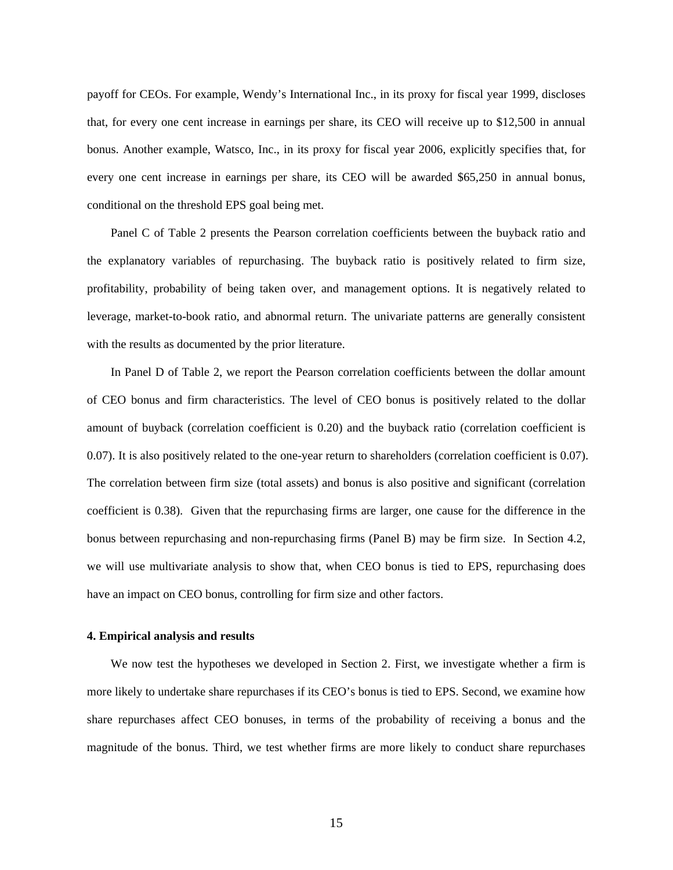payoff for CEOs. For example, Wendy's International Inc., in its proxy for fiscal year 1999, discloses that, for every one cent increase in earnings per share, its CEO will receive up to \$12,500 in annual bonus. Another example, Watsco, Inc., in its proxy for fiscal year 2006, explicitly specifies that, for every one cent increase in earnings per share, its CEO will be awarded \$65,250 in annual bonus, conditional on the threshold EPS goal being met.

Panel C of Table 2 presents the Pearson correlation coefficients between the buyback ratio and the explanatory variables of repurchasing. The buyback ratio is positively related to firm size, profitability, probability of being taken over, and management options. It is negatively related to leverage, market-to-book ratio, and abnormal return. The univariate patterns are generally consistent with the results as documented by the prior literature.

In Panel D of Table 2, we report the Pearson correlation coefficients between the dollar amount of CEO bonus and firm characteristics. The level of CEO bonus is positively related to the dollar amount of buyback (correlation coefficient is 0.20) and the buyback ratio (correlation coefficient is 0.07). It is also positively related to the one-year return to shareholders (correlation coefficient is 0.07). The correlation between firm size (total assets) and bonus is also positive and significant (correlation coefficient is 0.38). Given that the repurchasing firms are larger, one cause for the difference in the bonus between repurchasing and non-repurchasing firms (Panel B) may be firm size. In Section 4.2, we will use multivariate analysis to show that, when CEO bonus is tied to EPS, repurchasing does have an impact on CEO bonus, controlling for firm size and other factors.

### **4. Empirical analysis and results**

We now test the hypotheses we developed in Section 2. First, we investigate whether a firm is more likely to undertake share repurchases if its CEO's bonus is tied to EPS. Second, we examine how share repurchases affect CEO bonuses, in terms of the probability of receiving a bonus and the magnitude of the bonus. Third, we test whether firms are more likely to conduct share repurchases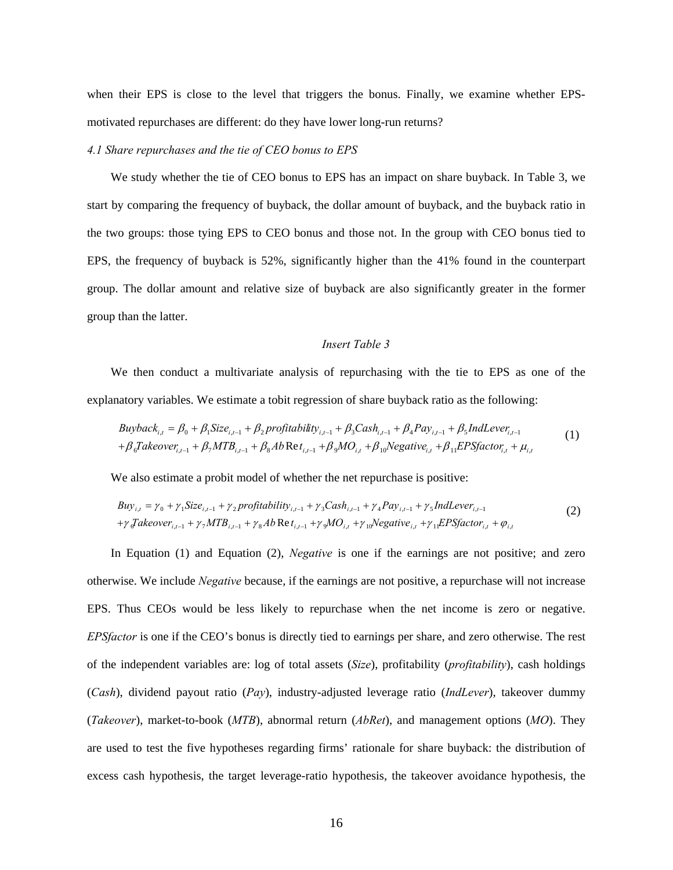when their EPS is close to the level that triggers the bonus. Finally, we examine whether EPSmotivated repurchases are different: do they have lower long-run returns?

#### *4.1 Share repurchases and the tie of CEO bonus to EPS*

We study whether the tie of CEO bonus to EPS has an impact on share buyback. In Table 3, we start by comparing the frequency of buyback, the dollar amount of buyback, and the buyback ratio in the two groups: those tying EPS to CEO bonus and those not. In the group with CEO bonus tied to EPS, the frequency of buyback is 52%, significantly higher than the 41% found in the counterpart group. The dollar amount and relative size of buyback are also significantly greater in the former group than the latter.

## *Insert Table 3*

We then conduct a multivariate analysis of repurchasing with the tie to EPS as one of the explanatory variables. We estimate a tobit regression of share buyback ratio as the following:

*Buyback<sub>i,t</sub>* = 
$$
\beta_0 + \beta_1 Size_{i,t-1} + \beta_2 profitability_{i,t-1} + \beta_3 Cash_{i,t-1} + \beta_4 Pay_{i,t-1} + \beta_5 IndLever_{i,t-1}
$$
  
+ $\beta_6 Take over_{i,t-1} + \beta_7 MTB_{i,t-1} + \beta_8 AbRet_{i,t-1} + \beta_9 MO_{i,t} + \beta_{10} Negative_{i,t} + \beta_{11} EPS factor_{i,t} + \mu_{i,t}$  (1)

We also estimate a probit model of whether the net repurchase is positive:

*Buy<sub>i,t</sub>* = 
$$
\gamma_0 + \gamma_1 Size_{i,t-1} + \gamma_2 profitability_{i,t-1} + \gamma_3 Cash_{i,t-1} + \gamma_4 Pay_{i,t-1} + \gamma_5 IndLever_{i,t-1}
$$
  
+ $\gamma_6 Takeover_{i,t-1} + \gamma_7 MTB_{i,t-1} + \gamma_8 Ab Ret_{i,t-1} + \gamma_9 MO_{i,t} + \gamma_{10} Negative_{i,t} + \gamma_{11} EPS factor_{i,t} + \varphi_{i,t}$  (2)

In Equation (1) and Equation (2), *Negative* is one if the earnings are not positive; and zero otherwise. We include *Negative* because, if the earnings are not positive, a repurchase will not increase EPS. Thus CEOs would be less likely to repurchase when the net income is zero or negative. *EPSfactor* is one if the CEO's bonus is directly tied to earnings per share, and zero otherwise. The rest of the independent variables are: log of total assets (*Size*), profitability (*profitability*), cash holdings (*Cash*), dividend payout ratio (*Pay*), industry-adjusted leverage ratio (*IndLever*), takeover dummy (*Takeover*), market-to-book (*MTB*), abnormal return (*AbRet*), and management options (*MO*). They are used to test the five hypotheses regarding firms' rationale for share buyback: the distribution of excess cash hypothesis, the target leverage-ratio hypothesis, the takeover avoidance hypothesis, the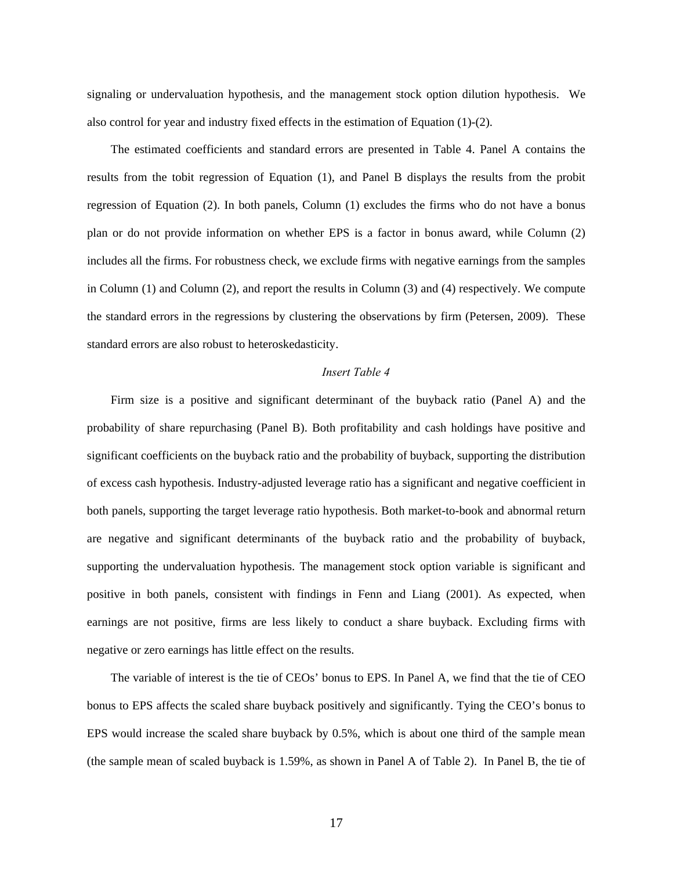signaling or undervaluation hypothesis, and the management stock option dilution hypothesis. We also control for year and industry fixed effects in the estimation of Equation  $(1)-(2)$ .

The estimated coefficients and standard errors are presented in Table 4. Panel A contains the results from the tobit regression of Equation (1), and Panel B displays the results from the probit regression of Equation (2). In both panels, Column (1) excludes the firms who do not have a bonus plan or do not provide information on whether EPS is a factor in bonus award, while Column (2) includes all the firms. For robustness check, we exclude firms with negative earnings from the samples in Column (1) and Column (2), and report the results in Column (3) and (4) respectively. We compute the standard errors in the regressions by clustering the observations by firm (Petersen, 2009). These standard errors are also robust to heteroskedasticity.

# *Insert Table 4*

Firm size is a positive and significant determinant of the buyback ratio (Panel A) and the probability of share repurchasing (Panel B). Both profitability and cash holdings have positive and significant coefficients on the buyback ratio and the probability of buyback, supporting the distribution of excess cash hypothesis. Industry-adjusted leverage ratio has a significant and negative coefficient in both panels, supporting the target leverage ratio hypothesis. Both market-to-book and abnormal return are negative and significant determinants of the buyback ratio and the probability of buyback, supporting the undervaluation hypothesis. The management stock option variable is significant and positive in both panels, consistent with findings in Fenn and Liang (2001). As expected, when earnings are not positive, firms are less likely to conduct a share buyback. Excluding firms with negative or zero earnings has little effect on the results.

The variable of interest is the tie of CEOs' bonus to EPS. In Panel A, we find that the tie of CEO bonus to EPS affects the scaled share buyback positively and significantly. Tying the CEO's bonus to EPS would increase the scaled share buyback by 0.5%, which is about one third of the sample mean (the sample mean of scaled buyback is 1.59%, as shown in Panel A of Table 2). In Panel B, the tie of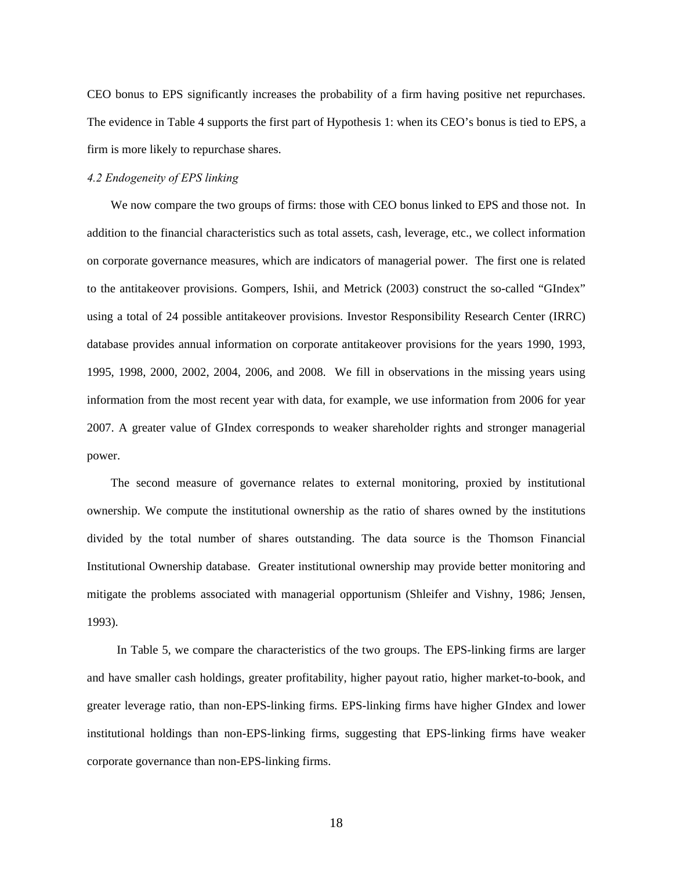CEO bonus to EPS significantly increases the probability of a firm having positive net repurchases. The evidence in Table 4 supports the first part of Hypothesis 1: when its CEO's bonus is tied to EPS, a firm is more likely to repurchase shares.

### *4.2 Endogeneity of EPS linking*

We now compare the two groups of firms: those with CEO bonus linked to EPS and those not. In addition to the financial characteristics such as total assets, cash, leverage, etc., we collect information on corporate governance measures, which are indicators of managerial power. The first one is related to the antitakeover provisions. Gompers, Ishii, and Metrick (2003) construct the so-called "GIndex" using a total of 24 possible antitakeover provisions. Investor Responsibility Research Center (IRRC) database provides annual information on corporate antitakeover provisions for the years 1990, 1993, 1995, 1998, 2000, 2002, 2004, 2006, and 2008. We fill in observations in the missing years using information from the most recent year with data, for example, we use information from 2006 for year 2007. A greater value of GIndex corresponds to weaker shareholder rights and stronger managerial power.

The second measure of governance relates to external monitoring, proxied by institutional ownership. We compute the institutional ownership as the ratio of shares owned by the institutions divided by the total number of shares outstanding. The data source is the Thomson Financial Institutional Ownership database. Greater institutional ownership may provide better monitoring and mitigate the problems associated with managerial opportunism (Shleifer and Vishny, 1986; Jensen, 1993).

 In Table 5, we compare the characteristics of the two groups. The EPS-linking firms are larger and have smaller cash holdings, greater profitability, higher payout ratio, higher market-to-book, and greater leverage ratio, than non-EPS-linking firms. EPS-linking firms have higher GIndex and lower institutional holdings than non-EPS-linking firms, suggesting that EPS-linking firms have weaker corporate governance than non-EPS-linking firms.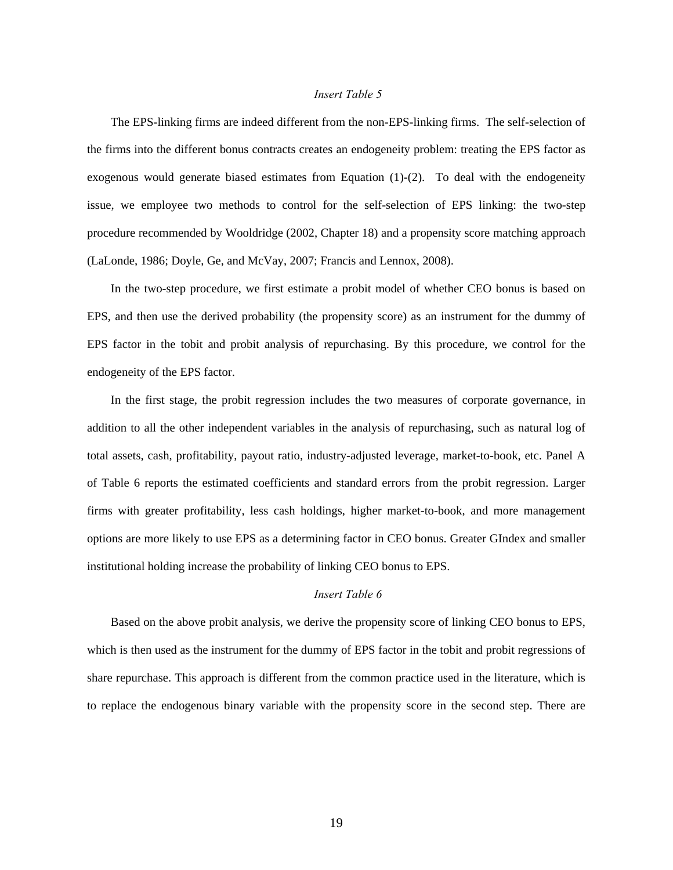#### *Insert Table 5*

The EPS-linking firms are indeed different from the non-EPS-linking firms. The self-selection of the firms into the different bonus contracts creates an endogeneity problem: treating the EPS factor as exogenous would generate biased estimates from Equation  $(1)-(2)$ . To deal with the endogeneity issue, we employee two methods to control for the self-selection of EPS linking: the two-step procedure recommended by Wooldridge (2002, Chapter 18) and a propensity score matching approach (LaLonde, 1986; Doyle, Ge, and McVay, 2007; Francis and Lennox, 2008).

In the two-step procedure, we first estimate a probit model of whether CEO bonus is based on EPS, and then use the derived probability (the propensity score) as an instrument for the dummy of EPS factor in the tobit and probit analysis of repurchasing. By this procedure, we control for the endogeneity of the EPS factor.

In the first stage, the probit regression includes the two measures of corporate governance, in addition to all the other independent variables in the analysis of repurchasing, such as natural log of total assets, cash, profitability, payout ratio, industry-adjusted leverage, market-to-book, etc. Panel A of Table 6 reports the estimated coefficients and standard errors from the probit regression. Larger firms with greater profitability, less cash holdings, higher market-to-book, and more management options are more likely to use EPS as a determining factor in CEO bonus. Greater GIndex and smaller institutional holding increase the probability of linking CEO bonus to EPS.

#### *Insert Table 6*

Based on the above probit analysis, we derive the propensity score of linking CEO bonus to EPS, which is then used as the instrument for the dummy of EPS factor in the tobit and probit regressions of share repurchase. This approach is different from the common practice used in the literature, which is to replace the endogenous binary variable with the propensity score in the second step. There are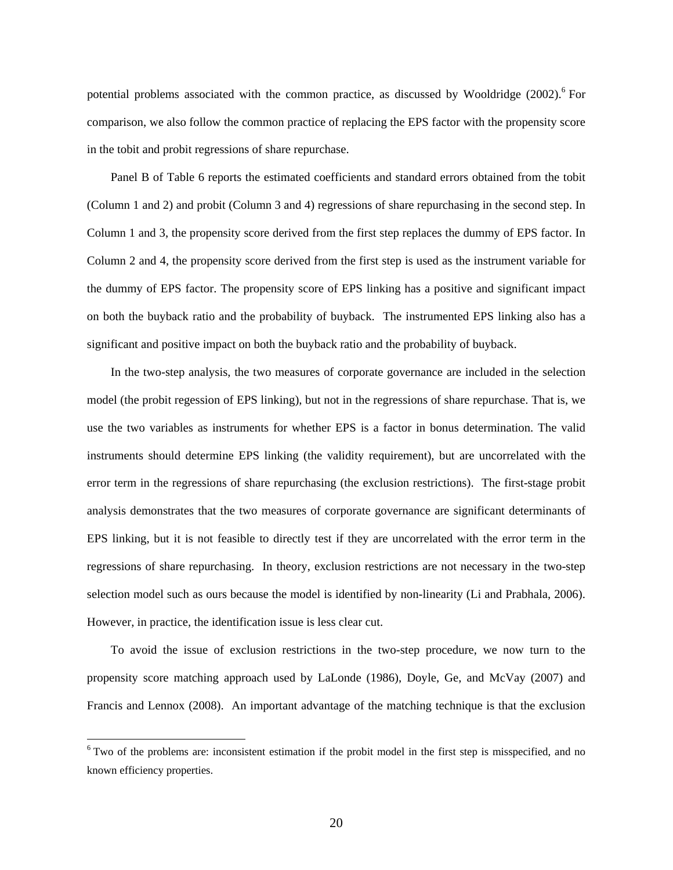potential problems associated with the common practice, as discussed by Wooldridge (2002).<sup>6</sup> For comparison, we also follow the common practice of replacing the EPS factor with the propensity score in the tobit and probit regressions of share repurchase.

Panel B of Table 6 reports the estimated coefficients and standard errors obtained from the tobit (Column 1 and 2) and probit (Column 3 and 4) regressions of share repurchasing in the second step. In Column 1 and 3, the propensity score derived from the first step replaces the dummy of EPS factor. In Column 2 and 4, the propensity score derived from the first step is used as the instrument variable for the dummy of EPS factor. The propensity score of EPS linking has a positive and significant impact on both the buyback ratio and the probability of buyback. The instrumented EPS linking also has a significant and positive impact on both the buyback ratio and the probability of buyback.

In the two-step analysis, the two measures of corporate governance are included in the selection model (the probit regession of EPS linking), but not in the regressions of share repurchase. That is, we use the two variables as instruments for whether EPS is a factor in bonus determination. The valid instruments should determine EPS linking (the validity requirement), but are uncorrelated with the error term in the regressions of share repurchasing (the exclusion restrictions). The first-stage probit analysis demonstrates that the two measures of corporate governance are significant determinants of EPS linking, but it is not feasible to directly test if they are uncorrelated with the error term in the regressions of share repurchasing. In theory, exclusion restrictions are not necessary in the two-step selection model such as ours because the model is identified by non-linearity (Li and Prabhala, 2006). However, in practice, the identification issue is less clear cut.

To avoid the issue of exclusion restrictions in the two-step procedure, we now turn to the propensity score matching approach used by LaLonde (1986), Doyle, Ge, and McVay (2007) and Francis and Lennox (2008). An important advantage of the matching technique is that the exclusion

 $\overline{a}$ 

<sup>&</sup>lt;sup>6</sup> Two of the problems are: inconsistent estimation if the probit model in the first step is misspecified, and no known efficiency properties.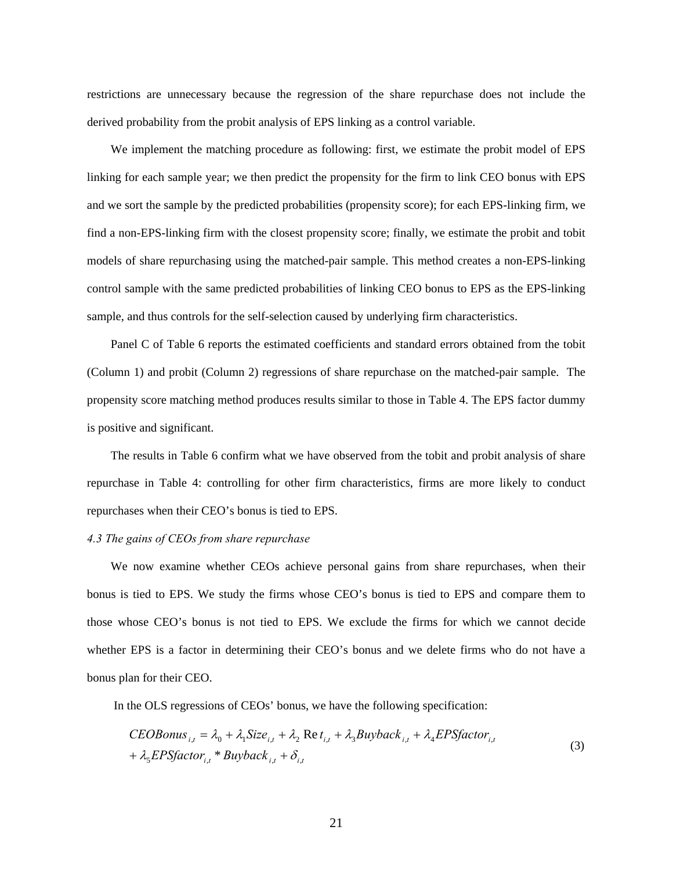restrictions are unnecessary because the regression of the share repurchase does not include the derived probability from the probit analysis of EPS linking as a control variable.

We implement the matching procedure as following: first, we estimate the probit model of EPS linking for each sample year; we then predict the propensity for the firm to link CEO bonus with EPS and we sort the sample by the predicted probabilities (propensity score); for each EPS-linking firm, we find a non-EPS-linking firm with the closest propensity score; finally, we estimate the probit and tobit models of share repurchasing using the matched-pair sample. This method creates a non-EPS-linking control sample with the same predicted probabilities of linking CEO bonus to EPS as the EPS-linking sample, and thus controls for the self-selection caused by underlying firm characteristics.

Panel C of Table 6 reports the estimated coefficients and standard errors obtained from the tobit (Column 1) and probit (Column 2) regressions of share repurchase on the matched-pair sample. The propensity score matching method produces results similar to those in Table 4. The EPS factor dummy is positive and significant.

The results in Table 6 confirm what we have observed from the tobit and probit analysis of share repurchase in Table 4: controlling for other firm characteristics, firms are more likely to conduct repurchases when their CEO's bonus is tied to EPS.

### *4.3 The gains of CEOs from share repurchase*

We now examine whether CEOs achieve personal gains from share repurchases, when their bonus is tied to EPS. We study the firms whose CEO's bonus is tied to EPS and compare them to those whose CEO's bonus is not tied to EPS. We exclude the firms for which we cannot decide whether EPS is a factor in determining their CEO's bonus and we delete firms who do not have a bonus plan for their CEO.

In the OLS regressions of CEOs' bonus, we have the following specification:

$$
CEOBonus_{i,t} = \lambda_0 + \lambda_1 Size_{i,t} + \lambda_2 \text{ Re } t_{i,t} + \lambda_3 Buyback_{i,t} + \lambda_4 EPSfactor_{i,t}
$$
  
+  $\lambda_5 EPSfactor_{i,t} * Buyback_{i,t} + \delta_{i,t}$  (3)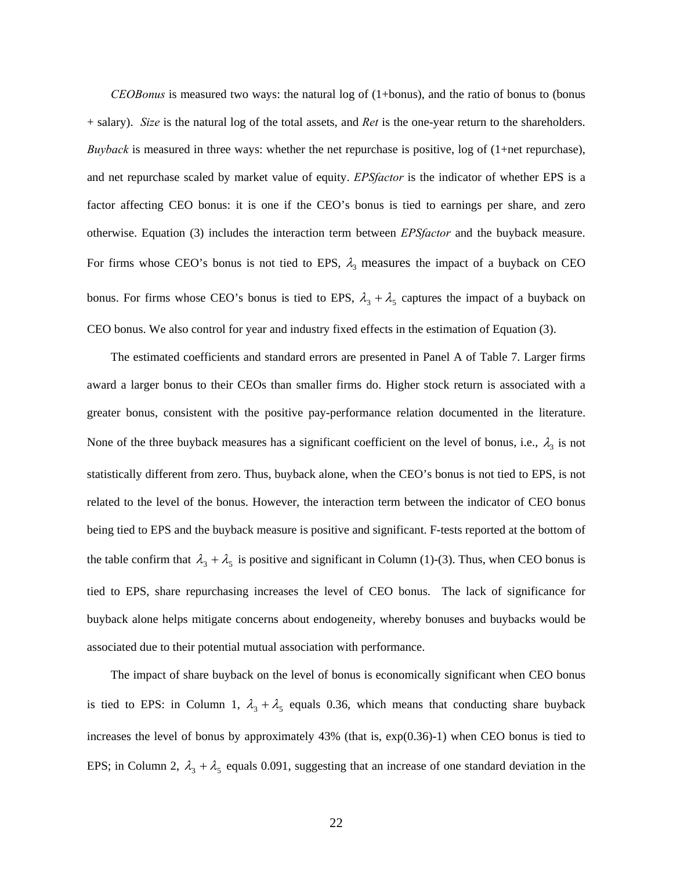*CEOBonus* is measured two ways: the natural log of (1+bonus), and the ratio of bonus to (bonus + salary). *Size* is the natural log of the total assets, and *Ret* is the one-year return to the shareholders. *Buyback* is measured in three ways: whether the net repurchase is positive, log of (1+net repurchase), and net repurchase scaled by market value of equity. *EPSfactor* is the indicator of whether EPS is a factor affecting CEO bonus: it is one if the CEO's bonus is tied to earnings per share, and zero otherwise. Equation (3) includes the interaction term between *EPSfactor* and the buyback measure. For firms whose CEO's bonus is not tied to EPS,  $\lambda_3$  measures the impact of a buyback on CEO bonus. For firms whose CEO's bonus is tied to EPS,  $\lambda_3 + \lambda_5$  captures the impact of a buyback on CEO bonus. We also control for year and industry fixed effects in the estimation of Equation (3).

The estimated coefficients and standard errors are presented in Panel A of Table 7. Larger firms award a larger bonus to their CEOs than smaller firms do. Higher stock return is associated with a greater bonus, consistent with the positive pay-performance relation documented in the literature. None of the three buyback measures has a significant coefficient on the level of bonus, i.e.,  $\lambda_3$  is not statistically different from zero. Thus, buyback alone, when the CEO's bonus is not tied to EPS, is not related to the level of the bonus. However, the interaction term between the indicator of CEO bonus being tied to EPS and the buyback measure is positive and significant. F-tests reported at the bottom of the table confirm that  $\lambda_3 + \lambda_5$  is positive and significant in Column (1)-(3). Thus, when CEO bonus is tied to EPS, share repurchasing increases the level of CEO bonus. The lack of significance for buyback alone helps mitigate concerns about endogeneity, whereby bonuses and buybacks would be associated due to their potential mutual association with performance.

The impact of share buyback on the level of bonus is economically significant when CEO bonus is tied to EPS: in Column 1,  $\lambda_3 + \lambda_5$  equals 0.36, which means that conducting share buyback increases the level of bonus by approximately  $43\%$  (that is,  $\exp(0.36)$ -1) when CEO bonus is tied to EPS; in Column 2,  $\lambda_3 + \lambda_5$  equals 0.091, suggesting that an increase of one standard deviation in the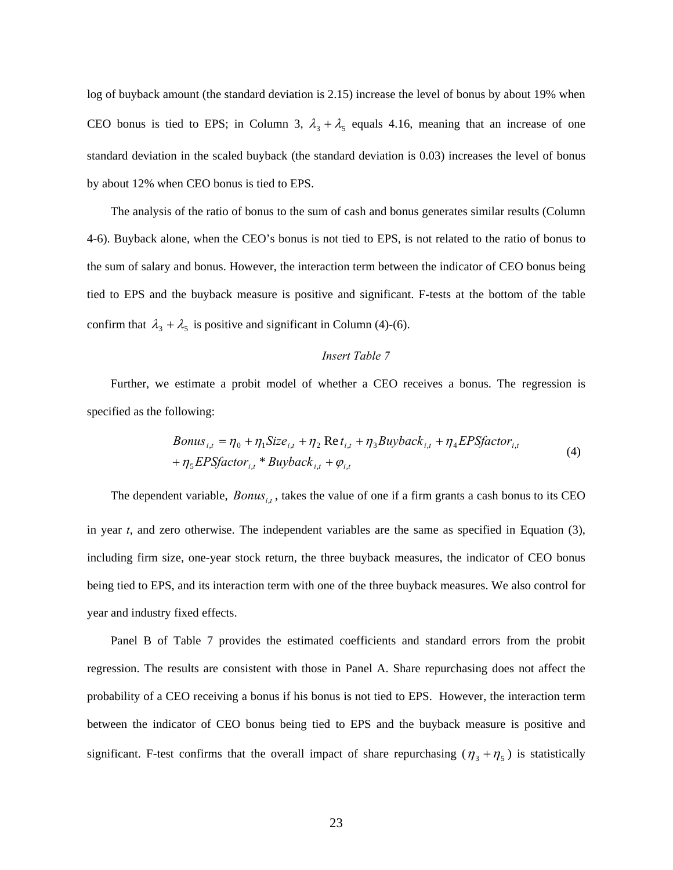log of buyback amount (the standard deviation is 2.15) increase the level of bonus by about 19% when CEO bonus is tied to EPS; in Column 3,  $\lambda_3 + \lambda_5$  equals 4.16, meaning that an increase of one standard deviation in the scaled buyback (the standard deviation is 0.03) increases the level of bonus by about 12% when CEO bonus is tied to EPS.

The analysis of the ratio of bonus to the sum of cash and bonus generates similar results (Column 4-6). Buyback alone, when the CEO's bonus is not tied to EPS, is not related to the ratio of bonus to the sum of salary and bonus. However, the interaction term between the indicator of CEO bonus being tied to EPS and the buyback measure is positive and significant. F-tests at the bottom of the table confirm that  $\lambda_3 + \lambda_5$  is positive and significant in Column (4)-(6).

## *Insert Table 7*

Further, we estimate a probit model of whether a CEO receives a bonus. The regression is specified as the following:

$$
Bonus_{i,t} = \eta_0 + \eta_1 Size_{i,t} + \eta_2 Ret_{i,t} + \eta_3 Buyback_{i,t} + \eta_4 ESPS factor_{i,t}
$$
  
+  $\eta_5 EPSfactor_{i,t} * Buyback_{i,t} + \varphi_{i,t}$  (4)

The dependent variable, *Bonus*<sub>*i,t*</sub>, takes the value of one if a firm grants a cash bonus to its CEO in year *t*, and zero otherwise. The independent variables are the same as specified in Equation (3), including firm size, one-year stock return, the three buyback measures, the indicator of CEO bonus being tied to EPS, and its interaction term with one of the three buyback measures. We also control for year and industry fixed effects.

Panel B of Table 7 provides the estimated coefficients and standard errors from the probit regression. The results are consistent with those in Panel A. Share repurchasing does not affect the probability of a CEO receiving a bonus if his bonus is not tied to EPS. However, the interaction term between the indicator of CEO bonus being tied to EPS and the buyback measure is positive and significant. F-test confirms that the overall impact of share repurchasing ( $\eta_3 + \eta_5$ ) is statistically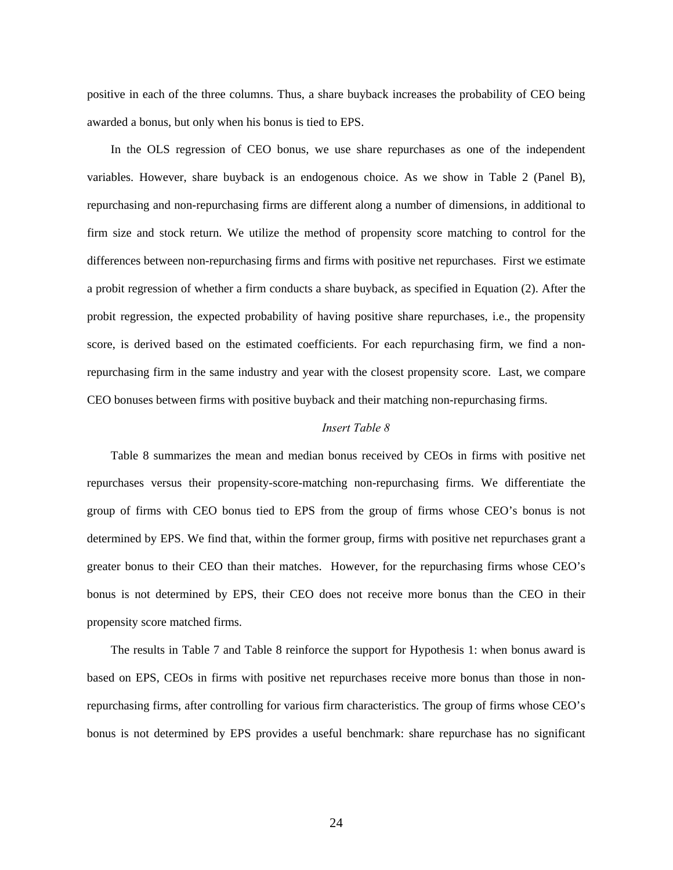positive in each of the three columns. Thus, a share buyback increases the probability of CEO being awarded a bonus, but only when his bonus is tied to EPS.

In the OLS regression of CEO bonus, we use share repurchases as one of the independent variables. However, share buyback is an endogenous choice. As we show in Table 2 (Panel B), repurchasing and non-repurchasing firms are different along a number of dimensions, in additional to firm size and stock return. We utilize the method of propensity score matching to control for the differences between non-repurchasing firms and firms with positive net repurchases. First we estimate a probit regression of whether a firm conducts a share buyback, as specified in Equation (2). After the probit regression, the expected probability of having positive share repurchases, i.e., the propensity score, is derived based on the estimated coefficients. For each repurchasing firm, we find a nonrepurchasing firm in the same industry and year with the closest propensity score. Last, we compare CEO bonuses between firms with positive buyback and their matching non-repurchasing firms.

### *Insert Table 8*

Table 8 summarizes the mean and median bonus received by CEOs in firms with positive net repurchases versus their propensity-score-matching non-repurchasing firms. We differentiate the group of firms with CEO bonus tied to EPS from the group of firms whose CEO's bonus is not determined by EPS. We find that, within the former group, firms with positive net repurchases grant a greater bonus to their CEO than their matches. However, for the repurchasing firms whose CEO's bonus is not determined by EPS, their CEO does not receive more bonus than the CEO in their propensity score matched firms.

The results in Table 7 and Table 8 reinforce the support for Hypothesis 1: when bonus award is based on EPS, CEOs in firms with positive net repurchases receive more bonus than those in nonrepurchasing firms, after controlling for various firm characteristics. The group of firms whose CEO's bonus is not determined by EPS provides a useful benchmark: share repurchase has no significant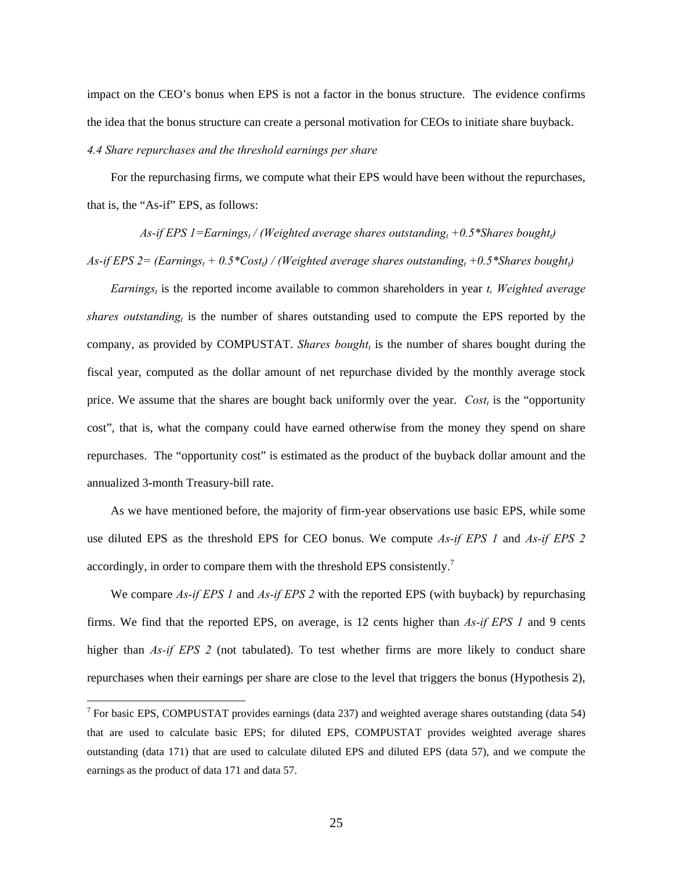impact on the CEO's bonus when EPS is not a factor in the bonus structure. The evidence confirms the idea that the bonus structure can create a personal motivation for CEOs to initiate share buyback.

## *4.4 Share repurchases and the threshold earnings per share*

 $\overline{a}$ 

For the repurchasing firms, we compute what their EPS would have been without the repurchases, that is, the "As-if" EPS, as follows:

*As-if EPS 1=Earnings<sub>t</sub> / (Weighted average shares outstanding<sub>t</sub> +0.5\*Shares bought<sub>t</sub>)* 

*As-if EPS 2= (Earnings<sub>t</sub> + 0.5\*Cost<sub>i</sub>) / (Weighted average shares outstanding<sub>t</sub> +0.5\*Shares bought<sub>i</sub>)* 

*Earningst* is the reported income available to common shareholders in year *t, Weighted average shares outstanding*, is the number of shares outstanding used to compute the EPS reported by the company, as provided by COMPUSTAT. *Shares boughtt* is the number of shares bought during the fiscal year, computed as the dollar amount of net repurchase divided by the monthly average stock price. We assume that the shares are bought back uniformly over the year. *Cost<sub>t</sub>* is the "opportunity" cost", that is, what the company could have earned otherwise from the money they spend on share repurchases. The "opportunity cost" is estimated as the product of the buyback dollar amount and the annualized 3-month Treasury-bill rate.

As we have mentioned before, the majority of firm-year observations use basic EPS, while some use diluted EPS as the threshold EPS for CEO bonus. We compute *As-if EPS 1* and *As-if EPS 2* accordingly, in order to compare them with the threshold EPS consistently.<sup>7</sup>

We compare *As-if EPS 1* and *As-if EPS 2* with the reported EPS (with buyback) by repurchasing firms. We find that the reported EPS, on average, is 12 cents higher than *As-if EPS 1* and 9 cents higher than *As-if EPS 2* (not tabulated). To test whether firms are more likely to conduct share repurchases when their earnings per share are close to the level that triggers the bonus (Hypothesis 2),

<sup>&</sup>lt;sup>7</sup> For basic EPS, COMPUSTAT provides earnings (data 237) and weighted average shares outstanding (data 54) that are used to calculate basic EPS; for diluted EPS, COMPUSTAT provides weighted average shares outstanding (data 171) that are used to calculate diluted EPS and diluted EPS (data 57), and we compute the earnings as the product of data 171 and data 57.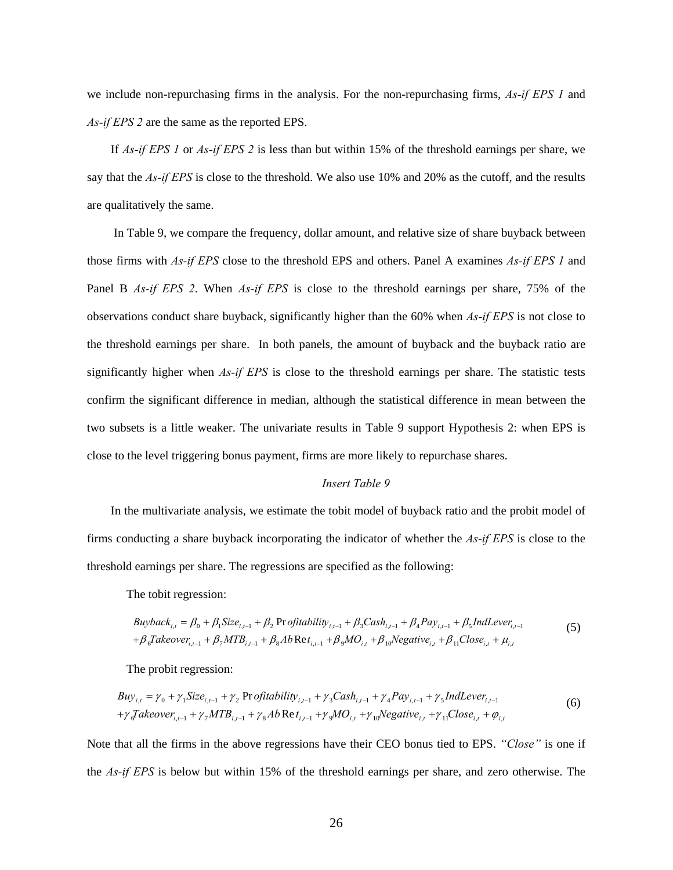we include non-repurchasing firms in the analysis. For the non-repurchasing firms, *As-if EPS 1* and *As-if EPS 2* are the same as the reported EPS.

If *As-if EPS 1* or *As-if EPS 2* is less than but within 15% of the threshold earnings per share, we say that the *As-if EPS* is close to the threshold. We also use 10% and 20% as the cutoff, and the results are qualitatively the same.

 In Table 9, we compare the frequency, dollar amount, and relative size of share buyback between those firms with *As-if EPS* close to the threshold EPS and others. Panel A examines *As-if EPS 1* and Panel B *As-if EPS 2*. When *As-if EPS* is close to the threshold earnings per share, 75% of the observations conduct share buyback, significantly higher than the 60% when *As-if EPS* is not close to the threshold earnings per share. In both panels, the amount of buyback and the buyback ratio are significantly higher when *As-if EPS* is close to the threshold earnings per share. The statistic tests confirm the significant difference in median, although the statistical difference in mean between the two subsets is a little weaker. The univariate results in Table 9 support Hypothesis 2: when EPS is close to the level triggering bonus payment, firms are more likely to repurchase shares.

# *Insert Table 9*

In the multivariate analysis, we estimate the tobit model of buyback ratio and the probit model of firms conducting a share buyback incorporating the indicator of whether the *As-if EPS* is close to the threshold earnings per share. The regressions are specified as the following:

The tobit regression:

*Buyback<sub>i,t</sub>* = 
$$
\beta_0 + \beta_1 Size_{i,t-1} + \beta_2
$$
 Profitability<sub>i,t-1</sub> +  $\beta_3 Cash_{i,t-1} + \beta_4 Pay_{i,t-1} + \beta_5 IndLever_{i,t-1}$   
+ $\beta_6 Take over_{i,t-1} + \beta_7 MTB_{i,t-1} + \beta_8 Ab Ret_{i,t-1} + \beta_9 MO_{i,t} + \beta_{10} Negative_{i,t} + \beta_{11} Close_{i,t} + \mu_{i,t}$  (5)

The probit regression:

*Buy<sub>i,t</sub>* = 
$$
\gamma_0 + \gamma_1 Size_{i,t-1} + \gamma_2
$$
 *Profitability<sub>i,t-1</sub>* +  $\gamma_3 Cash_{i,t-1} + \gamma_4 Pay_{i,t-1} + \gamma_5 IndLever_{i,t-1}$   
+  $\gamma_4 Takeover_{i,t-1} + \gamma_7 MTB_{i,t-1} + \gamma_8 Ab Ret_{i,t-1} + \gamma_9 MO_{i,t} + \gamma_{10} Negative_{i,t} + \gamma_{11} Close_{i,t} + \varphi_{i,t}$  (6)

Note that all the firms in the above regressions have their CEO bonus tied to EPS. *"Close"* is one if the *As-if EPS* is below but within 15% of the threshold earnings per share, and zero otherwise. The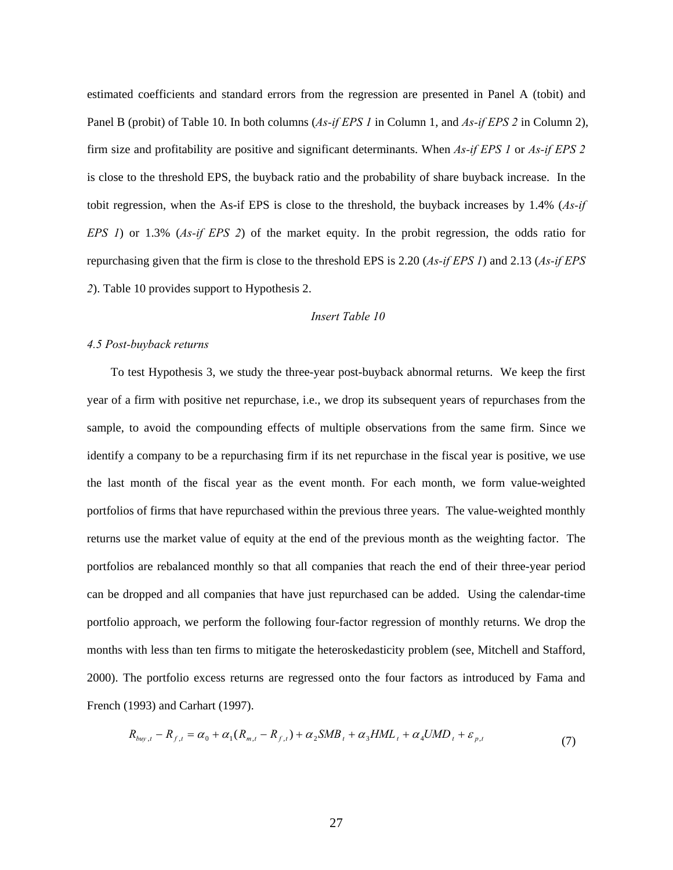estimated coefficients and standard errors from the regression are presented in Panel A (tobit) and Panel B (probit) of Table 10. In both columns (*As-if EPS 1* in Column 1, and *As-if EPS 2* in Column 2), firm size and profitability are positive and significant determinants. When *As-if EPS 1* or *As-if EPS 2*  is close to the threshold EPS, the buyback ratio and the probability of share buyback increase. In the tobit regression, when the As-if EPS is close to the threshold, the buyback increases by 1.4% (*As-if EPS 1*) or 1.3% (*As-if EPS 2*) of the market equity. In the probit regression, the odds ratio for repurchasing given that the firm is close to the threshold EPS is 2.20 (*As-if EPS 1*) and 2.13 (*As-if EPS 2*). Table 10 provides support to Hypothesis 2.

#### *Insert Table 10*

#### *4.5 Post-buyback returns*

To test Hypothesis 3, we study the three-year post-buyback abnormal returns. We keep the first year of a firm with positive net repurchase, i.e., we drop its subsequent years of repurchases from the sample, to avoid the compounding effects of multiple observations from the same firm. Since we identify a company to be a repurchasing firm if its net repurchase in the fiscal year is positive, we use the last month of the fiscal year as the event month. For each month, we form value-weighted portfolios of firms that have repurchased within the previous three years. The value-weighted monthly returns use the market value of equity at the end of the previous month as the weighting factor. The portfolios are rebalanced monthly so that all companies that reach the end of their three-year period can be dropped and all companies that have just repurchased can be added. Using the calendar-time portfolio approach, we perform the following four-factor regression of monthly returns. We drop the months with less than ten firms to mitigate the heteroskedasticity problem (see, Mitchell and Stafford, 2000). The portfolio excess returns are regressed onto the four factors as introduced by Fama and French (1993) and Carhart (1997).

$$
R_{b_{uy,t}} - R_{f,t} = \alpha_0 + \alpha_1 (R_{m,t} - R_{f,t}) + \alpha_2 SMB_t + \alpha_3 HML_t + \alpha_4 UMD_t + \varepsilon_{p,t}
$$
\n(7)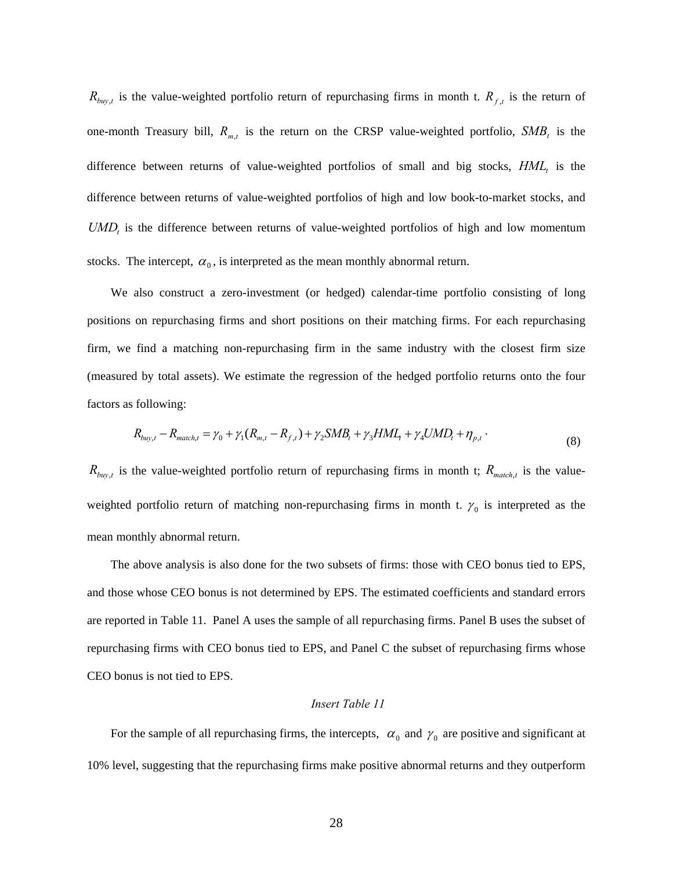$R_{buy,t}$  is the value-weighted portfolio return of repurchasing firms in month t.  $R_{f,t}$  is the return of one-month Treasury bill,  $R_{m,t}$  is the return on the CRSP value-weighted portfolio,  $SMB_t$  is the difference between returns of value-weighted portfolios of small and big stocks,  $HML<sub>t</sub>$  is the difference between returns of value-weighted portfolios of high and low book-to-market stocks, and  $UMD<sub>t</sub>$  is the difference between returns of value-weighted portfolios of high and low momentum stocks. The intercept,  $\alpha_0$ , is interpreted as the mean monthly abnormal return.

We also construct a zero-investment (or hedged) calendar-time portfolio consisting of long positions on repurchasing firms and short positions on their matching firms. For each repurchasing firm, we find a matching non-repurchasing firm in the same industry with the closest firm size (measured by total assets). We estimate the regression of the hedged portfolio returns onto the four factors as following:

$$
R_{buy,t} - R_{match,t} = \gamma_0 + \gamma_1 (R_{m,t} - R_{f,t}) + \gamma_2 SMB_t + \gamma_3 HML_t + \gamma_4 UMD_t + \eta_{p,t} \tag{8}
$$

 $R_{buy,t}$  is the value-weighted portfolio return of repurchasing firms in month t;  $R_{match,t}$  is the valueweighted portfolio return of matching non-repurchasing firms in month t.  $\gamma_0$  is interpreted as the mean monthly abnormal return.

The above analysis is also done for the two subsets of firms: those with CEO bonus tied to EPS, and those whose CEO bonus is not determined by EPS. The estimated coefficients and standard errors are reported in Table 11. Panel A uses the sample of all repurchasing firms. Panel B uses the subset of repurchasing firms with CEO bonus tied to EPS, and Panel C the subset of repurchasing firms whose CEO bonus is not tied to EPS.

## *Insert Table 11*

For the sample of all repurchasing firms, the intercepts,  $\alpha_0$  and  $\gamma_0$  are positive and significant at 10% level, suggesting that the repurchasing firms make positive abnormal returns and they outperform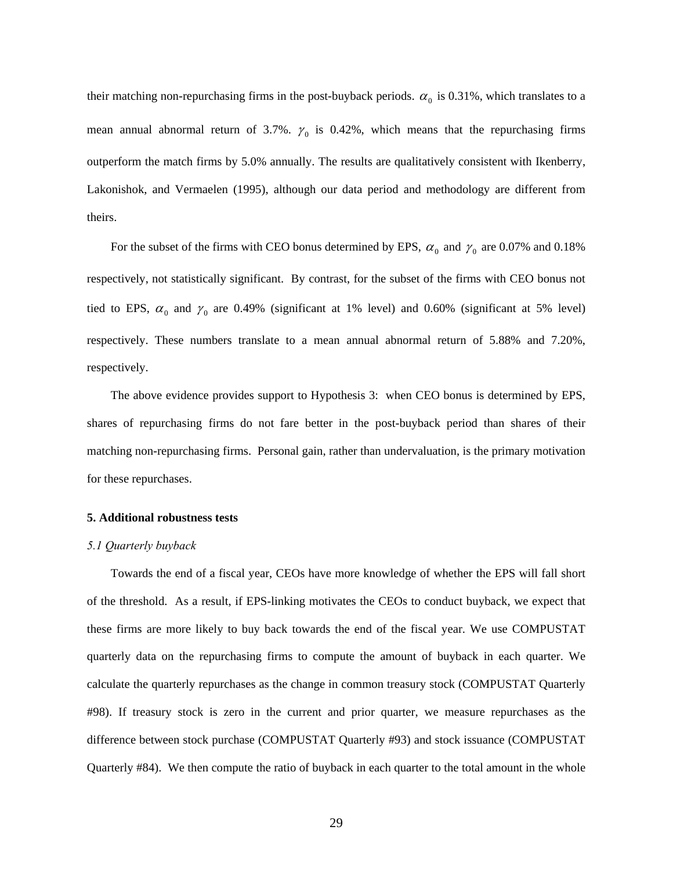their matching non-repurchasing firms in the post-buyback periods.  $\alpha_0$  is 0.31%, which translates to a mean annual abnormal return of 3.7%.  $\gamma_0$  is 0.42%, which means that the repurchasing firms outperform the match firms by 5.0% annually. The results are qualitatively consistent with Ikenberry, Lakonishok, and Vermaelen (1995), although our data period and methodology are different from theirs.

For the subset of the firms with CEO bonus determined by EPS,  $\alpha_0$  and  $\gamma_0$  are 0.07% and 0.18% respectively, not statistically significant. By contrast, for the subset of the firms with CEO bonus not tied to EPS,  $\alpha_0$  and  $\gamma_0$  are 0.49% (significant at 1% level) and 0.60% (significant at 5% level) respectively. These numbers translate to a mean annual abnormal return of 5.88% and 7.20%, respectively.

The above evidence provides support to Hypothesis 3: when CEO bonus is determined by EPS, shares of repurchasing firms do not fare better in the post-buyback period than shares of their matching non-repurchasing firms. Personal gain, rather than undervaluation, is the primary motivation for these repurchases.

#### **5. Additional robustness tests**

#### *5.1 Quarterly buyback*

Towards the end of a fiscal year, CEOs have more knowledge of whether the EPS will fall short of the threshold. As a result, if EPS-linking motivates the CEOs to conduct buyback, we expect that these firms are more likely to buy back towards the end of the fiscal year. We use COMPUSTAT quarterly data on the repurchasing firms to compute the amount of buyback in each quarter. We calculate the quarterly repurchases as the change in common treasury stock (COMPUSTAT Quarterly #98). If treasury stock is zero in the current and prior quarter, we measure repurchases as the difference between stock purchase (COMPUSTAT Quarterly #93) and stock issuance (COMPUSTAT Quarterly #84). We then compute the ratio of buyback in each quarter to the total amount in the whole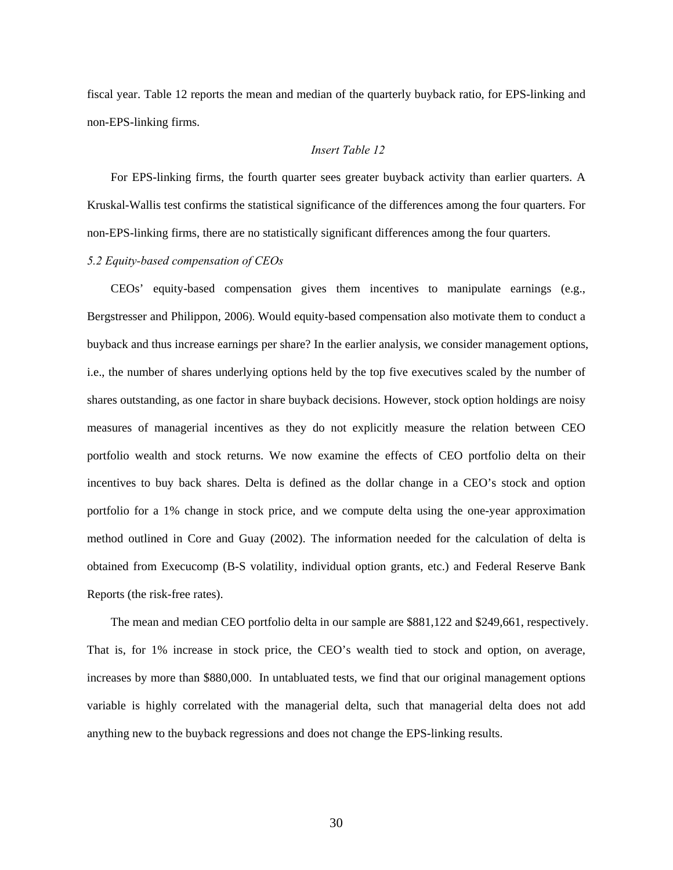fiscal year. Table 12 reports the mean and median of the quarterly buyback ratio, for EPS-linking and non-EPS-linking firms.

## *Insert Table 12*

For EPS-linking firms, the fourth quarter sees greater buyback activity than earlier quarters. A Kruskal-Wallis test confirms the statistical significance of the differences among the four quarters. For non-EPS-linking firms, there are no statistically significant differences among the four quarters.

## *5.2 Equity-based compensation of CEOs*

CEOs' equity-based compensation gives them incentives to manipulate earnings (e.g., Bergstresser and Philippon, 2006). Would equity-based compensation also motivate them to conduct a buyback and thus increase earnings per share? In the earlier analysis, we consider management options, i.e., the number of shares underlying options held by the top five executives scaled by the number of shares outstanding, as one factor in share buyback decisions. However, stock option holdings are noisy measures of managerial incentives as they do not explicitly measure the relation between CEO portfolio wealth and stock returns. We now examine the effects of CEO portfolio delta on their incentives to buy back shares. Delta is defined as the dollar change in a CEO's stock and option portfolio for a 1% change in stock price, and we compute delta using the one-year approximation method outlined in Core and Guay (2002). The information needed for the calculation of delta is obtained from Execucomp (B-S volatility, individual option grants, etc.) and Federal Reserve Bank Reports (the risk-free rates).

The mean and median CEO portfolio delta in our sample are \$881,122 and \$249,661, respectively. That is, for 1% increase in stock price, the CEO's wealth tied to stock and option, on average, increases by more than \$880,000. In untabluated tests, we find that our original management options variable is highly correlated with the managerial delta, such that managerial delta does not add anything new to the buyback regressions and does not change the EPS-linking results.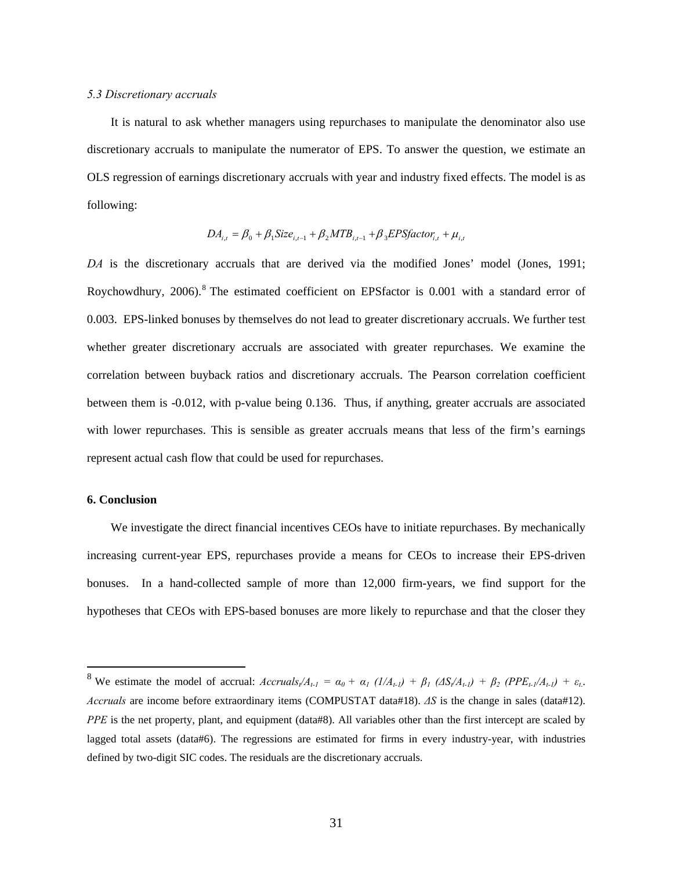#### *5.3 Discretionary accruals*

It is natural to ask whether managers using repurchases to manipulate the denominator also use discretionary accruals to manipulate the numerator of EPS. To answer the question, we estimate an OLS regression of earnings discretionary accruals with year and industry fixed effects. The model is as following:

$$
DA_{i,t} = \beta_0 + \beta_1 Size_{i,t-1} + \beta_2 MTB_{i,t-1} + \beta_3 EPS factor_{i,t} + \mu_{i,t}
$$

*DA* is the discretionary accruals that are derived via the modified Jones' model (Jones, 1991; Roychowdhury, 2006).<sup>8</sup> The estimated coefficient on EPSfactor is 0.001 with a standard error of 0.003. EPS-linked bonuses by themselves do not lead to greater discretionary accruals. We further test whether greater discretionary accruals are associated with greater repurchases. We examine the correlation between buyback ratios and discretionary accruals. The Pearson correlation coefficient between them is -0.012, with p-value being 0.136. Thus, if anything, greater accruals are associated with lower repurchases. This is sensible as greater accruals means that less of the firm's earnings represent actual cash flow that could be used for repurchases.

### **6. Conclusion**

 $\overline{a}$ 

We investigate the direct financial incentives CEOs have to initiate repurchases. By mechanically increasing current-year EPS, repurchases provide a means for CEOs to increase their EPS-driven bonuses. In a hand-collected sample of more than 12,000 firm-years, we find support for the hypotheses that CEOs with EPS-based bonuses are more likely to repurchase and that the closer they

<sup>&</sup>lt;sup>8</sup> We estimate the model of accrual: *Accruals*<sub>i</sub>/A<sub>t-1</sub> =  $\alpha_0 + \alpha_1 (1/A_{t-1}) + \beta_1 (1/S_{t-1}) + \beta_2 (PPE_{t-1}/A_{t-1}) + \varepsilon_t$ . *Accruals* are income before extraordinary items (COMPUSTAT data#18). *ΔS* is the change in sales (data#12). *PPE* is the net property, plant, and equipment (data#8). All variables other than the first intercept are scaled by lagged total assets (data#6). The regressions are estimated for firms in every industry-year, with industries defined by two-digit SIC codes. The residuals are the discretionary accruals.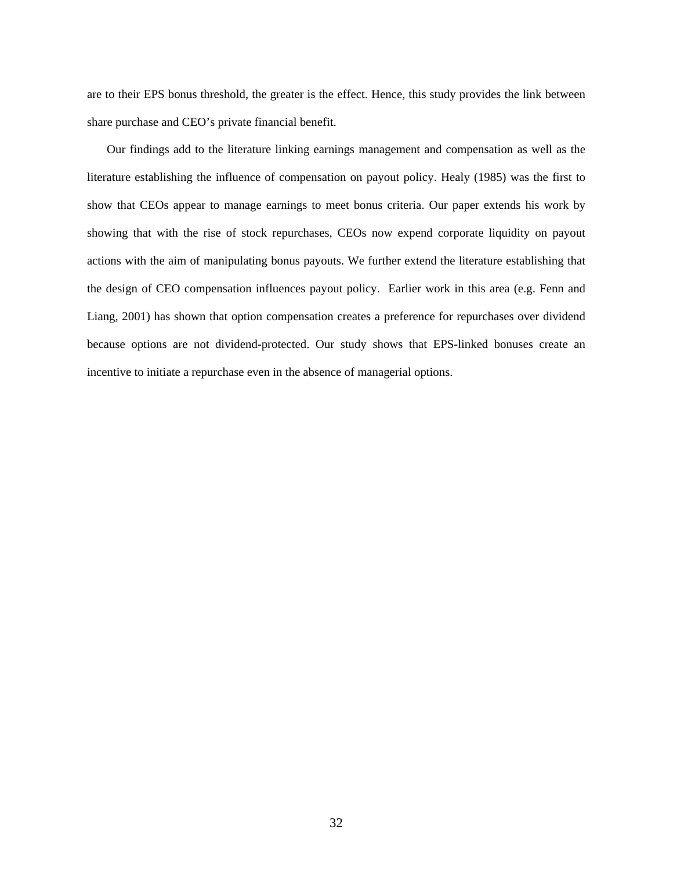are to their EPS bonus threshold, the greater is the effect. Hence, this study provides the link between share purchase and CEO's private financial benefit.

Our findings add to the literature linking earnings management and compensation as well as the literature establishing the influence of compensation on payout policy. Healy (1985) was the first to show that CEOs appear to manage earnings to meet bonus criteria. Our paper extends his work by showing that with the rise of stock repurchases, CEOs now expend corporate liquidity on payout actions with the aim of manipulating bonus payouts. We further extend the literature establishing that the design of CEO compensation influences payout policy. Earlier work in this area (e.g. Fenn and Liang, 2001) has shown that option compensation creates a preference for repurchases over dividend because options are not dividend-protected. Our study shows that EPS-linked bonuses create an incentive to initiate a repurchase even in the absence of managerial options.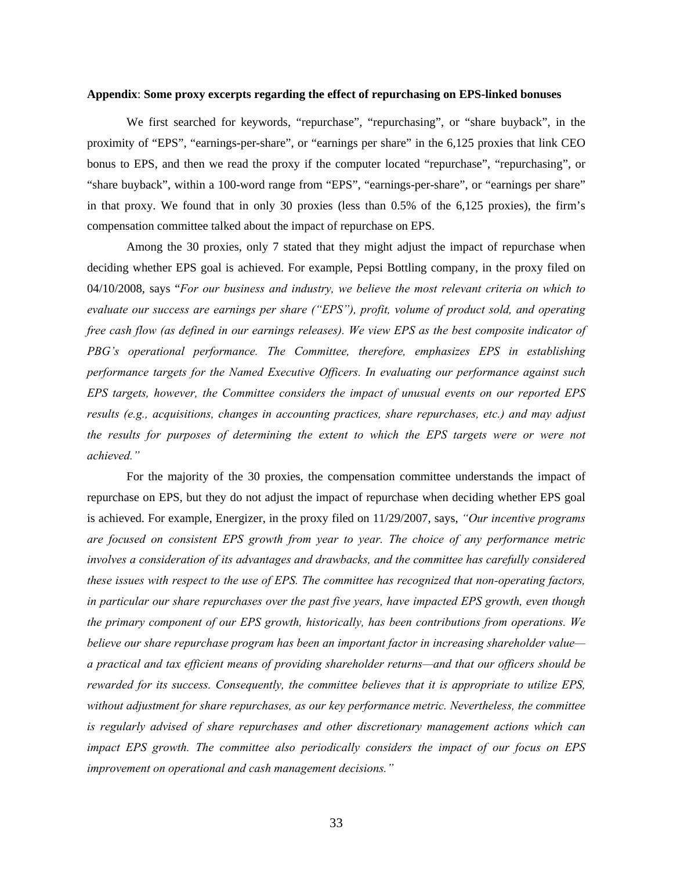#### **Appendix**: **Some proxy excerpts regarding the effect of repurchasing on EPS-linked bonuses**

We first searched for keywords, "repurchase", "repurchasing", or "share buyback", in the proximity of "EPS", "earnings-per-share", or "earnings per share" in the 6,125 proxies that link CEO bonus to EPS, and then we read the proxy if the computer located "repurchase", "repurchasing", or "share buyback", within a 100-word range from "EPS", "earnings-per-share", or "earnings per share" in that proxy. We found that in only 30 proxies (less than 0.5% of the 6,125 proxies), the firm's compensation committee talked about the impact of repurchase on EPS.

Among the 30 proxies, only 7 stated that they might adjust the impact of repurchase when deciding whether EPS goal is achieved. For example, Pepsi Bottling company, in the proxy filed on 04/10/2008, says "*For our business and industry, we believe the most relevant criteria on which to evaluate our success are earnings per share ("EPS"), profit, volume of product sold, and operating free cash flow (as defined in our earnings releases). We view EPS as the best composite indicator of PBG's operational performance. The Committee, therefore, emphasizes EPS in establishing performance targets for the Named Executive Officers. In evaluating our performance against such EPS targets, however, the Committee considers the impact of unusual events on our reported EPS results (e.g., acquisitions, changes in accounting practices, share repurchases, etc.) and may adjust the results for purposes of determining the extent to which the EPS targets were or were not achieved."* 

For the majority of the 30 proxies, the compensation committee understands the impact of repurchase on EPS, but they do not adjust the impact of repurchase when deciding whether EPS goal is achieved. For example, Energizer, in the proxy filed on 11/29/2007, says, *"Our incentive programs are focused on consistent EPS growth from year to year. The choice of any performance metric involves a consideration of its advantages and drawbacks, and the committee has carefully considered these issues with respect to the use of EPS. The committee has recognized that non-operating factors, in particular our share repurchases over the past five years, have impacted EPS growth, even though the primary component of our EPS growth, historically, has been contributions from operations. We believe our share repurchase program has been an important factor in increasing shareholder value a practical and tax efficient means of providing shareholder returns—and that our officers should be rewarded for its success. Consequently, the committee believes that it is appropriate to utilize EPS, without adjustment for share repurchases, as our key performance metric. Nevertheless, the committee is regularly advised of share repurchases and other discretionary management actions which can impact EPS growth. The committee also periodically considers the impact of our focus on EPS improvement on operational and cash management decisions."*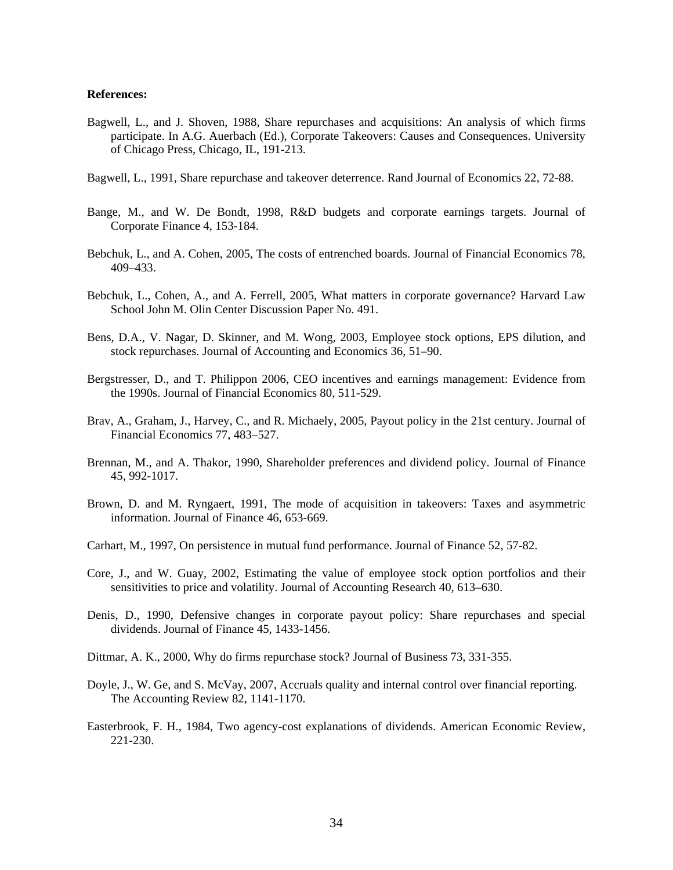#### **References:**

- Bagwell, L., and J. Shoven, 1988, Share repurchases and acquisitions: An analysis of which firms participate. In A.G. Auerbach (Ed.), Corporate Takeovers: Causes and Consequences. University of Chicago Press, Chicago, IL, 191-213.
- Bagwell, L., 1991, Share repurchase and takeover deterrence. Rand Journal of Economics 22, 72-88.
- Bange, M., and W. De Bondt, 1998, R&D budgets and corporate earnings targets. Journal of Corporate Finance 4, 153-184.
- Bebchuk, L., and A. Cohen, 2005, The costs of entrenched boards. Journal of Financial Economics 78, 409–433.
- Bebchuk, L., Cohen, A., and A. Ferrell, 2005, What matters in corporate governance? Harvard Law School John M. Olin Center Discussion Paper No. 491.
- Bens, D.A., V. Nagar, D. Skinner, and M. Wong, 2003, Employee stock options, EPS dilution, and stock repurchases. Journal of Accounting and Economics 36, 51–90.
- Bergstresser, D., and T. Philippon 2006, CEO incentives and earnings management: Evidence from the 1990s. Journal of Financial Economics 80, 511-529.
- Brav, A., Graham, J., Harvey, C., and R. Michaely, 2005, Payout policy in the 21st century. Journal of Financial Economics 77, 483–527.
- Brennan, M., and A. Thakor, 1990, Shareholder preferences and dividend policy. Journal of Finance 45, 992-1017.
- Brown, D. and M. Ryngaert, 1991, The mode of acquisition in takeovers: Taxes and asymmetric information. Journal of Finance 46, 653-669.
- Carhart, M., 1997, On persistence in mutual fund performance. Journal of Finance 52, 57-82.
- Core, J., and W. Guay, 2002, Estimating the value of employee stock option portfolios and their sensitivities to price and volatility. Journal of Accounting Research 40, 613–630.
- Denis, D., 1990, Defensive changes in corporate payout policy: Share repurchases and special dividends. Journal of Finance 45, 1433-1456.
- Dittmar, A. K., 2000, Why do firms repurchase stock? Journal of Business 73, 331-355.
- Doyle, J., W. Ge, and S. McVay, 2007, Accruals quality and internal control over financial reporting. The Accounting Review 82, 1141-1170.
- Easterbrook, F. H., 1984, Two agency-cost explanations of dividends. American Economic Review, 221-230.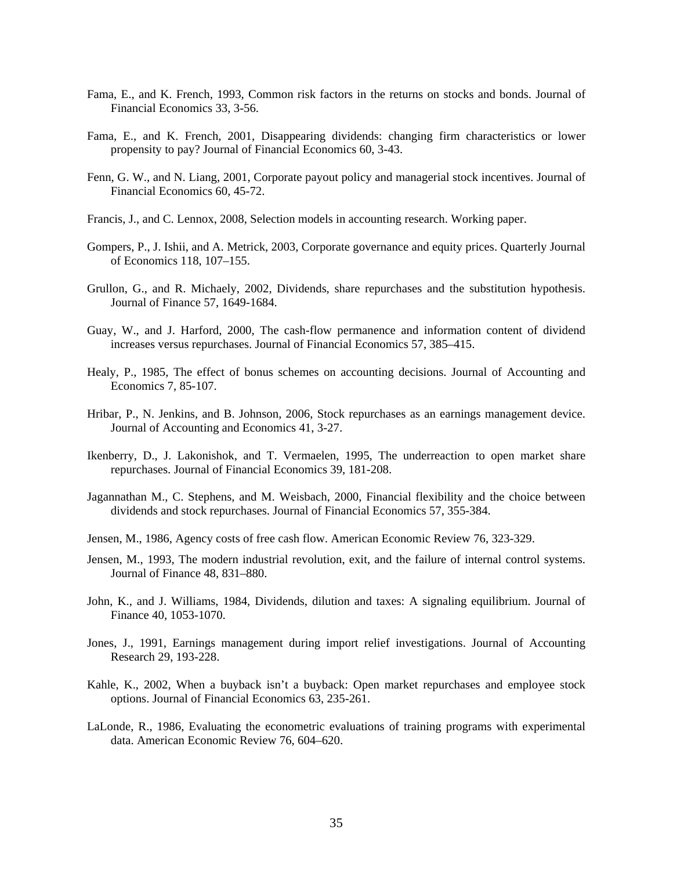- Fama, E., and K. French, 1993, Common risk factors in the returns on stocks and bonds. Journal of Financial Economics 33, 3-56.
- Fama, E., and K. French, 2001, Disappearing dividends: changing firm characteristics or lower propensity to pay? Journal of Financial Economics 60, 3-43.
- Fenn, G. W., and N. Liang, 2001, Corporate payout policy and managerial stock incentives. Journal of Financial Economics 60, 45-72.
- Francis, J., and C. Lennox, 2008, Selection models in accounting research. Working paper.
- Gompers, P., J. Ishii, and A. Metrick, 2003, Corporate governance and equity prices. Quarterly Journal of Economics 118, 107–155.
- Grullon, G., and R. Michaely, 2002, Dividends, share repurchases and the substitution hypothesis. Journal of Finance 57, 1649-1684.
- Guay, W., and J. Harford, 2000, The cash-flow permanence and information content of dividend increases versus repurchases. Journal of Financial Economics 57, 385–415.
- Healy, P., 1985, The effect of bonus schemes on accounting decisions. Journal of Accounting and Economics 7, 85-107.
- Hribar, P., N. Jenkins, and B. Johnson, 2006, Stock repurchases as an earnings management device. Journal of Accounting and Economics 41, 3-27.
- Ikenberry, D., J. Lakonishok, and T. Vermaelen, 1995, The underreaction to open market share repurchases. Journal of Financial Economics 39, 181-208.
- Jagannathan M., C. Stephens, and M. Weisbach, 2000, Financial flexibility and the choice between dividends and stock repurchases. Journal of Financial Economics 57, 355-384.
- Jensen, M., 1986, Agency costs of free cash flow. American Economic Review 76, 323-329.
- Jensen, M., 1993, The modern industrial revolution, exit, and the failure of internal control systems. Journal of Finance 48, 831–880.
- John, K., and J. Williams, 1984, Dividends, dilution and taxes: A signaling equilibrium. Journal of Finance 40, 1053-1070.
- Jones, J., 1991, Earnings management during import relief investigations. Journal of Accounting Research 29, 193-228.
- Kahle, K., 2002, When a buyback isn't a buyback: Open market repurchases and employee stock options. Journal of Financial Economics 63, 235-261.
- LaLonde, R., 1986, Evaluating the econometric evaluations of training programs with experimental data. American Economic Review 76, 604–620.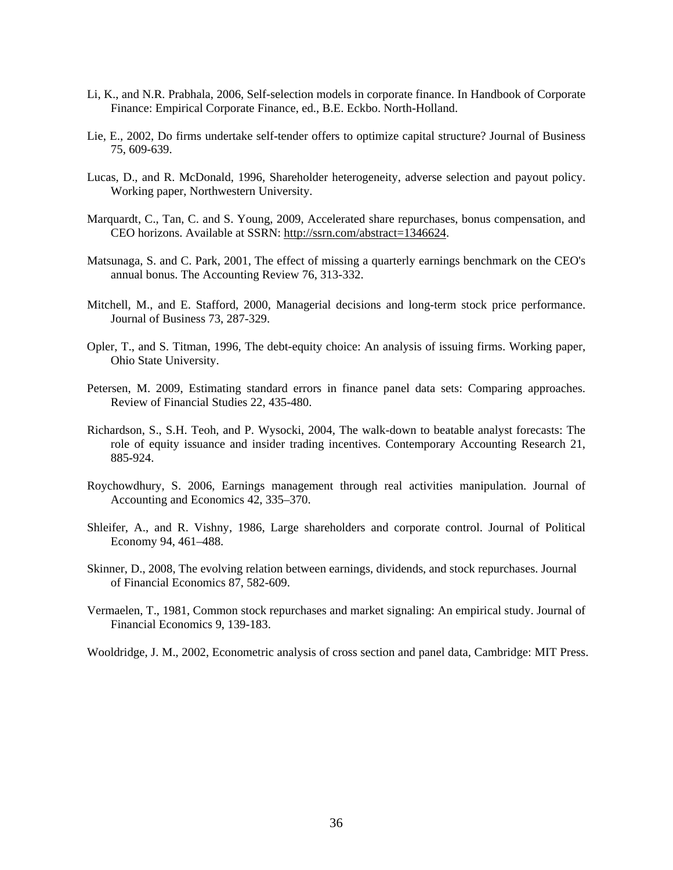- Li, K., and N.R. Prabhala, 2006, Self-selection models in corporate finance. In Handbook of Corporate Finance: Empirical Corporate Finance, ed., B.E. Eckbo. North-Holland.
- Lie, E., 2002, Do firms undertake self-tender offers to optimize capital structure? Journal of Business 75, 609-639.
- Lucas, D., and R. McDonald, 1996, Shareholder heterogeneity, adverse selection and payout policy. Working paper, Northwestern University.
- Marquardt, C., Tan, C. and S. Young, 2009, Accelerated share repurchases, bonus compensation, and CEO horizons. Available at SSRN: http://ssrn.com/abstract=1346624.
- Matsunaga, S. and C. Park, 2001, The effect of missing a quarterly earnings benchmark on the CEO's annual bonus. The Accounting Review 76, 313-332.
- Mitchell, M., and E. Stafford, 2000, Managerial decisions and long-term stock price performance. Journal of Business 73, 287-329.
- Opler, T., and S. Titman, 1996, The debt-equity choice: An analysis of issuing firms. Working paper, Ohio State University.
- Petersen, M. 2009, Estimating standard errors in finance panel data sets: Comparing approaches. Review of Financial Studies 22, 435-480.
- Richardson, S., S.H. Teoh, and P. Wysocki, 2004, The walk-down to beatable analyst forecasts: The role of equity issuance and insider trading incentives. Contemporary Accounting Research 21, 885-924.
- Roychowdhury, S. 2006, Earnings management through real activities manipulation. Journal of Accounting and Economics 42, 335–370.
- Shleifer, A., and R. Vishny, 1986, Large shareholders and corporate control. Journal of Political Economy 94, 461–488.
- Skinner, D., 2008, The evolving relation between earnings, dividends, and stock repurchases. Journal of Financial Economics 87, 582-609.
- Vermaelen, T., 1981, Common stock repurchases and market signaling: An empirical study. Journal of Financial Economics 9, 139-183.
- Wooldridge, J. M., 2002, Econometric analysis of cross section and panel data, Cambridge: MIT Press.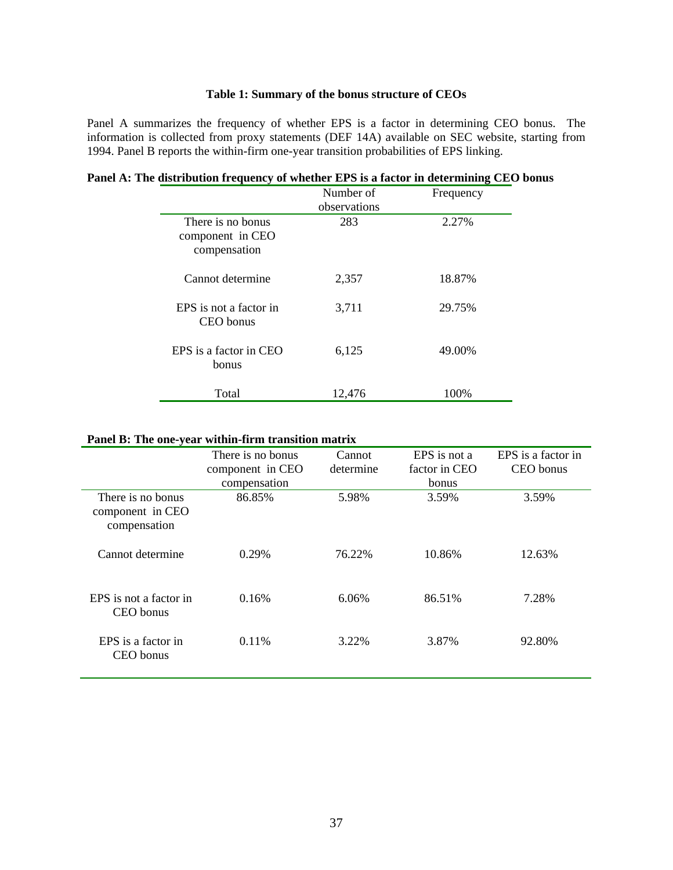## **Table 1: Summary of the bonus structure of CEOs**

Panel A summarizes the frequency of whether EPS is a factor in determining CEO bonus. The information is collected from proxy statements (DEF 14A) available on SEC website, starting from 1994. Panel B reports the within-firm one-year transition probabilities of EPS linking.

|                                                       | Number of    | Frequency |
|-------------------------------------------------------|--------------|-----------|
|                                                       | observations |           |
| There is no bonus<br>component in CEO<br>compensation | 283          | 2.27%     |
| Cannot determine                                      | 2,357        | 18.87%    |
| EPS is not a factor in<br>CEO bonus                   | 3,711        | 29.75%    |
| EPS is a factor in CEO<br>bonus                       | 6,125        | 49.00%    |
| Total                                                 | 12,476       | 100%      |

# **Panel A: The distribution frequency of whether EPS is a factor in determining CEO bonus**

### **Panel B: The one-year within-firm transition matrix**

|                                                       | There is no bonus<br>component in CEO<br>compensation | Cannot<br>determine | EPS is not a<br>factor in CEO<br>bonus | EPS is a factor in<br>CEO bonus |
|-------------------------------------------------------|-------------------------------------------------------|---------------------|----------------------------------------|---------------------------------|
| There is no bonus<br>component in CEO<br>compensation | 86.85%                                                | 5.98%               | 3.59%                                  | 3.59%                           |
| Cannot determine                                      | 0.29%                                                 | 76.22%              | 10.86%                                 | 12.63%                          |
| EPS is not a factor in<br>CEO bonus                   | 0.16%                                                 | 6.06%               | 86.51%                                 | 7.28%                           |
| EPS is a factor in<br>CEO bonus                       | 0.11%                                                 | 3.22%               | 3.87%                                  | 92.80%                          |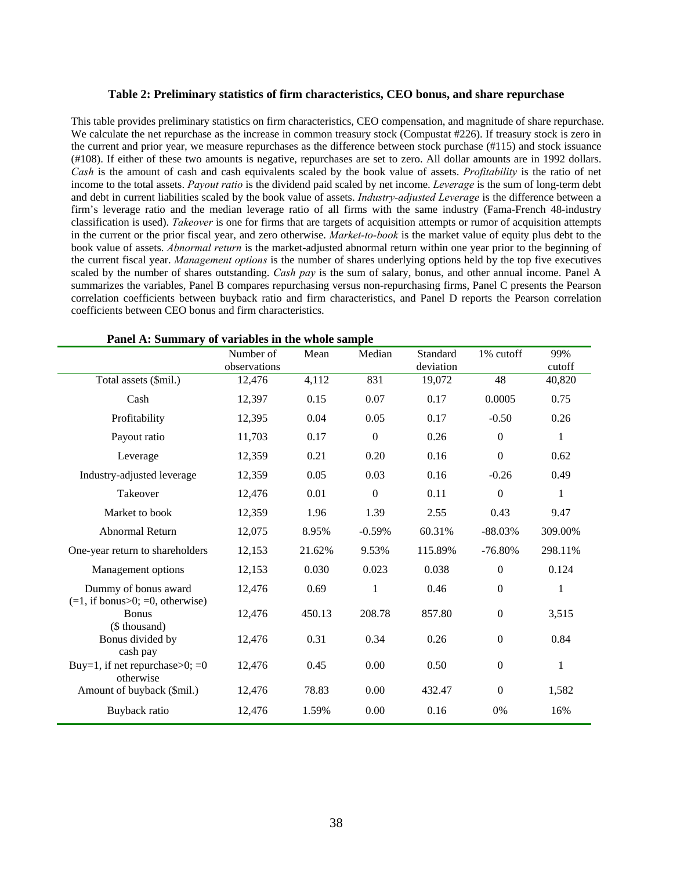#### **Table 2: Preliminary statistics of firm characteristics, CEO bonus, and share repurchase**

This table provides preliminary statistics on firm characteristics, CEO compensation, and magnitude of share repurchase. We calculate the net repurchase as the increase in common treasury stock (Compustat #226). If treasury stock is zero in the current and prior year, we measure repurchases as the difference between stock purchase (#115) and stock issuance (#108). If either of these two amounts is negative, repurchases are set to zero. All dollar amounts are in 1992 dollars. *Cash* is the amount of cash and cash equivalents scaled by the book value of assets. *Profitability* is the ratio of net income to the total assets. *Payout ratio* is the dividend paid scaled by net income. *Leverage* is the sum of long-term debt and debt in current liabilities scaled by the book value of assets. *Industry-adjusted Leverage* is the difference between a firm's leverage ratio and the median leverage ratio of all firms with the same industry (Fama-French 48-industry classification is used). *Takeover* is one for firms that are targets of acquisition attempts or rumor of acquisition attempts in the current or the prior fiscal year, and zero otherwise. *Market-to-book* is the market value of equity plus debt to the book value of assets. *Abnormal return* is the market-adjusted abnormal return within one year prior to the beginning of the current fiscal year. *Management options* is the number of shares underlying options held by the top five executives scaled by the number of shares outstanding. *Cash pay* is the sum of salary, bonus, and other annual income. Panel A summarizes the variables, Panel B compares repurchasing versus non-repurchasing firms, Panel C presents the Pearson correlation coefficients between buyback ratio and firm characteristics, and Panel D reports the Pearson correlation coefficients between CEO bonus and firm characteristics.

| <b>Faller A: Summary of variables in the whole sample</b> |              |        |                  |           |                  |              |
|-----------------------------------------------------------|--------------|--------|------------------|-----------|------------------|--------------|
|                                                           | Number of    | Mean   | Median           | Standard  | 1% cutoff        | 99%          |
|                                                           | observations |        |                  | deviation |                  | cutoff       |
| Total assets (\$mil.)                                     | 12,476       | 4,112  | 831              | 19,072    | 48               | 40,820       |
| Cash                                                      | 12,397       | 0.15   | 0.07             | 0.17      | 0.0005           | 0.75         |
| Profitability                                             | 12,395       | 0.04   | 0.05             | 0.17      | $-0.50$          | 0.26         |
| Payout ratio                                              | 11,703       | 0.17   | $\boldsymbol{0}$ | 0.26      | $\Omega$         | $\mathbf{1}$ |
| Leverage                                                  | 12,359       | 0.21   | 0.20             | 0.16      | $\theta$         | 0.62         |
| Industry-adjusted leverage                                | 12,359       | 0.05   | 0.03             | 0.16      | $-0.26$          | 0.49         |
| Takeover                                                  | 12,476       | 0.01   | $\boldsymbol{0}$ | 0.11      | $\overline{0}$   | $\mathbf{1}$ |
| Market to book                                            | 12,359       | 1.96   | 1.39             | 2.55      | 0.43             | 9.47         |
| Abnormal Return                                           | 12,075       | 8.95%  | $-0.59%$         | 60.31%    | $-88.03%$        | 309.00%      |
| One-year return to shareholders                           | 12,153       | 21.62% | 9.53%            | 115.89%   | $-76.80%$        | 298.11%      |
| Management options                                        | 12,153       | 0.030  | 0.023            | 0.038     | $\overline{0}$   | 0.124        |
| Dummy of bonus award<br>$(=1, if bonus>0; =0, otherwise)$ | 12,476       | 0.69   | $\mathbf{1}$     | 0.46      | $\overline{0}$   | $\mathbf{1}$ |
| <b>Bonus</b><br>(\$ thousand)                             | 12,476       | 450.13 | 208.78           | 857.80    | $\boldsymbol{0}$ | 3,515        |
| Bonus divided by<br>cash pay                              | 12,476       | 0.31   | 0.34             | 0.26      | $\overline{0}$   | 0.84         |
| Buy=1, if net repurchase>0; $=0$<br>otherwise             | 12,476       | 0.45   | 0.00             | 0.50      | $\boldsymbol{0}$ | $\mathbf{1}$ |
| Amount of buyback (\$mil.)                                | 12,476       | 78.83  | 0.00             | 432.47    | $\theta$         | 1,582        |
| Buyback ratio                                             | 12,476       | 1.59%  | 0.00             | 0.16      | 0%               | 16%          |

**Panel A: Summary of variables in the whole sample**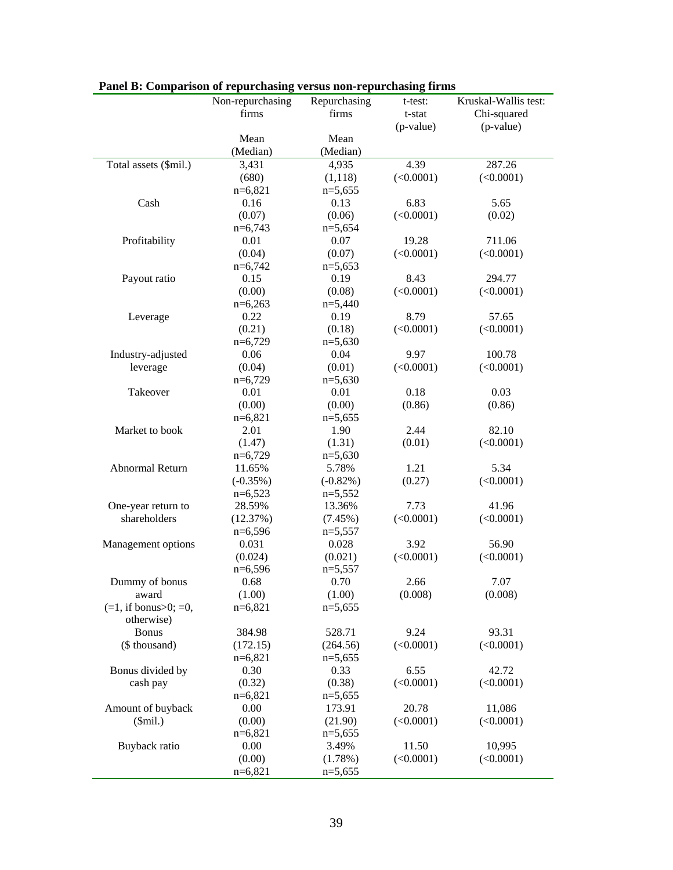|                        | Non-repurchasing | Repurchasing | t-test:   | Kruskal-Wallis test: |
|------------------------|------------------|--------------|-----------|----------------------|
|                        | firms            | firms        | t-stat    | Chi-squared          |
|                        |                  |              | (p-value) | (p-value)            |
|                        | Mean             | Mean         |           |                      |
|                        | (Median)         | (Median)     |           |                      |
| Total assets (\$mil.)  | 3,431            | 4,935        | 4.39      | 287.26               |
|                        | (680)            | (1,118)      | (<0.0001) | (<0.0001)            |
|                        | $n=6,821$        | $n=5,655$    |           |                      |
| Cash                   | 0.16             | 0.13         | 6.83      | 5.65                 |
|                        | (0.07)           | (0.06)       | (<0.0001) | (0.02)               |
|                        | $n=6,743$        | $n=5,654$    |           |                      |
| Profitability          | 0.01             | 0.07         | 19.28     | 711.06               |
|                        | (0.04)           | (0.07)       | (<0.0001) | (<0.0001)            |
|                        | $n=6,742$        | $n=5,653$    |           |                      |
| Payout ratio           | 0.15             | 0.19         | 8.43      | 294.77               |
|                        | (0.00)           | (0.08)       | (<0.0001) | (<0.0001)            |
|                        | $n=6,263$        | $n=5,440$    |           |                      |
| Leverage               | 0.22             | 0.19         | 8.79      | 57.65                |
|                        | (0.21)           | (0.18)       | (<0.0001) | (<0.0001)            |
|                        | $n=6,729$        | $n=5,630$    |           |                      |
| Industry-adjusted      | 0.06             | 0.04         | 9.97      | 100.78               |
| leverage               |                  | (0.01)       | (<0.0001) |                      |
|                        | (0.04)           |              |           | (<0.0001)            |
|                        | $n=6,729$        | $n=5,630$    |           |                      |
| Takeover               | 0.01             | 0.01         | 0.18      | 0.03                 |
|                        | (0.00)           | (0.00)       | (0.86)    | (0.86)               |
|                        | $n=6,821$        | $n=5,655$    |           |                      |
| Market to book         | 2.01             | 1.90         | 2.44      | 82.10                |
|                        | (1.47)           | (1.31)       | (0.01)    | (<0.0001)            |
|                        | $n=6,729$        | $n=5,630$    |           |                      |
| Abnormal Return        | 11.65%           | 5.78%        | 1.21      | 5.34                 |
|                        | $(-0.35%)$       | $(-0.82%)$   | (0.27)    | (<0.0001)            |
|                        | $n=6,523$        | $n=5,552$    |           |                      |
| One-year return to     | 28.59%           | 13.36%       | 7.73      | 41.96                |
| shareholders           | (12.37%)         | (7.45%)      | (<0.0001) | (<0.0001)            |
|                        | $n=6,596$        | $n=5,557$    |           |                      |
| Management options     | 0.031            | 0.028        | 3.92      | 56.90                |
|                        | (0.024)          | (0.021)      | (<0.0001) | (<0.0001)            |
|                        | $n=6,596$        | $n=5,557$    |           |                      |
| Dummy of bonus         | 0.68             | 0.70         | 2.66      | 7.07                 |
| award                  | (1.00)           | (1.00)       | (0.008)   | (0.008)              |
| $(=1, if bonus>0; =0,$ | $n=6,821$        | $n=5,655$    |           |                      |
| otherwise)             |                  |              |           |                      |
| <b>Bonus</b>           | 384.98           | 528.71       | 9.24      | 93.31                |
| (\$ thousand)          | (172.15)         | (264.56)     | (<0.0001) | (<0.0001)            |
|                        | $n=6,821$        | $n=5,655$    |           |                      |
| Bonus divided by       | 0.30             | 0.33         | 6.55      | 42.72                |
| cash pay               | (0.32)           | (0.38)       | (<0.0001) | (<0.0001)            |
|                        | $n=6,821$        | $n=5,655$    |           |                      |
| Amount of buyback      | 0.00             | 173.91       | 20.78     | 11,086               |
| \$mil.)                | (0.00)           | (21.90)      | (<0.0001) | (<0.0001)            |
|                        | $n=6,821$        | $n=5,655$    |           |                      |
| Buyback ratio          | 0.00             | 3.49%        | 11.50     | 10,995               |
|                        | (0.00)           | (1.78%)      | (<0.0001) | (<0.0001)            |
|                        | $n=6,821$        | $n=5,655$    |           |                      |

| Panel B: Comparison of repurchasing versus non-repurchasing firms |  |  |
|-------------------------------------------------------------------|--|--|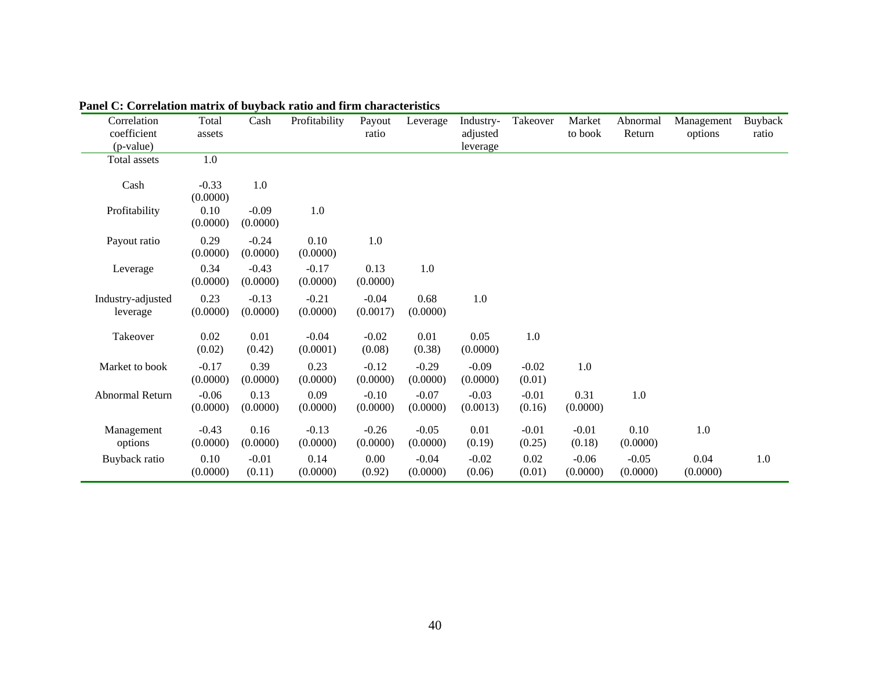| Correlation<br>coefficient<br>(p-value) | Total<br>assets     | Cash                | Profitability       | Payout<br>ratio     | Leverage            | Industry-<br>adjusted<br>leverage | Takeover          | Market<br>to book   | Abnormal<br>Return  | Management<br>options | Buyback<br>ratio |
|-----------------------------------------|---------------------|---------------------|---------------------|---------------------|---------------------|-----------------------------------|-------------------|---------------------|---------------------|-----------------------|------------------|
| Total assets                            | $1.0\,$             |                     |                     |                     |                     |                                   |                   |                     |                     |                       |                  |
| Cash                                    | $-0.33$<br>(0.0000) | 1.0                 |                     |                     |                     |                                   |                   |                     |                     |                       |                  |
| Profitability                           | 0.10<br>(0.0000)    | $-0.09$<br>(0.0000) | 1.0                 |                     |                     |                                   |                   |                     |                     |                       |                  |
| Payout ratio                            | 0.29<br>(0.0000)    | $-0.24$<br>(0.0000) | 0.10<br>(0.0000)    | $1.0\,$             |                     |                                   |                   |                     |                     |                       |                  |
| Leverage                                | 0.34<br>(0.0000)    | $-0.43$<br>(0.0000) | $-0.17$<br>(0.0000) | 0.13<br>(0.0000)    | 1.0                 |                                   |                   |                     |                     |                       |                  |
| Industry-adjusted<br>leverage           | 0.23<br>(0.0000)    | $-0.13$<br>(0.0000) | $-0.21$<br>(0.0000) | $-0.04$<br>(0.0017) | 0.68<br>(0.0000)    | $1.0\,$                           |                   |                     |                     |                       |                  |
| Takeover                                | 0.02<br>(0.02)      | 0.01<br>(0.42)      | $-0.04$<br>(0.0001) | $-0.02$<br>(0.08)   | 0.01<br>(0.38)      | 0.05<br>(0.0000)                  | 1.0               |                     |                     |                       |                  |
| Market to book                          | $-0.17$<br>(0.0000) | 0.39<br>(0.0000)    | 0.23<br>(0.0000)    | $-0.12$<br>(0.0000) | $-0.29$<br>(0.0000) | $-0.09$<br>(0.0000)               | $-0.02$<br>(0.01) | $1.0\,$             |                     |                       |                  |
| Abnormal Return                         | $-0.06$<br>(0.0000) | 0.13<br>(0.0000)    | 0.09<br>(0.0000)    | $-0.10$<br>(0.0000) | $-0.07$<br>(0.0000) | $-0.03$<br>(0.0013)               | $-0.01$<br>(0.16) | 0.31<br>(0.0000)    | 1.0                 |                       |                  |
| Management<br>options                   | $-0.43$<br>(0.0000) | 0.16<br>(0.0000)    | $-0.13$<br>(0.0000) | $-0.26$<br>(0.0000) | $-0.05$<br>(0.0000) | 0.01<br>(0.19)                    | $-0.01$<br>(0.25) | $-0.01$<br>(0.18)   | 0.10<br>(0.0000)    | 1.0                   |                  |
| Buyback ratio                           | 0.10<br>(0.0000)    | $-0.01$<br>(0.11)   | 0.14<br>(0.0000)    | 0.00<br>(0.92)      | $-0.04$<br>(0.0000) | $-0.02$<br>(0.06)                 | 0.02<br>(0.01)    | $-0.06$<br>(0.0000) | $-0.05$<br>(0.0000) | 0.04<br>(0.0000)      | 1.0              |

# **Panel C: Correlation matrix of buyback ratio and firm characteristics**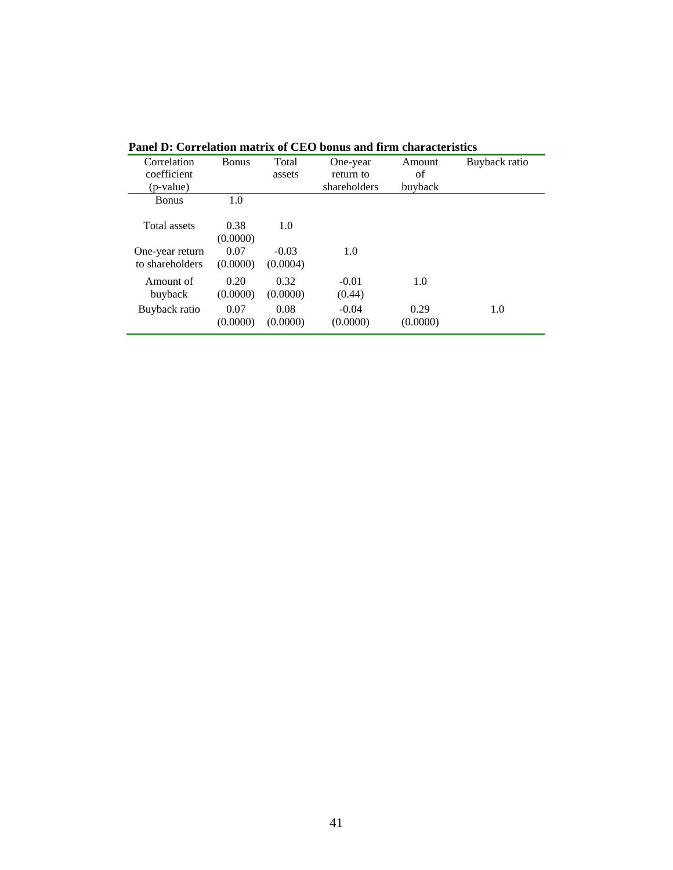| Correlation                        | <b>Bonus</b>     | Total               | One-year            | Amount           | Buyback ratio |
|------------------------------------|------------------|---------------------|---------------------|------------------|---------------|
| coefficient                        |                  | assets              | return to           | οf               |               |
| (p-value)                          |                  |                     | shareholders        | buyback          |               |
| <b>Bonus</b>                       | 1.0              |                     |                     |                  |               |
| Total assets                       | 0.38<br>(0.0000) | 1.0                 |                     |                  |               |
| One-year return<br>to shareholders | 0.07<br>(0.0000) | $-0.03$<br>(0.0004) | 1.0                 |                  |               |
| Amount of<br>buyback               | 0.20<br>(0.0000) | 0.32<br>(0.0000)    | $-0.01$<br>(0.44)   | 1.0              |               |
| Buyback ratio                      | 0.07<br>(0.0000) | 0.08<br>(0.0000)    | $-0.04$<br>(0.0000) | 0.29<br>(0.0000) | 1.0           |

**Panel D: Correlation matrix of CEO bonus and firm characteristics**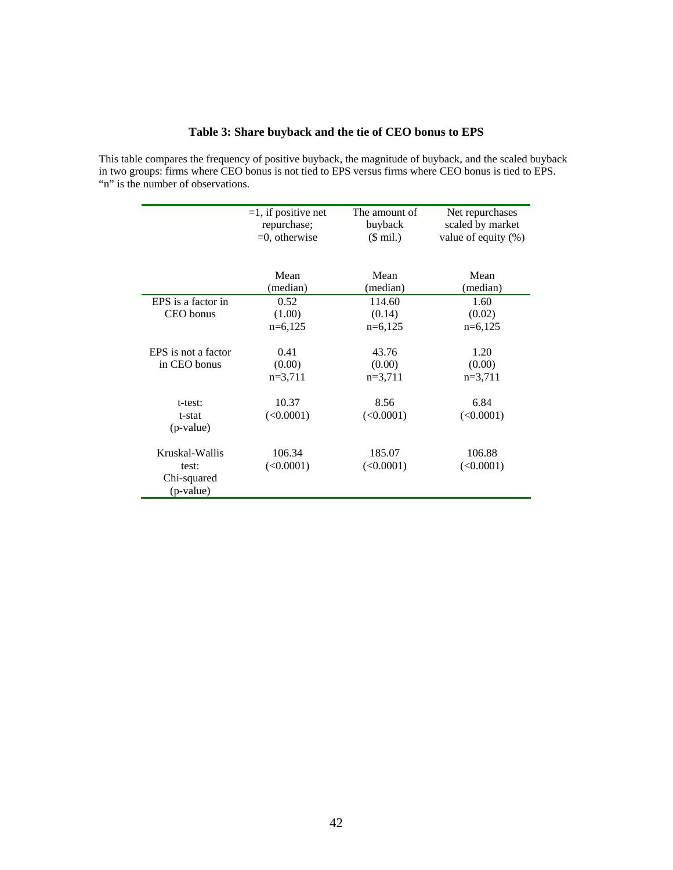# **Table 3: Share buyback and the tie of CEO bonus to EPS**

This table compares the frequency of positive buyback, the magnitude of buyback, and the scaled buyback in two groups: firms where CEO bonus is not tied to EPS versus firms where CEO bonus is tied to EPS. "n" is the number of observations.

|           |                                                                                     | Net repurchases                                                 |
|-----------|-------------------------------------------------------------------------------------|-----------------------------------------------------------------|
|           |                                                                                     |                                                                 |
|           |                                                                                     | scaled by market                                                |
|           |                                                                                     | value of equity (%)                                             |
|           |                                                                                     |                                                                 |
| Mean      | Mean                                                                                | Mean                                                            |
| (median)  | (median)                                                                            | (median)                                                        |
| 0.52      | 114.60                                                                              | 1.60                                                            |
| (1.00)    | (0.14)                                                                              | (0.02)                                                          |
| $n=6,125$ | $n=6,125$                                                                           | $n=6,125$                                                       |
|           |                                                                                     |                                                                 |
| 0.41      | 43.76                                                                               | 1.20                                                            |
| (0.00)    | (0.00)                                                                              | (0.00)                                                          |
| $n=3,711$ | $n=3,711$                                                                           | $n=3,711$                                                       |
| 10.37     | 8.56                                                                                | 6.84                                                            |
|           |                                                                                     | (<0.0001)                                                       |
|           |                                                                                     |                                                                 |
| 106.34    | 185.07                                                                              | 106.88                                                          |
|           |                                                                                     | (<0.0001)                                                       |
|           |                                                                                     |                                                                 |
|           |                                                                                     |                                                                 |
|           | $=1$ , if positive net<br>repurchase;<br>$=0$ , otherwise<br>(<0.0001)<br>(<0.0001) | The amount of<br>buyback<br>$$$ mil.)<br>(<0.0001)<br>(<0.0001) |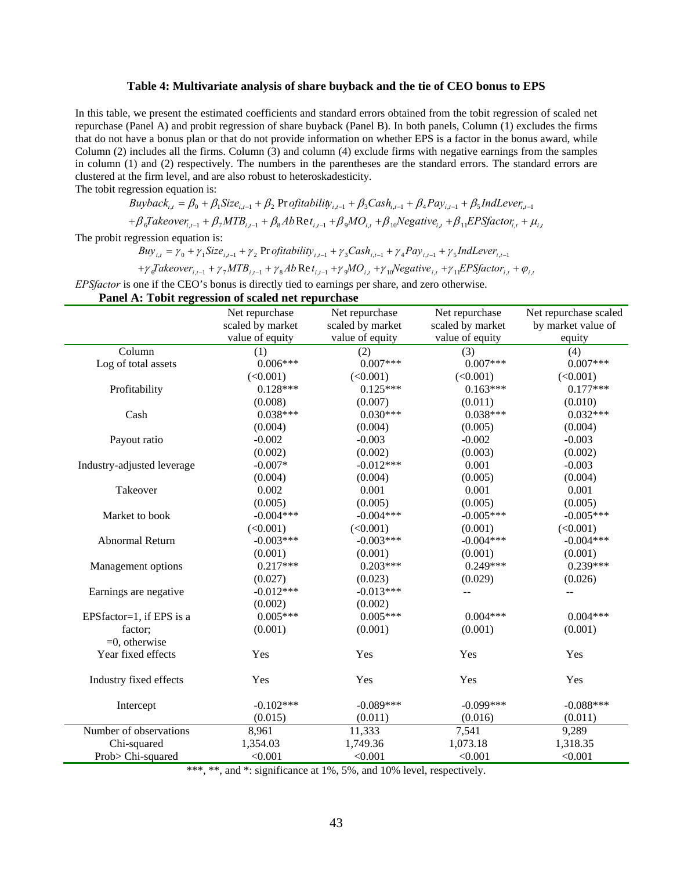#### **Table 4: Multivariate analysis of share buyback and the tie of CEO bonus to EPS**

In this table, we present the estimated coefficients and standard errors obtained from the tobit regression of scaled net repurchase (Panel A) and probit regression of share buyback (Panel B). In both panels, Column (1) excludes the firms that do not have a bonus plan or that do not provide information on whether EPS is a factor in the bonus award, while Column (2) includes all the firms. Column (3) and column (4) exclude firms with negative earnings from the samples in column (1) and (2) respectively. The numbers in the parentheses are the standard errors. The standard errors are clustered at the firm level, and are also robust to heteroskadesticity.

The tobit regression equation is:

+ $\beta_{\rm g}$ Takeover<sub>i,t-1</sub> +  $\beta_{\rm g} M T B_{i,t-1} + \beta_{\rm g} Ab \text{Re} t_{i,t-1} + \beta_{\rm g} MO_{i,t} + \beta_{10} Negative_{i,t} + \beta_{11} EPS factor_{i,t} + \mu_{i,t}$ Buyback<sub>i,t</sub> =  $\beta_0 + \beta_1$ Size<sub>i,t-1</sub> +  $\beta_2$  Profitability<sub>i,t-1</sub> +  $\beta_3$ Cash<sub>i,t-1</sub> +  $\beta_4$ Pay<sub>i,t-1</sub> +  $\beta_5$ IndLever<sub>i,t-1</sub>

The probit regression equation is:

```
Buy_{i,t} = \gamma_0 + \gamma_1 Size_{i,t-1} + \gamma_2 Profitability<sub>i,t-1</sub> + \gamma_3Cash_{i,t-1} + \gamma_4 Pay_{i,t-1} + \gamma_5 IndLever_{i,t-1}
```

$$
+\gamma_{d}Take over_{i,t-1} + \gamma_{7} M T B_{i,t-1} + \gamma_{8} Ab \text{ Re } t_{i,t-1} + \gamma_{9} MO_{i,t} + \gamma_{10} Negative_{i,t} + \gamma_{11} EPS factor_{i,t} + \varphi_{i,t}
$$

*EPSfactor* is one if the CEO's bonus is directly tied to earnings per share, and zero otherwise.

**Panel A: Tobit regression of scaled net repurchase** 

|                            | Net repurchase   | Net repurchase   | Net repurchase   | Net repurchase scaled |
|----------------------------|------------------|------------------|------------------|-----------------------|
|                            | scaled by market | scaled by market | scaled by market | by market value of    |
|                            | value of equity  | value of equity  | value of equity  | equity                |
| Column                     | (1)              | (2)              | (3)              | (4)                   |
| Log of total assets        | $0.006***$       | $0.007***$       | $0.007***$       | $0.007***$            |
|                            | (<0.001)         | (<0.001)         | (<0.001)         | (<0.001)              |
| Profitability              | $0.128***$       | $0.125***$       | $0.163***$       | $0.177***$            |
|                            | (0.008)          | (0.007)          | (0.011)          | (0.010)               |
| Cash                       | $0.038***$       | $0.030***$       | $0.038***$       | $0.032***$            |
|                            | (0.004)          | (0.004)          | (0.005)          | (0.004)               |
| Payout ratio               | $-0.002$         | $-0.003$         | $-0.002$         | $-0.003$              |
|                            | (0.002)          | (0.002)          | (0.003)          | (0.002)               |
| Industry-adjusted leverage | $-0.007*$        | $-0.012***$      | 0.001            | $-0.003$              |
|                            | (0.004)          | (0.004)          | (0.005)          | (0.004)               |
| Takeover                   | 0.002            | 0.001            | 0.001            | 0.001                 |
|                            | (0.005)          | (0.005)          | (0.005)          | (0.005)               |
| Market to book             | $-0.004***$      | $-0.004***$      | $-0.005***$      | $-0.005***$           |
|                            | (<0.001)         | (<0.001)         | (0.001)          | (<0.001)              |
| Abnormal Return            | $-0.003***$      | $-0.003***$      | $-0.004***$      | $-0.004***$           |
|                            | (0.001)          | (0.001)          | (0.001)          | (0.001)               |
| Management options         | $0.217***$       | $0.203***$       | $0.249***$       | $0.239***$            |
|                            | (0.027)          | (0.023)          | (0.029)          | (0.026)               |
| Earnings are negative      | $-0.012***$      | $-0.013***$      | --               | --                    |
|                            | (0.002)          | (0.002)          |                  |                       |
| EPSfactor=1, if EPS is a   | $0.005***$       | $0.005***$       | $0.004***$       | $0.004***$            |
| factor;                    | (0.001)          | (0.001)          | (0.001)          | (0.001)               |
| $=0$ , otherwise           |                  |                  |                  |                       |
| Year fixed effects         | Yes              | Yes              | Yes              | Yes                   |
| Industry fixed effects     | Yes              | Yes              | Yes              | Yes                   |
| Intercept                  | $-0.102***$      | $-0.089***$      | $-0.099***$      | $-0.088***$           |
|                            | (0.015)          | (0.011)          | (0.016)          | (0.011)               |
| Number of observations     | 8,961            | 11,333           | 7,541            | 9,289                 |
| Chi-squared                | 1,354.03         | 1,749.36         | 1,073.18         | 1,318.35              |
| Prob> Chi-squared          | < 0.001          | < 0.001          | < 0.001          | < 0.001               |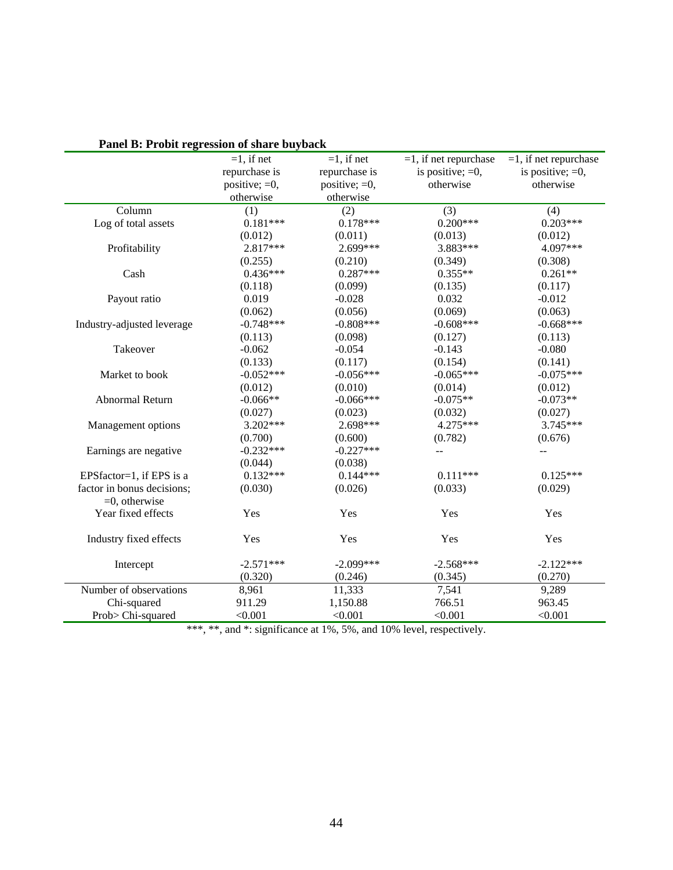|                            | $=1$ , if net    | $=1$ , if net    | $=1$ , if net repurchase | $=1$ , if net repurchase |
|----------------------------|------------------|------------------|--------------------------|--------------------------|
|                            | repurchase is    | repurchase is    | is positive; $=0$ ,      | is positive; $=0$ ,      |
|                            | positive; $=0$ , | positive; $=0$ , | otherwise                | otherwise                |
|                            | otherwise        | otherwise        |                          |                          |
| Column                     | (1)              | (2)              | (3)                      | (4)                      |
| Log of total assets        | $0.181***$       | $0.178***$       | $0.200***$               | $0.203***$               |
|                            | (0.012)          | (0.011)          | (0.013)                  | (0.012)                  |
| Profitability              | $2.817***$       | 2.699***         | 3.883***                 | 4.097***                 |
|                            | (0.255)          | (0.210)          | (0.349)                  | (0.308)                  |
| Cash                       | $0.436***$       | $0.287***$       | $0.355**$                | $0.261**$                |
|                            | (0.118)          | (0.099)          | (0.135)                  | (0.117)                  |
| Payout ratio               | 0.019            | $-0.028$         | 0.032                    | $-0.012$                 |
|                            | (0.062)          | (0.056)          | (0.069)                  | (0.063)                  |
| Industry-adjusted leverage | $-0.748***$      | $-0.808***$      | $-0.608***$              | $-0.668***$              |
|                            | (0.113)          | (0.098)          | (0.127)                  | (0.113)                  |
| Takeover                   | $-0.062$         | $-0.054$         | $-0.143$                 | $-0.080$                 |
|                            | (0.133)          | (0.117)          | (0.154)                  | (0.141)                  |
| Market to book             | $-0.052***$      | $-0.056***$      | $-0.065***$              | $-0.075***$              |
|                            | (0.012)          | (0.010)          | (0.014)                  | (0.012)                  |
| Abnormal Return            | $-0.066**$       | $-0.066***$      | $-0.075**$               | $-0.073**$               |
|                            | (0.027)          | (0.023)          | (0.032)                  | (0.027)                  |
| Management options         | $3.202***$       | 2.698***         | 4.275***                 | $3.745***$               |
|                            | (0.700)          | (0.600)          | (0.782)                  | (0.676)                  |
| Earnings are negative      | $-0.232***$      | $-0.227***$      | --                       |                          |
|                            | (0.044)          | (0.038)          |                          |                          |
| EPSfactor=1, if EPS is a   | $0.132***$       | $0.144***$       | $0.111***$               | $0.125***$               |
| factor in bonus decisions; | (0.030)          | (0.026)          | (0.033)                  | (0.029)                  |
| $=0$ , otherwise           |                  |                  |                          |                          |
| Year fixed effects         | Yes              | Yes              | Yes                      | Yes                      |
| Industry fixed effects     | Yes              | Yes              | Yes                      | Yes                      |
| Intercept                  | $-2.571***$      | $-2.099***$      | $-2.568***$              | $-2.122***$              |
|                            | (0.320)          | (0.246)          | (0.345)                  | (0.270)                  |
| Number of observations     | 8,961            | 11,333           | 7,541                    | 9,289                    |
| Chi-squared                | 911.29           | 1,150.88         | 766.51                   | 963.45                   |
| Prob> Chi-squared          | < 0.001          | < 0.001          | < 0.001                  | < 0.001                  |

# **Panel B: Probit regression of share buyback**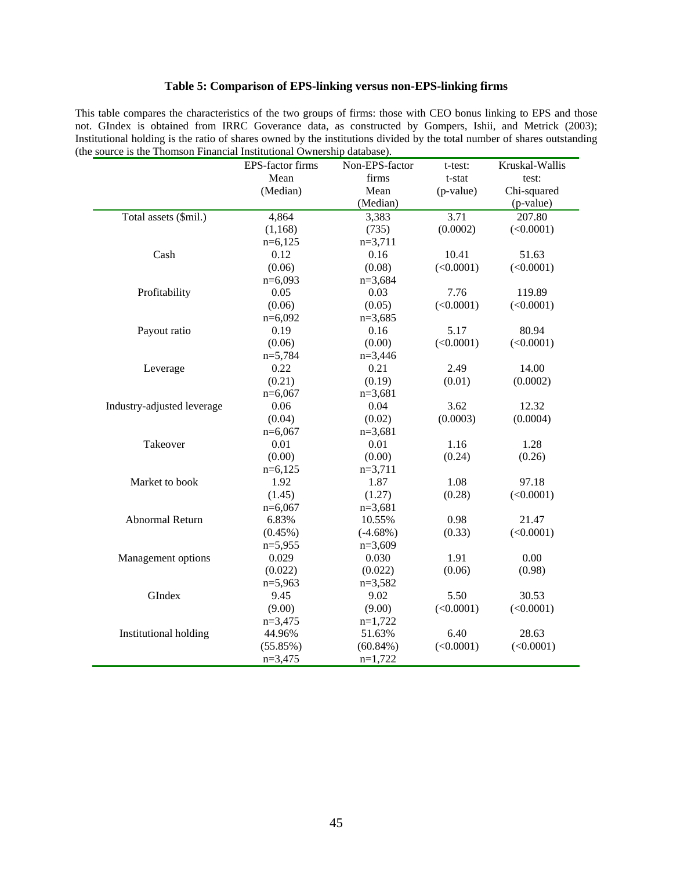## **Table 5: Comparison of EPS-linking versus non-EPS-linking firms**

This table compares the characteristics of the two groups of firms: those with CEO bonus linking to EPS and those not. GIndex is obtained from IRRC Goverance data, as constructed by Gompers, Ishii, and Metrick (2003); Institutional holding is the ratio of shares owned by the institutions divided by the total number of shares outstanding (the source is the Thomson Financial Institutional Ownership database).

|                              | EPS-factor firms | Non-EPS-factor | t-test:   | Kruskal-Wallis |
|------------------------------|------------------|----------------|-----------|----------------|
|                              | Mean             | firms          | $t$ -stat | test:          |
|                              | (Median)         | Mean           | (p-value) | Chi-squared    |
|                              |                  | (Median)       |           | (p-value)      |
| Total assets (\$mil.)        | 4,864            | 3,383          | 3.71      | 207.80         |
|                              | (1,168)          | (735)          | (0.0002)  | (<0.0001)      |
|                              | $n=6,125$        | $n=3,711$      |           |                |
| Cash                         | 0.12             | 0.16           | 10.41     | 51.63          |
|                              | (0.06)           | (0.08)         | (<0.0001) | (<0.0001)      |
|                              | $n=6,093$        | $n=3,684$      |           |                |
| Profitability                | 0.05             | 0.03           | 7.76      | 119.89         |
|                              | (0.06)           | (0.05)         | (<0.0001) | (<0.0001)      |
|                              | $n=6,092$        | $n=3,685$      |           |                |
| Payout ratio                 | 0.19             | 0.16           | 5.17      | 80.94          |
|                              | (0.06)           | (0.00)         | (<0.0001) | (<0.0001)      |
|                              | $n=5,784$        | $n=3,446$      |           |                |
| Leverage                     | 0.22             | 0.21           | 2.49      | 14.00          |
|                              | (0.21)           | (0.19)         | (0.01)    | (0.0002)       |
|                              | $n=6,067$        | $n=3,681$      |           |                |
| Industry-adjusted leverage   | 0.06             | 0.04           | 3.62      | 12.32          |
|                              | (0.04)           | (0.02)         | (0.0003)  | (0.0004)       |
|                              | $n=6,067$        | $n=3,681$      |           |                |
| Takeover                     | 0.01             | 0.01           | 1.16      | 1.28           |
|                              | (0.00)           | (0.00)         | (0.24)    | (0.26)         |
|                              | $n=6,125$        | $n=3,711$      |           |                |
| Market to book               | 1.92             | 1.87           | 1.08      | 97.18          |
|                              | (1.45)           | (1.27)         | (0.28)    | (<0.0001)      |
|                              | $n=6,067$        | $n=3,681$      |           |                |
| Abnormal Return              | 6.83%            | 10.55%         | 0.98      | 21.47          |
|                              | $(0.45\%)$       | $(-4.68\%)$    | (0.33)    | (<0.0001)      |
|                              | $n=5,955$        | $n=3,609$      |           |                |
| Management options           | 0.029            | 0.030          | 1.91      | 0.00           |
|                              | (0.022)          | (0.022)        | (0.06)    | (0.98)         |
|                              | $n=5,963$        | $n=3,582$      |           |                |
| GIndex                       | 9.45             | 9.02           | 5.50      | 30.53          |
|                              | (9.00)           | (9.00)         | (<0.0001) | (<0.0001)      |
|                              | $n=3,475$        | $n=1,722$      |           |                |
| <b>Institutional holding</b> | 44.96%           | 51.63%         | 6.40      | 28.63          |
|                              | (55.85%)         | $(60.84\%)$    | (<0.0001) | (<0.0001)      |
|                              | $n=3,475$        | $n=1,722$      |           |                |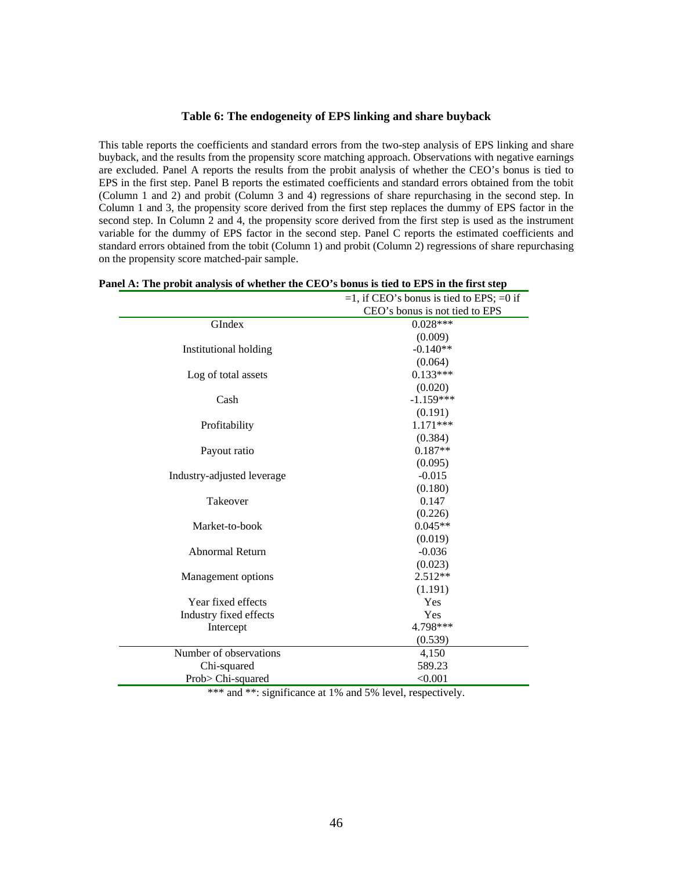#### **Table 6: The endogeneity of EPS linking and share buyback**

This table reports the coefficients and standard errors from the two-step analysis of EPS linking and share buyback, and the results from the propensity score matching approach. Observations with negative earnings are excluded. Panel A reports the results from the probit analysis of whether the CEO's bonus is tied to EPS in the first step. Panel B reports the estimated coefficients and standard errors obtained from the tobit (Column 1 and 2) and probit (Column 3 and 4) regressions of share repurchasing in the second step. In Column 1 and 3, the propensity score derived from the first step replaces the dummy of EPS factor in the second step. In Column 2 and 4, the propensity score derived from the first step is used as the instrument variable for the dummy of EPS factor in the second step. Panel C reports the estimated coefficients and standard errors obtained from the tobit (Column 1) and probit (Column 2) regressions of share repurchasing on the propensity score matched-pair sample.

|                            | $=1$ , if CEO's bonus is tied to EPS; $=0$ if |  |  |
|----------------------------|-----------------------------------------------|--|--|
|                            | CEO's bonus is not tied to EPS                |  |  |
| GIndex                     | $0.028***$                                    |  |  |
|                            | (0.009)                                       |  |  |
| Institutional holding      | $-0.140**$                                    |  |  |
|                            | (0.064)                                       |  |  |
| Log of total assets        | $0.133***$                                    |  |  |
|                            | (0.020)                                       |  |  |
| Cash                       | $-1.159***$                                   |  |  |
|                            | (0.191)                                       |  |  |
| Profitability              | $1.171***$                                    |  |  |
|                            | (0.384)                                       |  |  |
| Payout ratio               | $0.187**$                                     |  |  |
|                            | (0.095)                                       |  |  |
| Industry-adjusted leverage | $-0.015$                                      |  |  |
|                            | (0.180)                                       |  |  |
| Takeover                   | 0.147                                         |  |  |
|                            | (0.226)                                       |  |  |
| Market-to-book             | $0.045**$                                     |  |  |
|                            | (0.019)                                       |  |  |
| <b>Abnormal Return</b>     | $-0.036$                                      |  |  |
|                            | (0.023)                                       |  |  |
| Management options         | $2.512**$                                     |  |  |
|                            | (1.191)                                       |  |  |
| Year fixed effects         | Yes                                           |  |  |
| Industry fixed effects     | Yes                                           |  |  |
| Intercept                  | 4.798***                                      |  |  |
|                            | (0.539)                                       |  |  |
| Number of observations     | 4,150                                         |  |  |
| Chi-squared                | 589.23                                        |  |  |
| Prob> Chi-squared          | < 0.001                                       |  |  |

## **Panel A: The probit analysis of whether the CEO's bonus is tied to EPS in the first step**

\*\*\* and \*\*: significance at 1% and 5% level, respectively.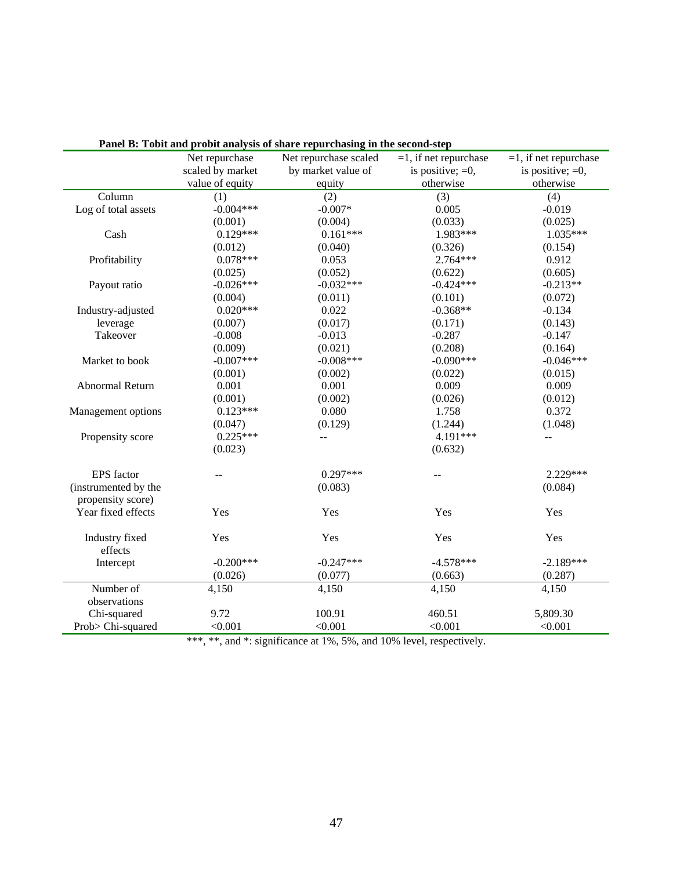|                      |                  | Panel D: Toon and probit analysis of share repurchasing in the second-step |                          |                          |
|----------------------|------------------|----------------------------------------------------------------------------|--------------------------|--------------------------|
|                      | Net repurchase   | Net repurchase scaled                                                      | $=1$ , if net repurchase | $=1$ , if net repurchase |
|                      | scaled by market | by market value of                                                         | is positive; $=0$ ,      | is positive; $=0$ ,      |
|                      | value of equity  | equity                                                                     | otherwise                | otherwise                |
| Column               | (1)              | (2)                                                                        | (3)                      | (4)                      |
| Log of total assets  | $-0.004***$      | $-0.007*$                                                                  | 0.005                    | $-0.019$                 |
|                      | (0.001)          | (0.004)                                                                    | (0.033)                  | (0.025)                  |
| Cash                 | $0.129***$       | $0.161***$                                                                 | 1.983***                 | $1.035***$               |
|                      | (0.012)          | (0.040)                                                                    | (0.326)                  | (0.154)                  |
| Profitability        | $0.078***$       | 0.053                                                                      | $2.764***$               | 0.912                    |
|                      | (0.025)          | (0.052)                                                                    | (0.622)                  | (0.605)                  |
| Payout ratio         | $-0.026***$      | $-0.032***$                                                                | $-0.424***$              | $-0.213**$               |
|                      | (0.004)          | (0.011)                                                                    | (0.101)                  | (0.072)                  |
| Industry-adjusted    | $0.020***$       | 0.022                                                                      | $-0.368**$               | $-0.134$                 |
| leverage             | (0.007)          | (0.017)                                                                    | (0.171)                  | (0.143)                  |
| Takeover             | $-0.008$         | $-0.013$                                                                   | $-0.287$                 | $-0.147$                 |
|                      | (0.009)          | (0.021)                                                                    | (0.208)                  | (0.164)                  |
| Market to book       | $-0.007***$      | $-0.008***$                                                                | $-0.090***$              | $-0.046***$              |
|                      | (0.001)          | (0.002)                                                                    | (0.022)                  | (0.015)                  |
| Abnormal Return      | 0.001            | 0.001                                                                      | 0.009                    | 0.009                    |
|                      | (0.001)          | (0.002)                                                                    | (0.026)                  | (0.012)                  |
| Management options   | $0.123***$       | 0.080                                                                      | 1.758                    | 0.372                    |
|                      | (0.047)          | (0.129)                                                                    | (1.244)                  | (1.048)                  |
| Propensity score     | $0.225***$       | --                                                                         | 4.191***                 | $\overline{\phantom{a}}$ |
|                      | (0.023)          |                                                                            | (0.632)                  |                          |
| EPS factor           | $-$              | $0.297***$                                                                 | --                       | $2.229***$               |
| (instrumented by the |                  | (0.083)                                                                    |                          | (0.084)                  |
| propensity score)    |                  |                                                                            |                          |                          |
| Year fixed effects   | Yes              | Yes                                                                        | Yes                      | Yes                      |
| Industry fixed       | Yes              | Yes                                                                        | Yes                      | Yes                      |
| effects              |                  |                                                                            |                          |                          |
|                      | $-0.200***$      | $-0.247***$                                                                | $-4.578***$              | $-2.189***$              |
| Intercept            |                  |                                                                            |                          |                          |
| Number of            | (0.026)          | (0.077)                                                                    | (0.663)                  | (0.287)                  |
|                      | 4,150            | 4,150                                                                      | 4,150                    | 4,150                    |
| observations         |                  |                                                                            |                          |                          |
| Chi-squared          | 9.72             | 100.91                                                                     | 460.51                   | 5,809.30                 |
| Prob> Chi-squared    | < 0.001          | < 0.001                                                                    | < 0.001                  | < 0.001                  |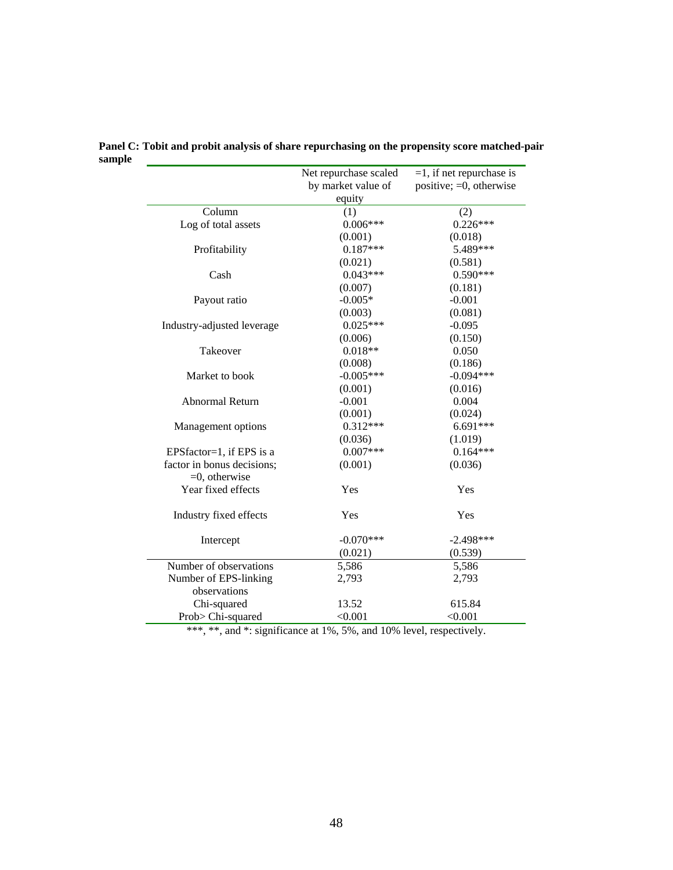|                            | Net repurchase scaled | $=1$ , if net repurchase is |
|----------------------------|-----------------------|-----------------------------|
|                            | by market value of    | positive; $=0$ , otherwise  |
|                            | equity                |                             |
| Column                     | (1)                   | (2)                         |
| Log of total assets        | $0.006***$            | $0.226***$                  |
|                            | (0.001)               | (0.018)                     |
| Profitability              | $0.187***$            | 5.489***                    |
|                            | (0.021)               | (0.581)                     |
| Cash                       | $0.043***$            | $0.590***$                  |
|                            | (0.007)               | (0.181)                     |
| Payout ratio               | $-0.005*$             | $-0.001$                    |
|                            | (0.003)               | (0.081)                     |
| Industry-adjusted leverage | $0.025***$            | $-0.095$                    |
|                            | (0.006)               | (0.150)                     |
| Takeover                   | $0.018**$             | 0.050                       |
|                            | (0.008)               | (0.186)                     |
| Market to book             | $-0.005***$           | $-0.094***$                 |
|                            | (0.001)               | (0.016)                     |
| Abnormal Return            | $-0.001$              | 0.004                       |
|                            | (0.001)               | (0.024)                     |
| Management options         | $0.312***$            | 6.691***                    |
|                            | (0.036)               | (1.019)                     |
| EPSfactor=1, if EPS is a   | $0.007***$            | $0.164***$                  |
| factor in bonus decisions; | (0.001)               | (0.036)                     |
| $=0$ , otherwise           |                       |                             |
| Year fixed effects         | Yes                   | Yes                         |
| Industry fixed effects     | Yes                   | Yes                         |
| Intercept                  | $-0.070***$           | $-2.498***$                 |
|                            | (0.021)               | (0.539)                     |
| Number of observations     | 5,586                 | 5,586                       |
| Number of EPS-linking      | 2,793                 | 2,793                       |
| observations               |                       |                             |
| Chi-squared                | 13.52                 | 615.84                      |
| Prob> Chi-squared          | < 0.001               | < 0.001                     |

# **Panel C: Tobit and probit analysis of share repurchasing on the propensity score matched-pair sample**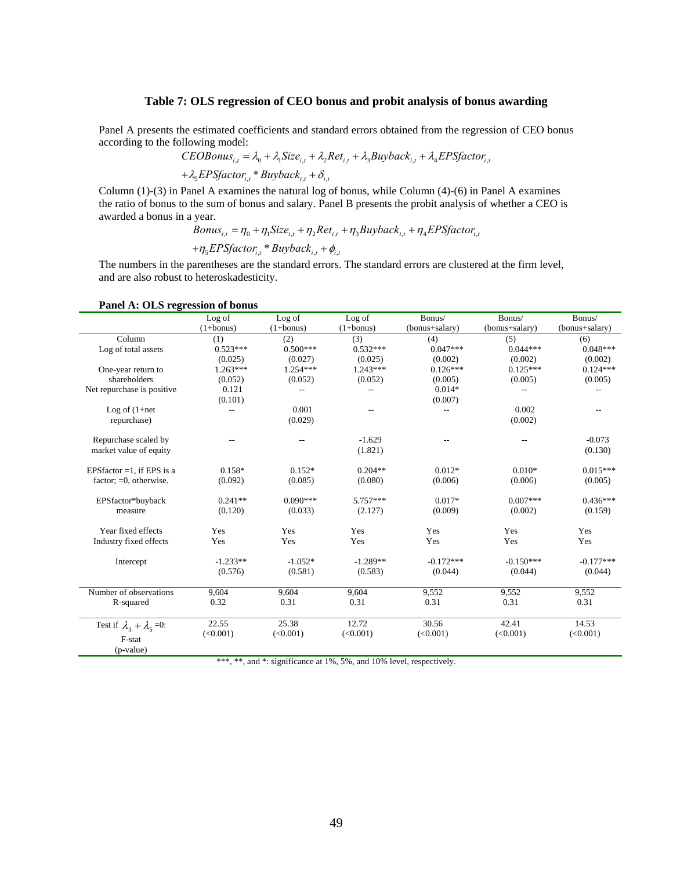### **Table 7: OLS regression of CEO bonus and probit analysis of bonus awarding**

Panel A presents the estimated coefficients and standard errors obtained from the regression of CEO bonus according to the following model:

$$
CEOBonus_{i,t} = \lambda_0 + \lambda_1 Size_{i,t} + \lambda_2 Ret_{i,t} + \lambda_3 Buyback_{i,t} + \lambda_4 EBS factor_{i,t}
$$
  
+  $\lambda_5 EPSfactor_{i,t} * Buyback_{i,t} + \delta_{i,t}$ 

Column (1)-(3) in Panel A examines the natural log of bonus, while Column (4)-(6) in Panel A examines the ratio of bonus to the sum of bonus and salary. Panel B presents the probit analysis of whether a CEO is awarded a bonus in a year.

$$
Bonus_{i,t} = \eta_0 + \eta_1 Size_{i,t} + \eta_2 Ret_{i,t} + \eta_3 Buyback_{i,t} + \eta_4 ESPS factor_{i,t}
$$

$$
+ \eta_{5} EPS factor_{i,t} * Buyback_{i,t} + \phi_{i,t}
$$

The numbers in the parentheses are the standard errors. The standard errors are clustered at the firm level, and are also robust to heteroskadesticity.

#### **Panel A: OLS regression of bonus**

|                                       | Log of      | Log of      | Log of                   | Bonus/         | Bonus/         | Bonus/         |
|---------------------------------------|-------------|-------------|--------------------------|----------------|----------------|----------------|
|                                       | $(1+bonus)$ | $(1+bonus)$ | $(1+bonus)$              | (bonus+salary) | (bonus+salary) | (bonus+salary) |
| Column                                | (1)         | (2)         | (3)                      | (4)            | (5)            | (6)            |
| Log of total assets                   | $0.523***$  | $0.500***$  | $0.532***$               | $0.047***$     | $0.044***$     | $0.048***$     |
|                                       | (0.025)     | (0.027)     | (0.025)                  | (0.002)        | (0.002)        | (0.002)        |
| One-year return to                    | $1.263***$  | $1.254***$  | $1.243***$               | $0.126***$     | $0.125***$     | $0.124***$     |
| shareholders                          | (0.052)     | (0.052)     | (0.052)                  | (0.005)        | (0.005)        | (0.005)        |
| Net repurchase is positive            | 0.121       |             | $\overline{\phantom{a}}$ | $0.014*$       |                |                |
|                                       | (0.101)     |             |                          | (0.007)        |                |                |
| Log of $(1+net)$                      | $-$         | 0.001       | $\overline{a}$           | $\overline{a}$ | 0.002          | $\overline{a}$ |
| repurchase)                           |             | (0.029)     |                          |                | (0.002)        |                |
|                                       |             |             |                          |                |                |                |
| Repurchase scaled by                  |             |             | $-1.629$                 | $-$            |                | $-0.073$       |
| market value of equity                |             |             | (1.821)                  |                |                | (0.130)        |
|                                       |             |             |                          |                |                |                |
| EPS factor = 1, if EPS is a           | $0.158*$    | $0.152*$    | $0.204**$                | $0.012*$       | $0.010*$       | $0.015***$     |
| factor; $=0$ , otherwise.             | (0.092)     | (0.085)     | (0.080)                  | (0.006)        | (0.006)        | (0.005)        |
|                                       |             |             |                          |                |                |                |
| EPSfactor*buyback                     | $0.241**$   | $0.090***$  | $5.757***$               | $0.017*$       | $0.007***$     | $0.436***$     |
| measure                               | (0.120)     | (0.033)     | (2.127)                  | (0.009)        | (0.002)        | (0.159)        |
| Year fixed effects                    | Yes         | Yes         | Yes                      | Yes            | Yes            | Yes            |
| Industry fixed effects                | Yes         | Yes         | Yes                      | Yes            | Yes            | Yes            |
|                                       |             |             |                          |                |                |                |
| Intercept                             | $-1.233**$  | $-1.052*$   | $-1.289**$               | $-0.172***$    | $-0.150***$    | $-0.177***$    |
|                                       | (0.576)     | (0.581)     | (0.583)                  | (0.044)        | (0.044)        | (0.044)        |
|                                       |             |             |                          |                |                |                |
| Number of observations                | 9,604       | 9,604       | 9,604                    | 9,552          | 9,552          | 9,552          |
| R-squared                             | 0.32        | 0.31        | 0.31                     | 0.31           | 0.31           | 0.31           |
|                                       |             |             |                          |                |                |                |
| Test if $\lambda_3 + \lambda_5 = 0$ : | 22.55       | 25.38       | 12.72                    | 30.56          | 42.41          | 14.53          |
|                                       | (<0.001)    | (<0.001)    | (<0.001)                 | (<0.001)       | (<0.001)       | (<0.001)       |
| F-stat                                |             |             |                          |                |                |                |
| (p-value)                             |             |             |                          |                |                |                |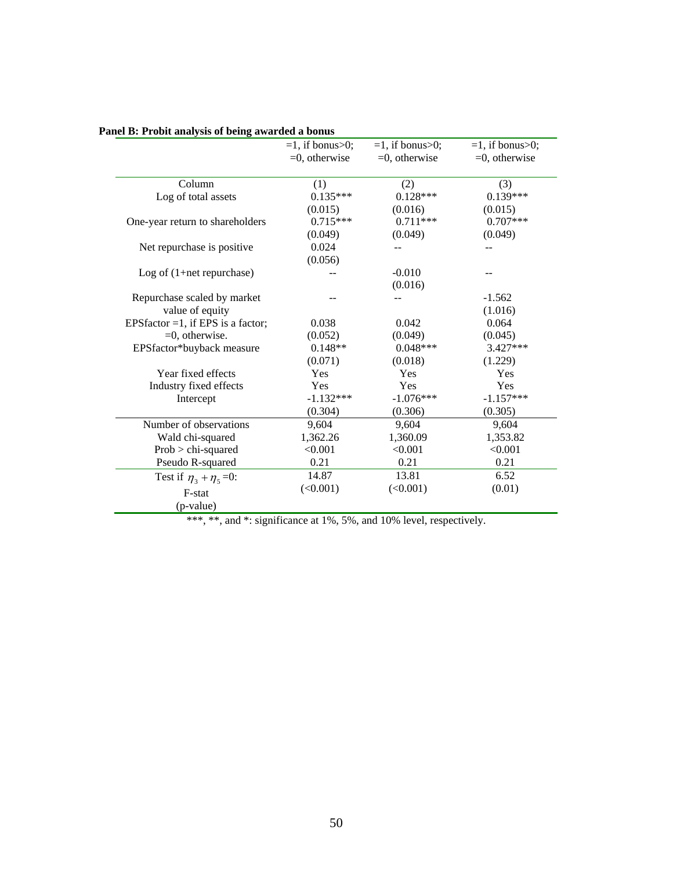|                                       | $=1$ , if bonus $>0$ ;<br>$=0$ , otherwise | $=1$ , if bonus $>0$ ;<br>$=0$ , otherwise | $=1$ , if bonus $>0$ ;<br>$=0$ , otherwise |
|---------------------------------------|--------------------------------------------|--------------------------------------------|--------------------------------------------|
|                                       |                                            |                                            |                                            |
| Column                                | (1)                                        | (2)                                        | (3)                                        |
| Log of total assets                   | $0.135***$                                 | $0.128***$                                 | $0.139***$                                 |
|                                       | (0.015)                                    | (0.016)                                    | (0.015)                                    |
| One-year return to shareholders       | $0.715***$                                 | $0.711***$                                 | $0.707***$                                 |
|                                       | (0.049)                                    | (0.049)                                    | (0.049)                                    |
| Net repurchase is positive            | 0.024                                      |                                            |                                            |
|                                       | (0.056)                                    |                                            |                                            |
| Log of $(1+net$ repurchase)           |                                            | $-0.010$                                   |                                            |
|                                       |                                            | (0.016)                                    |                                            |
| Repurchase scaled by market           |                                            |                                            | $-1.562$                                   |
| value of equity                       |                                            |                                            | (1.016)                                    |
| EPS factor $=1$ , if EPS is a factor; | 0.038                                      | 0.042                                      | 0.064                                      |
| $=0$ , otherwise.                     | (0.052)                                    | (0.049)                                    | (0.045)                                    |
| EPSfactor*buyback measure             | $0.148**$                                  | $0.048***$                                 | 3.427***                                   |
|                                       | (0.071)                                    | (0.018)                                    | (1.229)                                    |
| Year fixed effects                    | Yes                                        | Yes                                        | Yes                                        |
| Industry fixed effects                | Yes                                        | Yes                                        | Yes                                        |
| Intercept                             | $-1.132***$                                | $-1.076***$                                | $-1.157***$                                |
|                                       | (0.304)                                    | (0.306)                                    | (0.305)                                    |
| Number of observations                | 9,604                                      | 9,604                                      | 9,604                                      |
| Wald chi-squared                      | 1,362.26                                   | 1,360.09                                   | 1,353.82                                   |
| $Prob > chi$ -squared                 | < 0.001                                    | < 0.001                                    | < 0.001                                    |
| Pseudo R-squared                      | 0.21                                       | 0.21                                       | 0.21                                       |
| Test if $\eta_3 + \eta_5 = 0$ :       | 14.87                                      | 13.81                                      | 6.52                                       |
| F-stat                                | (<0.001)                                   | (<0.001)                                   | (0.01)                                     |
| (p-value)                             |                                            |                                            |                                            |

## **Panel B: Probit analysis of being awarded a bonus**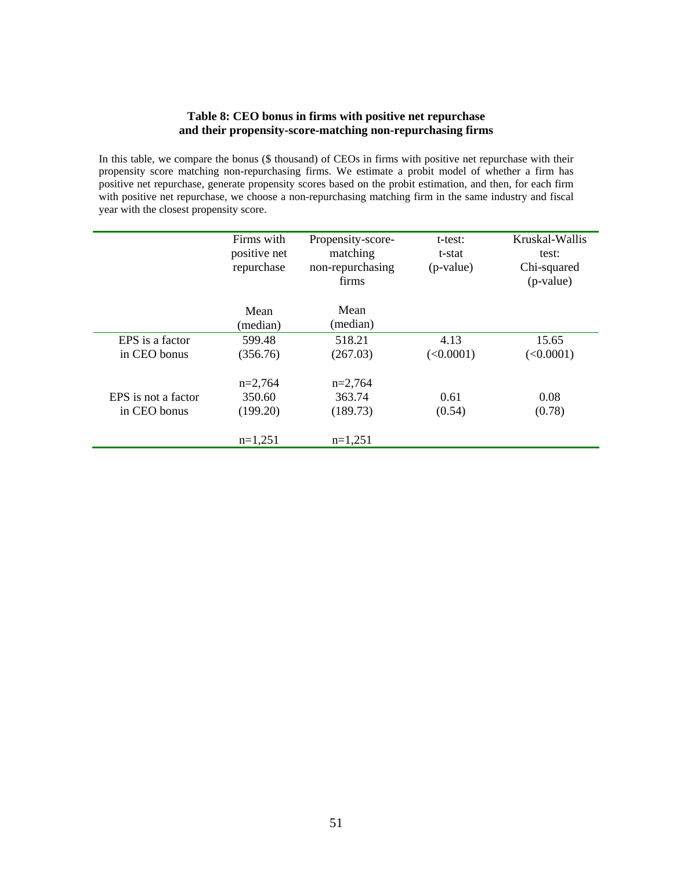# **Table 8: CEO bonus in firms with positive net repurchase and their propensity-score-matching non-repurchasing firms**

In this table, we compare the bonus (\$ thousand) of CEOs in firms with positive net repurchase with their propensity score matching non-repurchasing firms. We estimate a probit model of whether a firm has positive net repurchase, generate propensity scores based on the probit estimation, and then, for each firm with positive net repurchase, we choose a non-repurchasing matching firm in the same industry and fiscal year with the closest propensity score.

|                                     | Firms with<br>positive net<br>repurchase | Propensity-score-<br>matching<br>non-repurchasing<br>firms | t-test:<br>t-stat<br>(p-value) | Kruskal-Wallis<br>test:<br>Chi-squared<br>(p-value) |
|-------------------------------------|------------------------------------------|------------------------------------------------------------|--------------------------------|-----------------------------------------------------|
|                                     | Mean<br>(median)                         | Mean<br>(median)                                           |                                |                                                     |
| EPS is a factor                     | 599.48                                   | 518.21                                                     | 4.13                           | 15.65                                               |
| in CEO bonus                        | (356.76)                                 | (267.03)                                                   | (<0.0001)                      | (<0.0001)                                           |
| EPS is not a factor<br>in CEO bonus | $n=2,764$<br>350.60<br>(199.20)          | $n=2,764$<br>363.74<br>(189.73)                            | 0.61<br>(0.54)                 | 0.08<br>(0.78)                                      |
|                                     | $n=1,251$                                | $n=1,251$                                                  |                                |                                                     |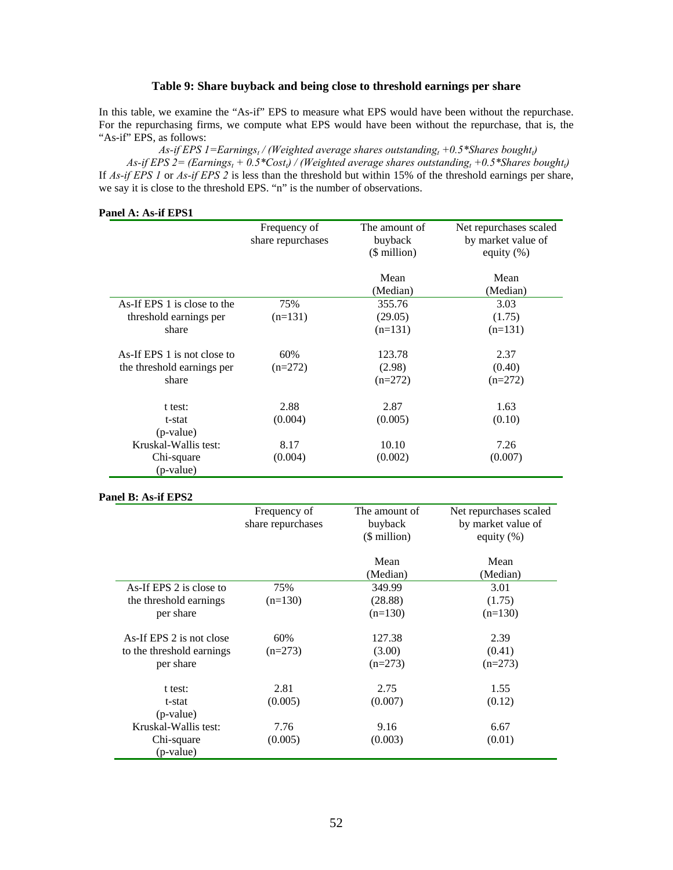## **Table 9: Share buyback and being close to threshold earnings per share**

In this table, we examine the "As-if" EPS to measure what EPS would have been without the repurchase. For the repurchasing firms, we compute what EPS would have been without the repurchase, that is, the "As-if" EPS, as follows:

*As-if EPS 1=Earnings<sub>t</sub> / (Weighted average shares outstanding<sub>t</sub> +0.5\*Shares bought<sub>t</sub>) As-if EPS 2* = (Earnings<sub>t</sub> +  $0.5$ \* $Cost$ ) / (Weighted average shares outstanding<sub>t</sub> +0.5\*Shares bought<sub>t</sub>) If *As-if EPS 1* or *As-if EPS 2* is less than the threshold but within 15% of the threshold earnings per share, we say it is close to the threshold EPS. "n" is the number of observations.

#### **Panel A: As-if EPS1**

|                                                                    | Frequency of<br>share repurchases | The amount of<br>buyback<br>(\$ million) | Net repurchases scaled<br>by market value of<br>equity $(\%)$ |
|--------------------------------------------------------------------|-----------------------------------|------------------------------------------|---------------------------------------------------------------|
|                                                                    |                                   | Mean<br>(Median)                         | Mean<br>(Median)                                              |
| As-If EPS 1 is close to the                                        | 75%                               | 355.76                                   | 3.03                                                          |
| threshold earnings per                                             | $(n=131)$                         | (29.05)                                  | (1.75)                                                        |
| share                                                              |                                   | $(n=131)$                                | $(n=131)$                                                     |
| As-If EPS 1 is not close to<br>the threshold earnings per<br>share | 60%<br>$(n=272)$                  | 123.78<br>(2.98)<br>$(n=272)$            | 2.37<br>(0.40)<br>$(n=272)$                                   |
| t test:                                                            | 2.88                              | 2.87                                     | 1.63                                                          |
| t-stat                                                             | (0.004)                           | (0.005)                                  | (0.10)                                                        |
| (p-value)                                                          |                                   |                                          |                                                               |
| Kruskal-Wallis test:                                               | 8.17                              | 10.10                                    | 7.26                                                          |
| Chi-square                                                         | (0.004)                           | (0.002)                                  | (0.007)                                                       |
| (p-value)                                                          |                                   |                                          |                                                               |

#### **Panel B: As-if EPS2**

|                           | Frequency of<br>share repurchases | The amount of<br>buyback | Net repurchases scaled<br>by market value of |
|---------------------------|-----------------------------------|--------------------------|----------------------------------------------|
|                           |                                   | (\$ million)             | equity $(\%)$                                |
|                           |                                   | Mean                     | Mean                                         |
|                           |                                   | (Median)                 | (Median)                                     |
| As-If EPS 2 is close to   | 75%                               | 349.99                   | 3.01                                         |
| the threshold earnings    | $(n=130)$                         | (28.88)                  | (1.75)                                       |
| per share                 |                                   | $(n=130)$                | $(n=130)$                                    |
| As-If EPS 2 is not close  | 60%                               | 127.38                   | 2.39                                         |
| to the threshold earnings | $(n=273)$                         | (3.00)                   | (0.41)                                       |
| per share                 |                                   | $(n=273)$                | $(n=273)$                                    |
| t test:                   | 2.81                              | 2.75                     | 1.55                                         |
| t-stat                    | (0.005)                           | (0.007)                  | (0.12)                                       |
| (p-value)                 |                                   |                          |                                              |
| Kruskal-Wallis test:      | 7.76                              | 9.16                     | 6.67                                         |
| Chi-square                | (0.005)                           | (0.003)                  | (0.01)                                       |
| (p-value)                 |                                   |                          |                                              |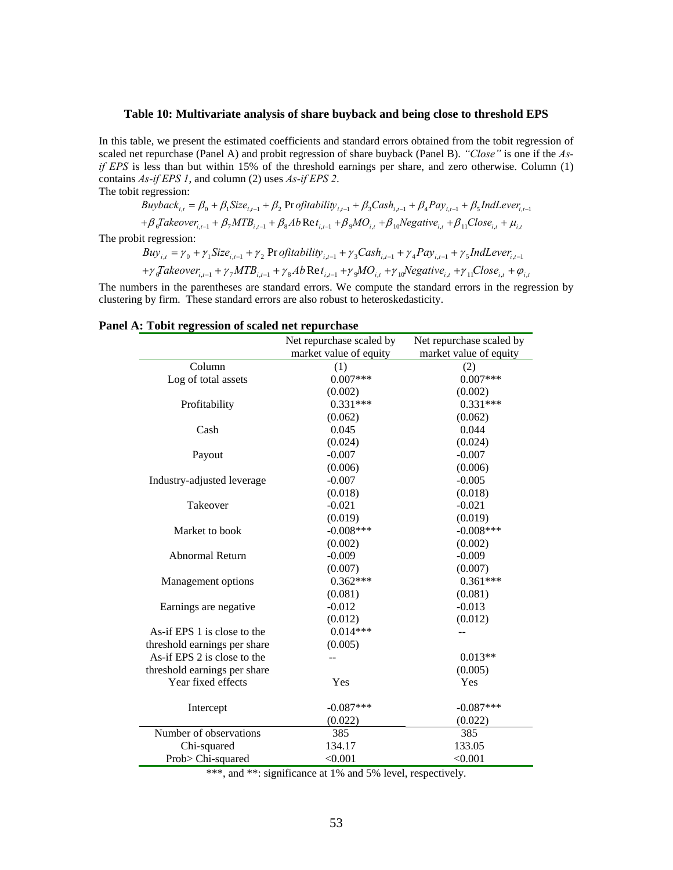#### **Table 10: Multivariate analysis of share buyback and being close to threshold EPS**

In this table, we present the estimated coefficients and standard errors obtained from the tobit regression of scaled net repurchase (Panel A) and probit regression of share buyback (Panel B). *"Close"* is one if the *Asif EPS* is less than but within 15% of the threshold earnings per share, and zero otherwise. Column (1) contains *As-if EPS 1*, and column (2) uses *As-if EPS 2*.

The tobit regression:

 $+\beta_{\theta}$ Takeover<sub>i,t-1</sub> +  $\beta_{7}MTB_{i,t-1}$  +  $\beta_{8}Ab$ Ret<sub>i,t-1</sub> +  $\beta_{9}MO_{i,t}$  +  $\beta_{10}Negative_{i,t}$  +  $\beta_{11}Close_{i,t}$  +  $\mu_{i,t}$ Buybac $k_{i,t} = \beta_0 + \beta_1$ Size<sub>i,t-1</sub> +  $\beta_2$  Profitability<sub>i,t-1</sub> +  $\beta_3$ Cash<sub>i,t-1</sub> +  $\beta_4$ Pay<sub>i,t-1</sub> +  $\beta_5$ IndLever<sub>i,t-1</sub> The probit regression:

 $Buy_{i,t} = \gamma_0 + \gamma_1 Size_{i,t-1} + \gamma_2 \text{ Profitability}_{i,t-1} + \gamma_3 Cash_{i,t-1} + \gamma_4 Pay_{i,t-1} + \gamma_5 IndLever_{i,t-1}$ 

+ $\gamma$  Takeover<sub>i,t-1</sub> +  $\gamma$ <sub>7</sub>MTB<sub>i,t-1</sub> +  $\gamma$ <sub>8</sub>Ab Ret<sub>i,t-1</sub> + $\gamma$ <sub>9</sub>MO<sub>i,t</sub> + $\gamma$ <sub>10</sub>Negative<sub>i,t</sub> + $\gamma$ <sub>11</sub>Close<sub>i,t</sub> +  $\varphi$ <sub>i,t</sub>

The numbers in the parentheses are standard errors. We compute the standard errors in the regression by clustering by firm. These standard errors are also robust to heteroskedasticity.

| e. Tobit regression or searcu net repuremase | Net repurchase scaled by | Net repurchase scaled by |
|----------------------------------------------|--------------------------|--------------------------|
|                                              | market value of equity   | market value of equity   |
| Column                                       | (1)                      | (2)                      |
| Log of total assets                          | $0.007***$               | $0.007***$               |
|                                              | (0.002)                  | (0.002)                  |
| Profitability                                | $0.331***$               | $0.331***$               |
|                                              | (0.062)                  | (0.062)                  |
| Cash                                         | 0.045                    | 0.044                    |
|                                              | (0.024)                  | (0.024)                  |
| Payout                                       | $-0.007$                 | $-0.007$                 |
|                                              | (0.006)                  | (0.006)                  |
| Industry-adjusted leverage                   | $-0.007$                 | $-0.005$                 |
|                                              | (0.018)                  | (0.018)                  |
| Takeover                                     | $-0.021$                 | $-0.021$                 |
|                                              | (0.019)                  | (0.019)                  |
| Market to book                               | $-0.008$ ***             | $-0.008$ ***             |
|                                              | (0.002)                  | (0.002)                  |
| Abnormal Return                              | $-0.009$                 | $-0.009$                 |
|                                              | (0.007)                  | (0.007)                  |
| Management options                           | $0.362***$               | $0.361***$               |
|                                              | (0.081)                  | (0.081)                  |
| Earnings are negative.                       | $-0.012$                 | $-0.013$                 |
|                                              | (0.012)                  | (0.012)                  |
| As-if EPS 1 is close to the                  | $0.014***$               |                          |
| threshold earnings per share                 | (0.005)                  |                          |
| As-if EPS 2 is close to the                  |                          | $0.013**$                |
| threshold earnings per share                 |                          | (0.005)                  |
| Year fixed effects                           | Yes                      | Yes                      |
|                                              |                          |                          |
| Intercept                                    | $-0.087***$              | $-0.087***$              |
|                                              | (0.022)                  | (0.022)                  |
| Number of observations                       | 385                      | 385                      |
| Chi-squared                                  | 134.17                   | 133.05                   |
| Prob> Chi-squared                            | < 0.001                  | < 0.001                  |

|  | Panel A: Tobit regression of scaled net repurchase |  |  |
|--|----------------------------------------------------|--|--|
|  |                                                    |  |  |

\*\*\*, and \*\*: significance at 1% and 5% level, respectively.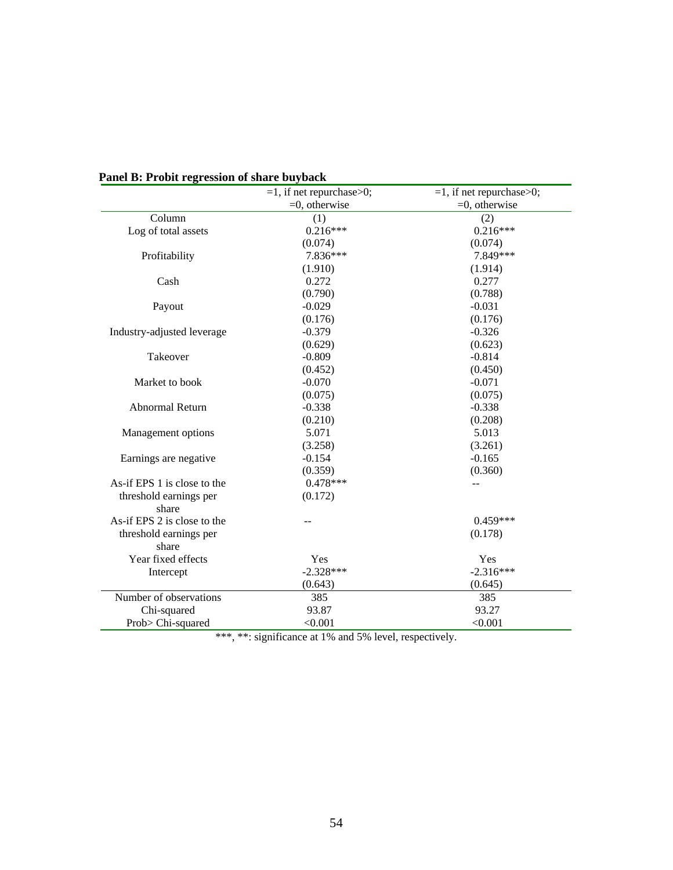|                                 | $=1$ , if net repurchase $>0$ ; | $=1$ , if net repurchase $>0$ ; |
|---------------------------------|---------------------------------|---------------------------------|
|                                 | $=0$ , otherwise                | $=0$ , otherwise                |
| Column                          | (1)                             | (2)                             |
| Log of total assets             | $0.216***$                      | $0.216***$                      |
|                                 | (0.074)                         | (0.074)                         |
| Profitability                   | 7.836***                        | 7.849***                        |
|                                 | (1.910)                         | (1.914)                         |
| Cash                            | 0.272                           | 0.277                           |
|                                 | (0.790)                         | (0.788)                         |
| Payout                          | $-0.029$                        | $-0.031$                        |
|                                 | (0.176)                         | (0.176)                         |
| Industry-adjusted leverage      | $-0.379$                        | $-0.326$                        |
|                                 | (0.629)                         | (0.623)                         |
| Takeover                        | $-0.809$                        | $-0.814$                        |
|                                 | (0.452)                         | (0.450)                         |
| Market to book                  | $-0.070$                        | $-0.071$                        |
|                                 | (0.075)                         | (0.075)                         |
| Abnormal Return                 | $-0.338$                        | $-0.338$                        |
|                                 | (0.210)                         | (0.208)                         |
| Management options              | 5.071                           | 5.013                           |
|                                 | (3.258)                         | (3.261)                         |
| Earnings are negative           | $-0.154$                        | $-0.165$                        |
|                                 | (0.359)                         | (0.360)                         |
| As-if EPS 1 is close to the     | $0.478***$                      |                                 |
| threshold earnings per          | (0.172)                         |                                 |
| share                           |                                 |                                 |
| As-if EPS 2 is close to the     |                                 | $0.459***$                      |
| threshold earnings per<br>share |                                 | (0.178)                         |
| Year fixed effects              | Yes                             | Yes                             |
| Intercept                       | $-2.328***$                     | $-2.316***$                     |
|                                 | (0.643)                         | (0.645)                         |
| Number of observations          | 385                             | 385                             |
| Chi-squared                     | 93.87                           | 93.27                           |
| Prob> Chi-squared               | < 0.001                         | < 0.001                         |

# **Panel B: Probit regression of share buyback**

\*\*\*, \*\*: significance at 1% and 5% level, respectively.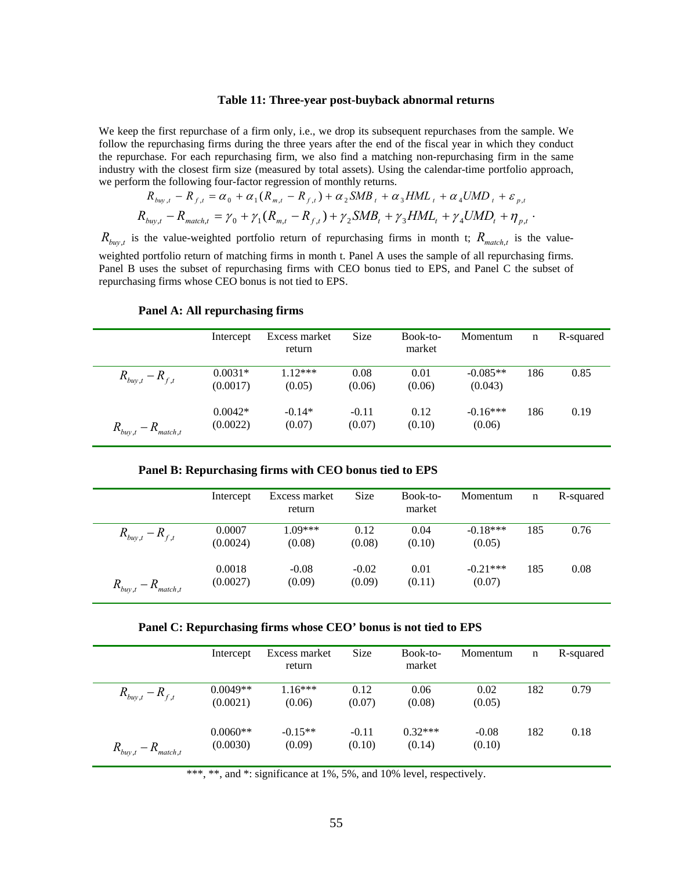#### **Table 11: Three-year post-buyback abnormal returns**

We keep the first repurchase of a firm only, i.e., we drop its subsequent repurchases from the sample. We follow the repurchasing firms during the three years after the end of the fiscal year in which they conduct the repurchase. For each repurchasing firm, we also find a matching non-repurchasing firm in the same industry with the closest firm size (measured by total assets). Using the calendar-time portfolio approach, we perform the following four-factor regression of monthly returns.

$$
R_{buy,t} - R_{f,t} = \alpha_0 + \alpha_1 (R_{m,t} - R_{f,t}) + \alpha_2 SMB_t + \alpha_3 HML_t + \alpha_4 UMD_t + \varepsilon_{p,t}
$$
  

$$
R_{buy,t} - R_{match,t} = \gamma_0 + \gamma_1 (R_{m,t} - R_{f,t}) + \gamma_2 SMB_t + \gamma_3 HML_t + \gamma_4 UMD_t + \eta_{p,t}.
$$

 $R_{buv,t}$  is the value-weighted portfolio return of repurchasing firms in month t;  $R_{match,t}$  is the valueweighted portfolio return of matching firms in month t. Panel A uses the sample of all repurchasing firms. Panel B uses the subset of repurchasing firms with CEO bonus tied to EPS, and Panel C the subset of repurchasing firms whose CEO bonus is not tied to EPS.

|                           | Intercept             | Excess market<br>return | <b>Size</b>       | Book-to-<br>market | Momentum              | n   | R-squared |
|---------------------------|-----------------------|-------------------------|-------------------|--------------------|-----------------------|-----|-----------|
| $R_{buy,t} - R_{f,t}$     | $0.0031*$<br>(0.0017) | $1.12***$<br>(0.05)     | 0.08<br>(0.06)    | 0.01<br>(0.06)     | $-0.085**$<br>(0.043) | 186 | 0.85      |
| $R_{buy,t} - R_{match,t}$ | $0.0042*$<br>(0.0022) | $-0.14*$<br>(0.07)      | $-0.11$<br>(0.07) | 0.12<br>(0.10)     | $-0.16***$<br>(0.06)  | 186 | 0.19      |

#### **Panel A: All repurchasing firms**

# **Panel B: Repurchasing firms with CEO bonus tied to EPS**

|                           | Intercept          | Excess market<br>return | Size              | Book-to-<br>market | Momentum             | n   | R-squared |
|---------------------------|--------------------|-------------------------|-------------------|--------------------|----------------------|-----|-----------|
| $R_{buy,t} - R_{f,t}$     | 0.0007<br>(0.0024) | 1.09***<br>(0.08)       | 0.12<br>(0.08)    | 0.04<br>(0.10)     | $-0.18***$<br>(0.05) | 185 | 0.76      |
| $R_{buy,t} - R_{match,t}$ | 0.0018<br>(0.0027) | $-0.08$<br>(0.09)       | $-0.02$<br>(0.09) | 0.01<br>(0.11)     | $-0.21***$<br>(0.07) | 185 | 0.08      |

| Panel C: Repurchasing firms whose CEO' bonus is not tied to EPS |  |  |
|-----------------------------------------------------------------|--|--|
|-----------------------------------------------------------------|--|--|

|                                  | Intercept              | Excess market<br>return | <b>Size</b>       | Book-to-<br>market  | Momentum          | n   | R-squared |
|----------------------------------|------------------------|-------------------------|-------------------|---------------------|-------------------|-----|-----------|
| $R_{buy,t} - R_{f,t}$            | $0.0049**$<br>(0.0021) | $1.16***$<br>(0.06)     | 0.12<br>(0.07)    | 0.06<br>(0.08)      | 0.02<br>(0.05)    | 182 | 0.79      |
| $R_{_{buv,t}}$<br>$-R_{match,t}$ | $0.0060**$<br>(0.0030) | $-0.15**$<br>(0.09)     | $-0.11$<br>(0.10) | $0.32***$<br>(0.14) | $-0.08$<br>(0.10) | 182 | 0.18      |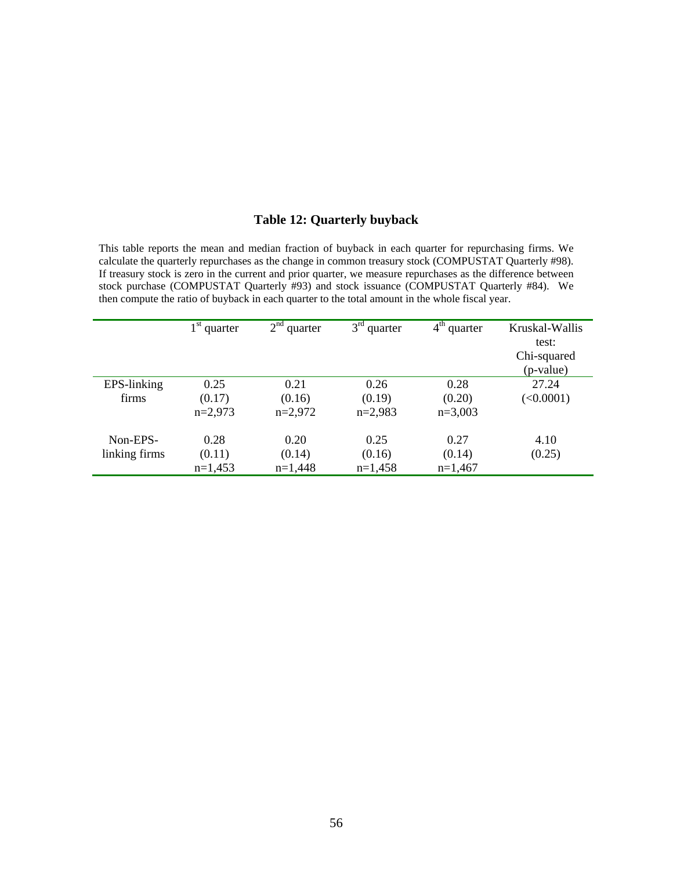# **Table 12: Quarterly buyback**

This table reports the mean and median fraction of buyback in each quarter for repurchasing firms. We calculate the quarterly repurchases as the change in common treasury stock (COMPUSTAT Quarterly #98). If treasury stock is zero in the current and prior quarter, we measure repurchases as the difference between stock purchase (COMPUSTAT Quarterly #93) and stock issuance (COMPUSTAT Quarterly #84). We then compute the ratio of buyback in each quarter to the total amount in the whole fiscal year.

|                           | $1^{\rm st}$<br>quarter     | 2 <sup>nd</sup><br>quarter  | 3 <sup>rd</sup><br>quarter  | $4^{\text{th}}$<br>quarter  | Kruskal-Wallis<br>test:<br>Chi-squared<br>(p-value) |
|---------------------------|-----------------------------|-----------------------------|-----------------------------|-----------------------------|-----------------------------------------------------|
| EPS-linking<br>firms      | 0.25<br>(0.17)<br>$n=2,973$ | 0.21<br>(0.16)<br>$n=2,972$ | 0.26<br>(0.19)<br>$n=2,983$ | 0.28<br>(0.20)<br>$n=3,003$ | 27.24<br>(<0.0001)                                  |
| Non-EPS-<br>linking firms | 0.28<br>(0.11)<br>$n=1,453$ | 0.20<br>(0.14)<br>$n=1,448$ | 0.25<br>(0.16)<br>$n=1,458$ | 0.27<br>(0.14)<br>$n=1,467$ | 4.10<br>(0.25)                                      |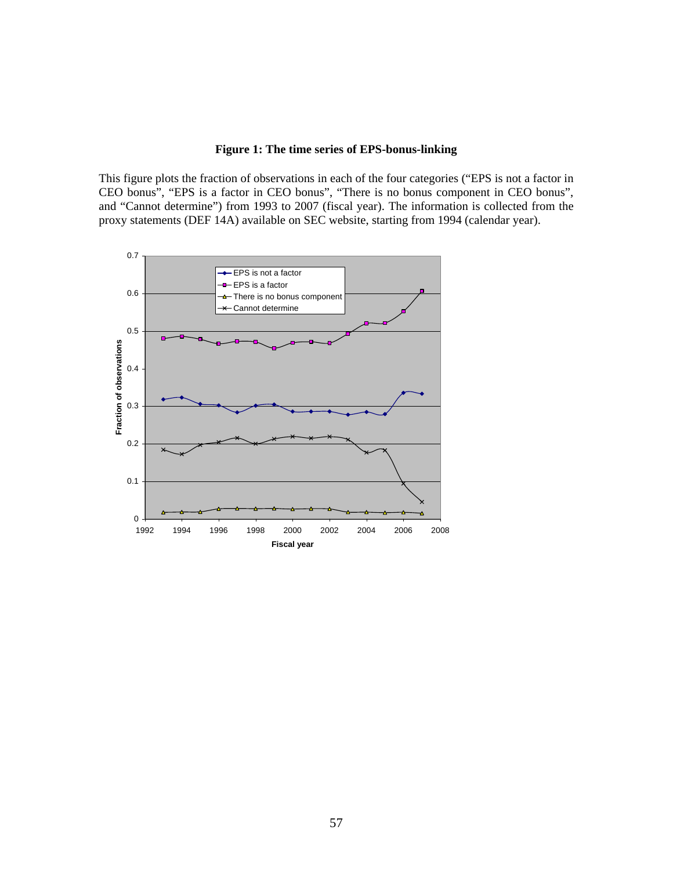## **Figure 1: The time series of EPS-bonus-linking**

This figure plots the fraction of observations in each of the four categories ("EPS is not a factor in CEO bonus", "EPS is a factor in CEO bonus", "There is no bonus component in CEO bonus", and "Cannot determine") from 1993 to 2007 (fiscal year). The information is collected from the proxy statements (DEF 14A) available on SEC website, starting from 1994 (calendar year).

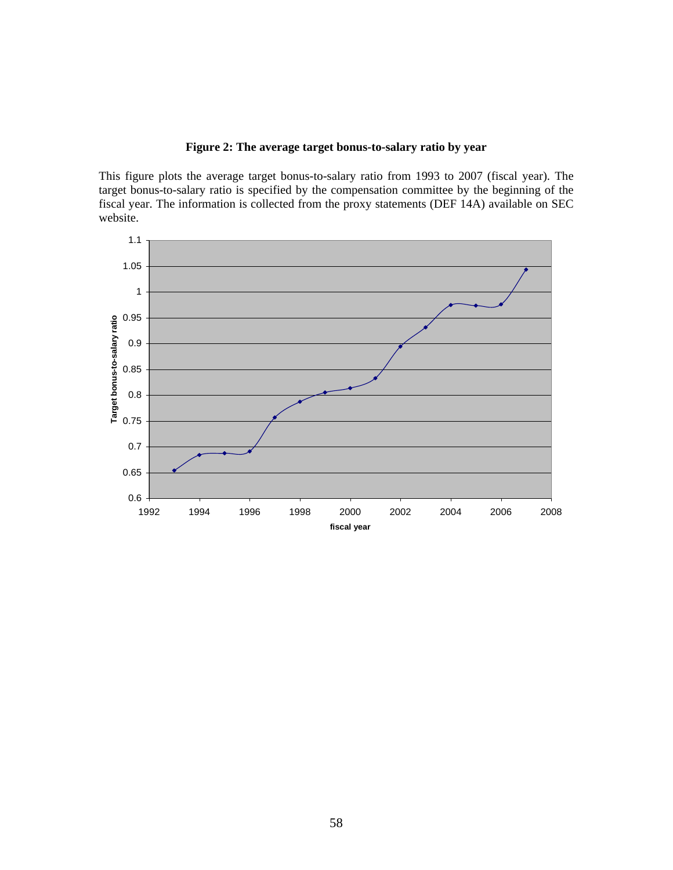# **Figure 2: The average target bonus-to-salary ratio by year**

This figure plots the average target bonus-to-salary ratio from 1993 to 2007 (fiscal year). The target bonus-to-salary ratio is specified by the compensation committee by the beginning of the fiscal year. The information is collected from the proxy statements (DEF 14A) available on SEC website.

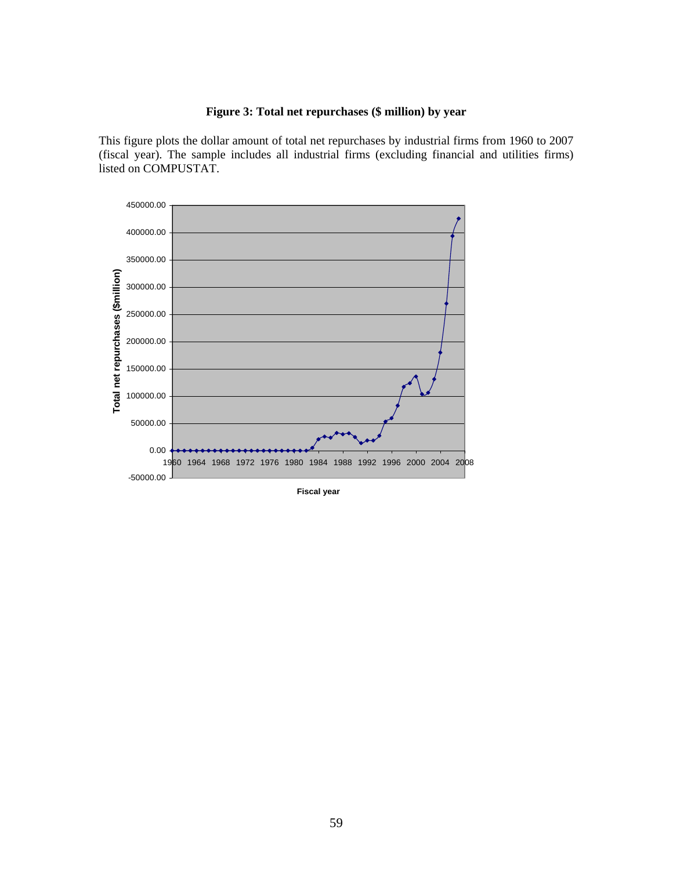# **Figure 3: Total net repurchases (\$ million) by year**

This figure plots the dollar amount of total net repurchases by industrial firms from 1960 to 2007 (fiscal year). The sample includes all industrial firms (excluding financial and utilities firms) listed on COMPUSTAT.